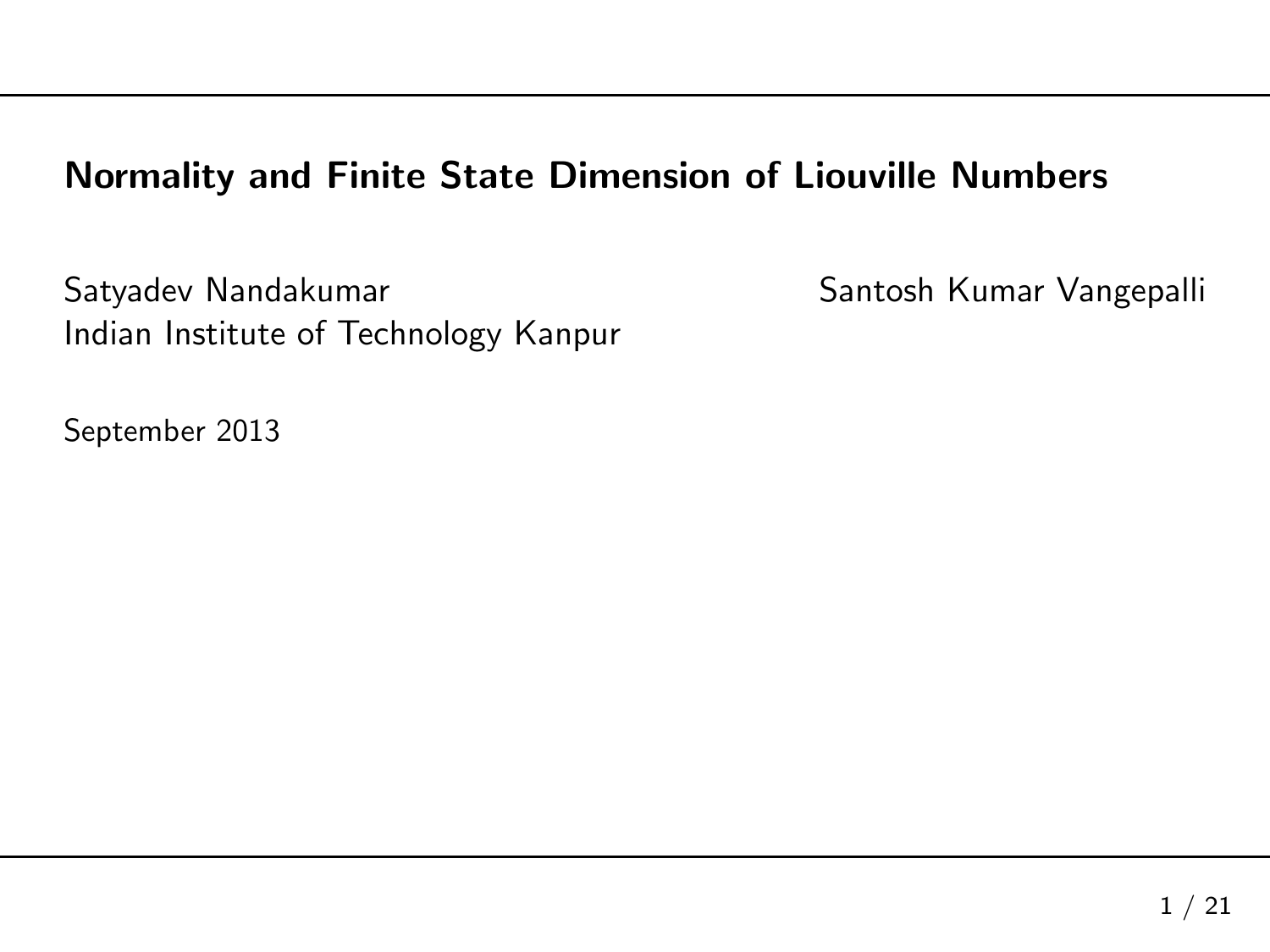#### Normality and Finite State Dimension of Liouville Numbers

Satyadev Nandakumar Santosh Kumar Vangepalli Indian Institute of Technology Kanpur

September <sup>2013</sup>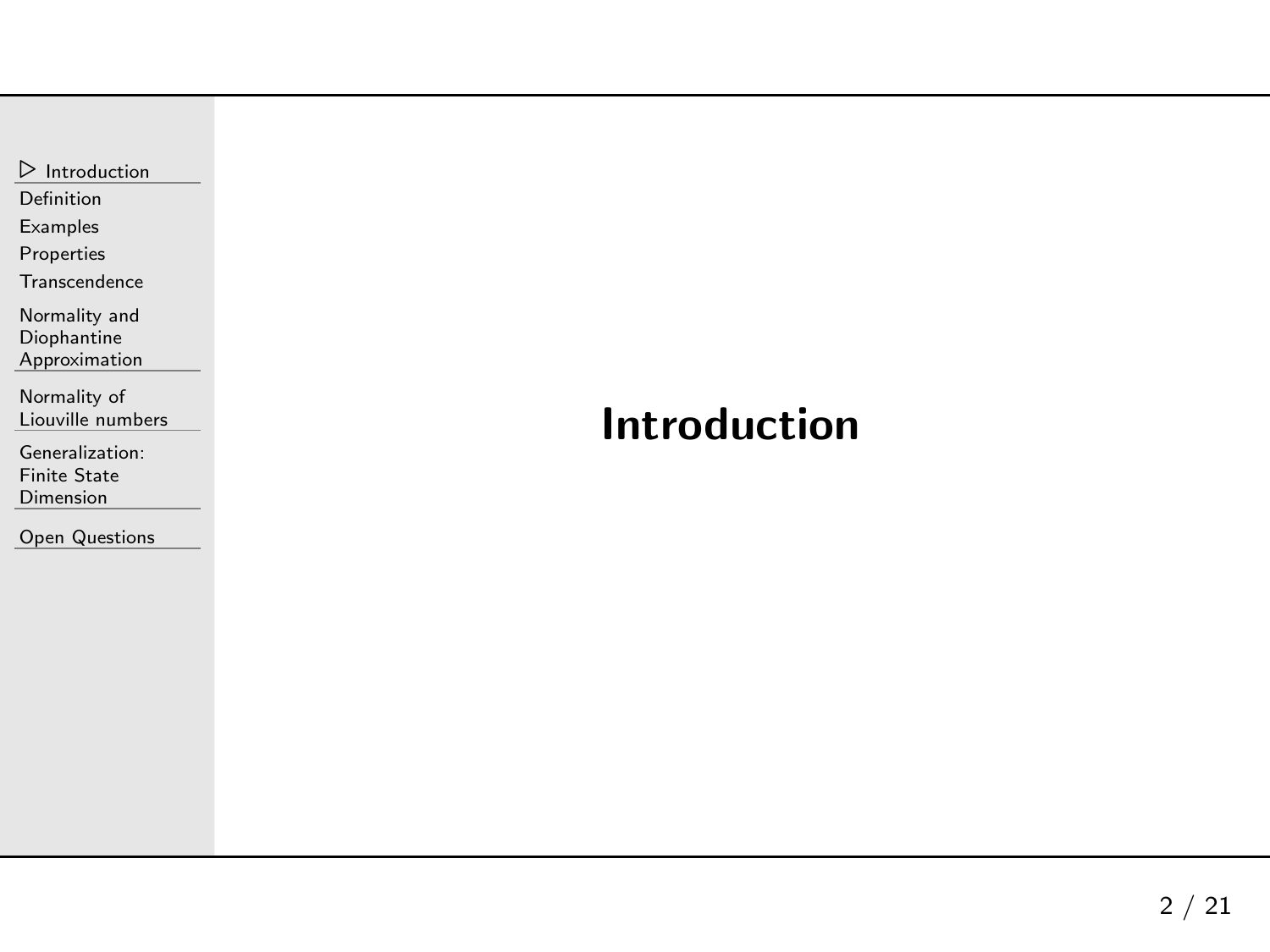<span id="page-1-0"></span> $\frac{1}{\sqrt{2}}$  [Introduction](#page-1-0)

[Definition](#page-2-0)

[Examples](#page-7-0)

[Properties](#page-15-0)

**[Transcendence](#page-20-0)** 

Normality and

Diophantine

[Approximation](#page-23-0)

[Normality](#page-28-0) of Liouville numbers

[Generalization:](#page-61-0)Finite State

Dimension

Open [Questions](#page-73-0)

### Introduction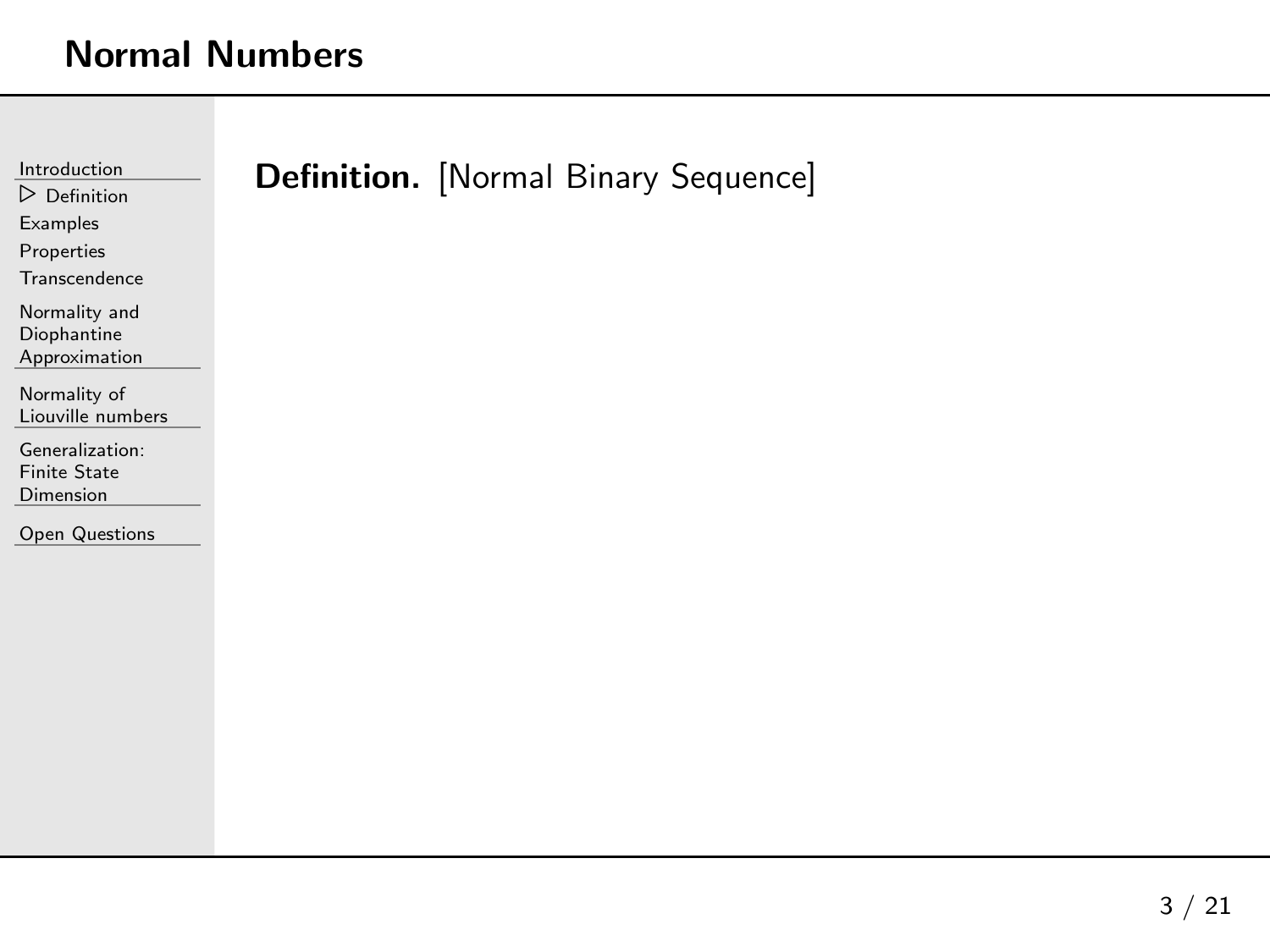<span id="page-2-0"></span>

| Introduction                           | Definition. [Normal Binary Sequence] |
|----------------------------------------|--------------------------------------|
| $\triangleright$ Definition            |                                      |
| Examples                               |                                      |
| Properties                             |                                      |
| Transcendence                          |                                      |
| Normality and                          |                                      |
| Diophantine<br>Approximation           |                                      |
|                                        |                                      |
| Normality of<br>Liouville numbers      |                                      |
|                                        |                                      |
| Generalization:<br><b>Finite State</b> |                                      |
| Dimension                              |                                      |
| Open Questions                         |                                      |
|                                        |                                      |
|                                        |                                      |
|                                        |                                      |
|                                        |                                      |
|                                        |                                      |
|                                        |                                      |
|                                        |                                      |
|                                        |                                      |
|                                        |                                      |
|                                        |                                      |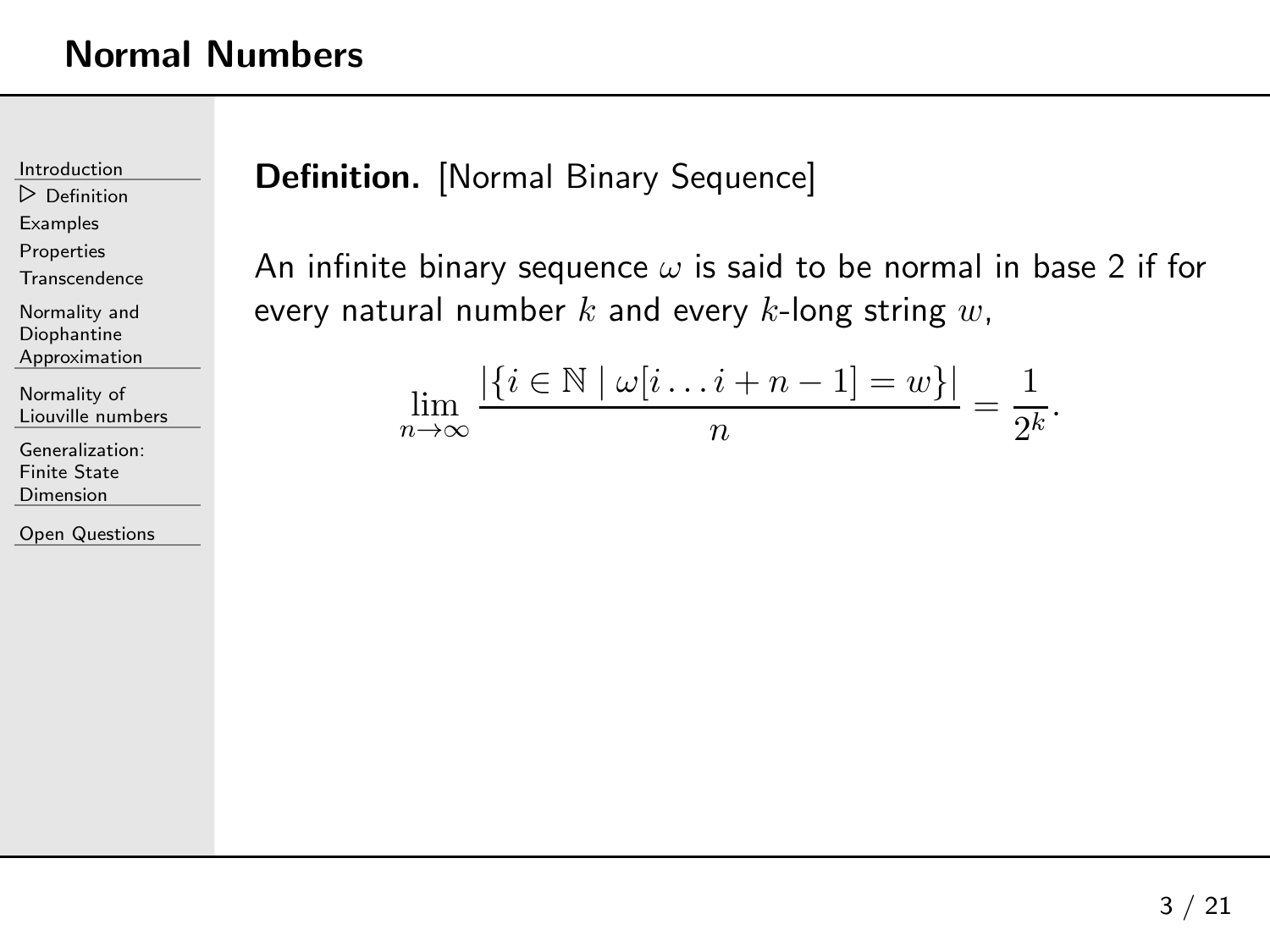[Introduction](#page-1-0)

⊲ [Definition](#page-2-0)

**[Examples](#page-7-0)** 

[Properties](#page-15-0)

**[Transcendence](#page-20-0)** 

Normality andDiophantine[Approximation](#page-23-0)

[Normality](#page-28-0) of

Liouville numbers

[Generalization:](#page-61-0)Finite State Dimension

Open [Questions](#page-73-0)

### **Definition.** [Normal Binary Sequence]

An infinite binary sequence  $\omega$  is said to be normal in base 2 if for every natural number  $k$  and every  $k$ -long string  $w,$ 

$$
\lim_{n \to \infty} \frac{|\{i \in \mathbb{N} \mid \omega[i \dots i + n - 1] = w\}|}{n} = \frac{1}{2^k}.
$$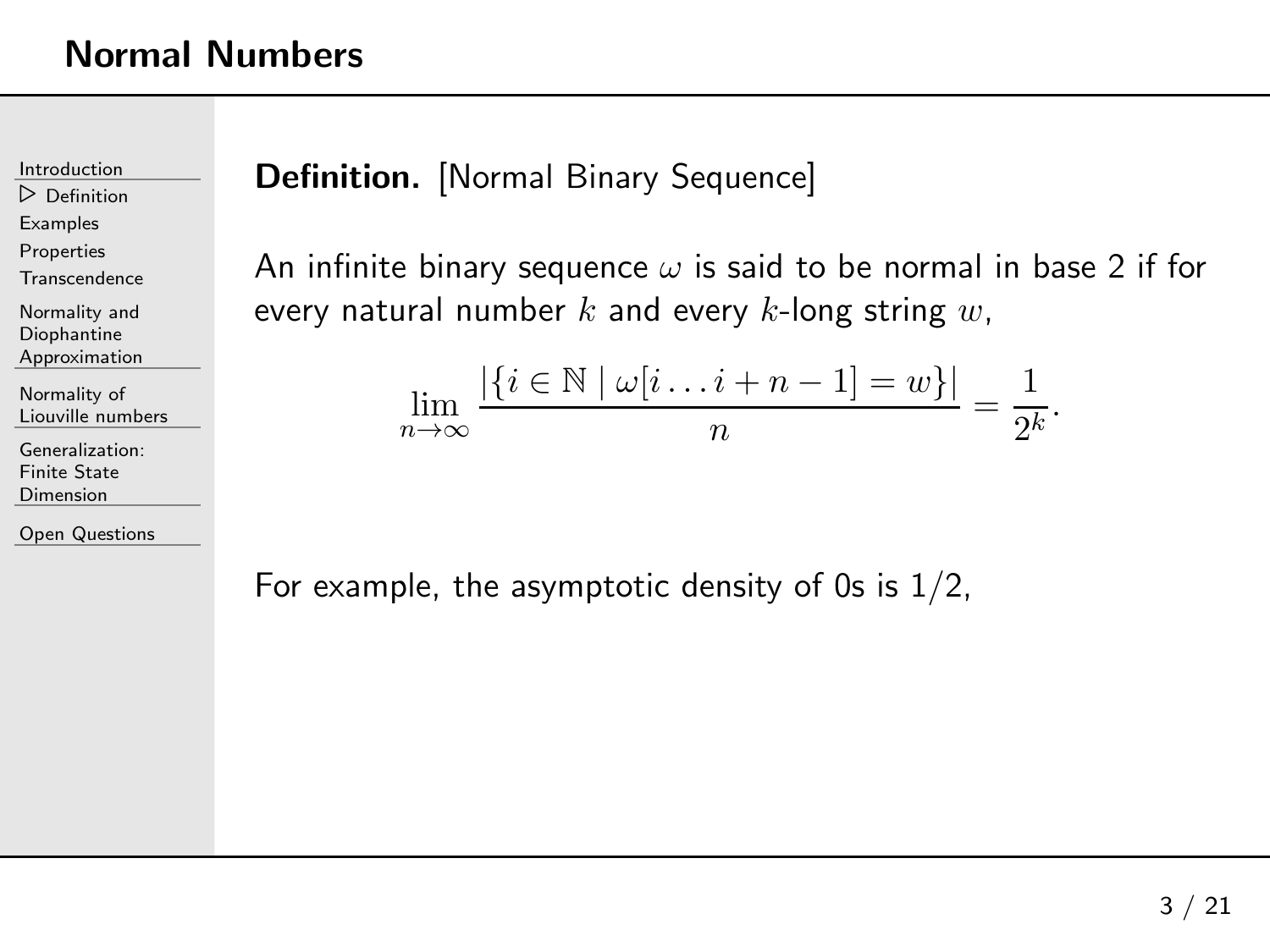[Introduction](#page-1-0)

⊲ [Definition](#page-2-0)

[Examples](#page-7-0)

[Properties](#page-15-0)

**[Transcendence](#page-20-0)** 

Normality andDiophantine[Approximation](#page-23-0)

[Normality](#page-28-0) of Liouville numbers

[Generalization:](#page-61-0)Finite State Dimension

Open [Questions](#page-73-0)

### **Definition.** [Normal Binary Sequence]

An infinite binary sequence  $\omega$  is said to be normal in base 2 if for every natural number  $k$  and every  $k$ -long string  $w,$ 

$$
\lim_{n \to \infty} \frac{|\{i \in \mathbb{N} \mid \omega[i \dots i + n - 1] = w\}|}{n} = \frac{1}{2^k}.
$$

For example, the asymptotic density of 0s is  $1/2$ ,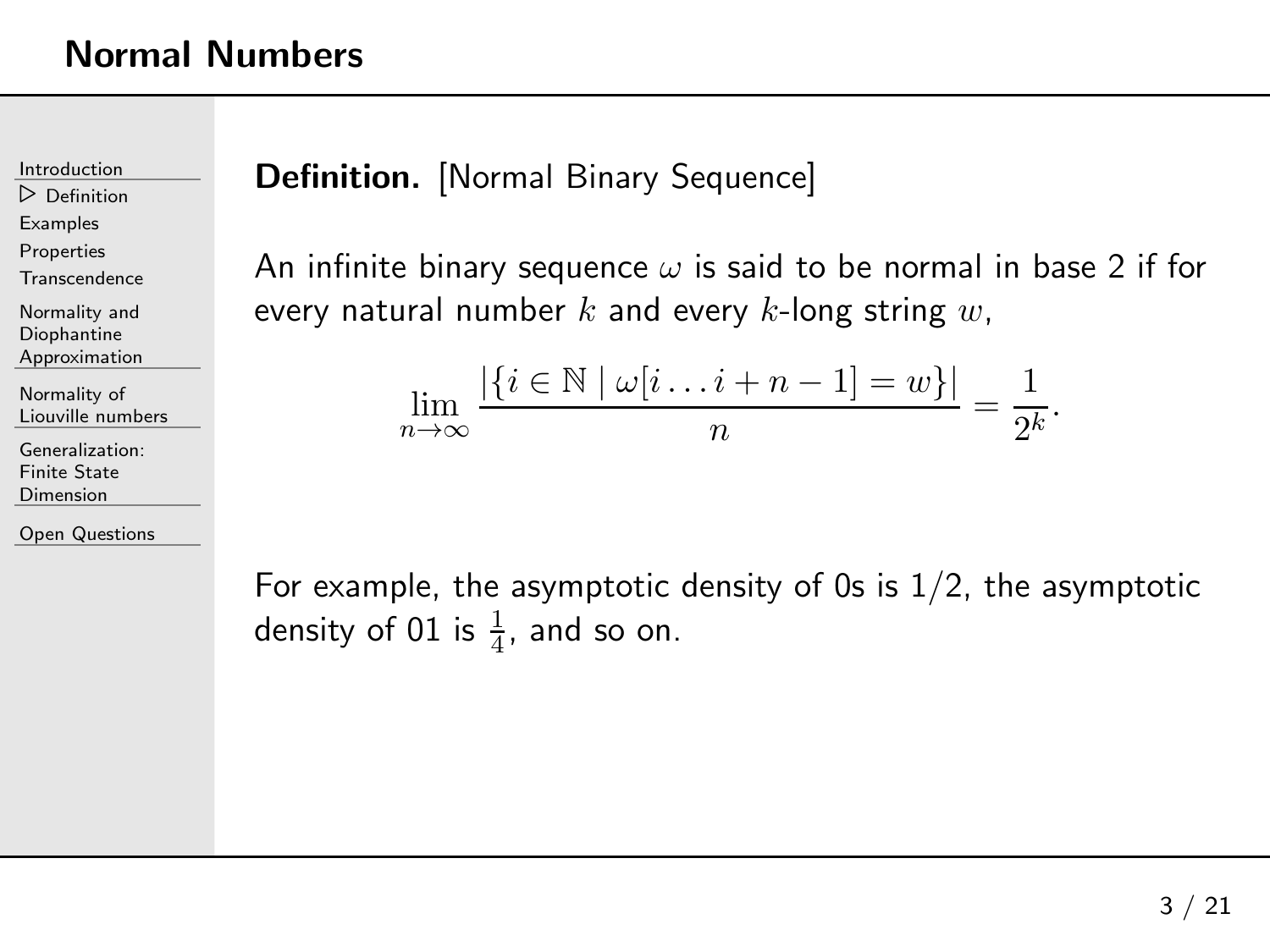[Introduction](#page-1-0)

⊲ [Definition](#page-2-0)

[Examples](#page-7-0)

[Properties](#page-15-0)

**[Transcendence](#page-20-0)** 

Normality andDiophantine[Approximation](#page-23-0)

[Normality](#page-28-0) of Liouville numbers

[Generalization:](#page-61-0)Finite State

Dimension

Open [Questions](#page-73-0)

### **Definition.** [Normal Binary Sequence]

An infinite binary sequence  $\omega$  is said to be normal in base 2 if for every natural number  $k$  and every  $k$ -long string  $w,$ 

$$
\lim_{n \to \infty} \frac{|\{i \in \mathbb{N} \mid \omega[i \dots i + n - 1] = w\}|}{n} = \frac{1}{2^k}.
$$

For example, the asymptotic density of 0s is  $1/2$ , the asymptotic density of 01 is  $\frac{1}{4}$ , and so on.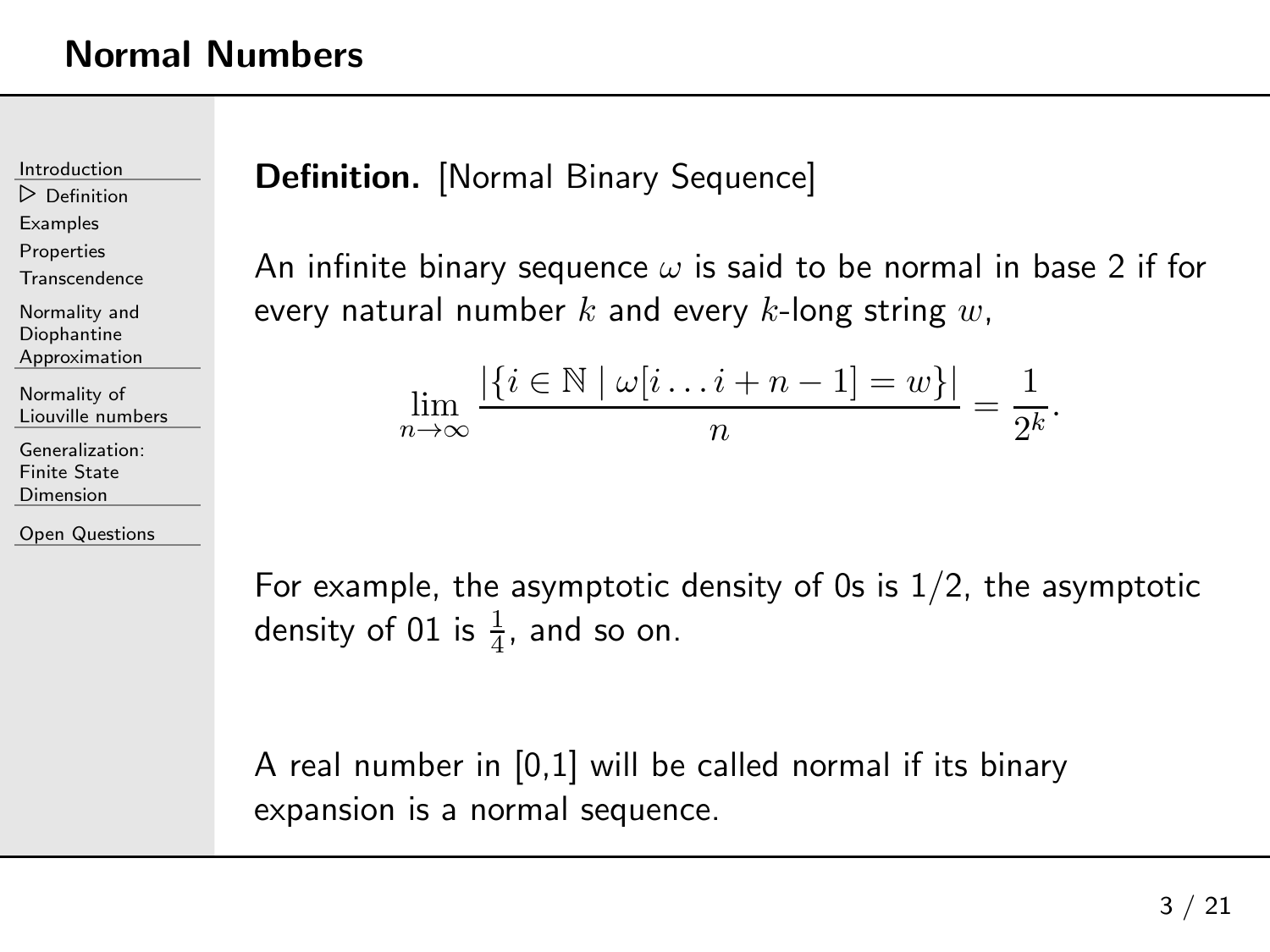[Introduction](#page-1-0)

⊲ [Definition](#page-2-0)

[Examples](#page-7-0)

[Properties](#page-15-0)

**[Transcendence](#page-20-0)** 

Normality andDiophantine[Approximation](#page-23-0)

[Normality](#page-28-0) of Liouville numbers

[Generalization:](#page-61-0)Finite State **Dimension** 

Open [Questions](#page-73-0)

### **Definition.** [Normal Binary Sequence]

An infinite binary sequence  $\omega$  is said to be normal in base 2 if for every natural number  $k$  and every  $k$ -long string  $w,$ 

$$
\lim_{n \to \infty} \frac{|\{i \in \mathbb{N} \mid \omega[i \dots i + n - 1] = w\}|}{n} = \frac{1}{2^k}.
$$

For example, the asymptotic density of 0s is  $1/2$ , the asymptotic density of 01 is  $\frac{1}{4}$ , and so on.

<sup>A</sup> real number in [0,1] will be called normal if its binary expansion is <sup>a</sup> normal sequence.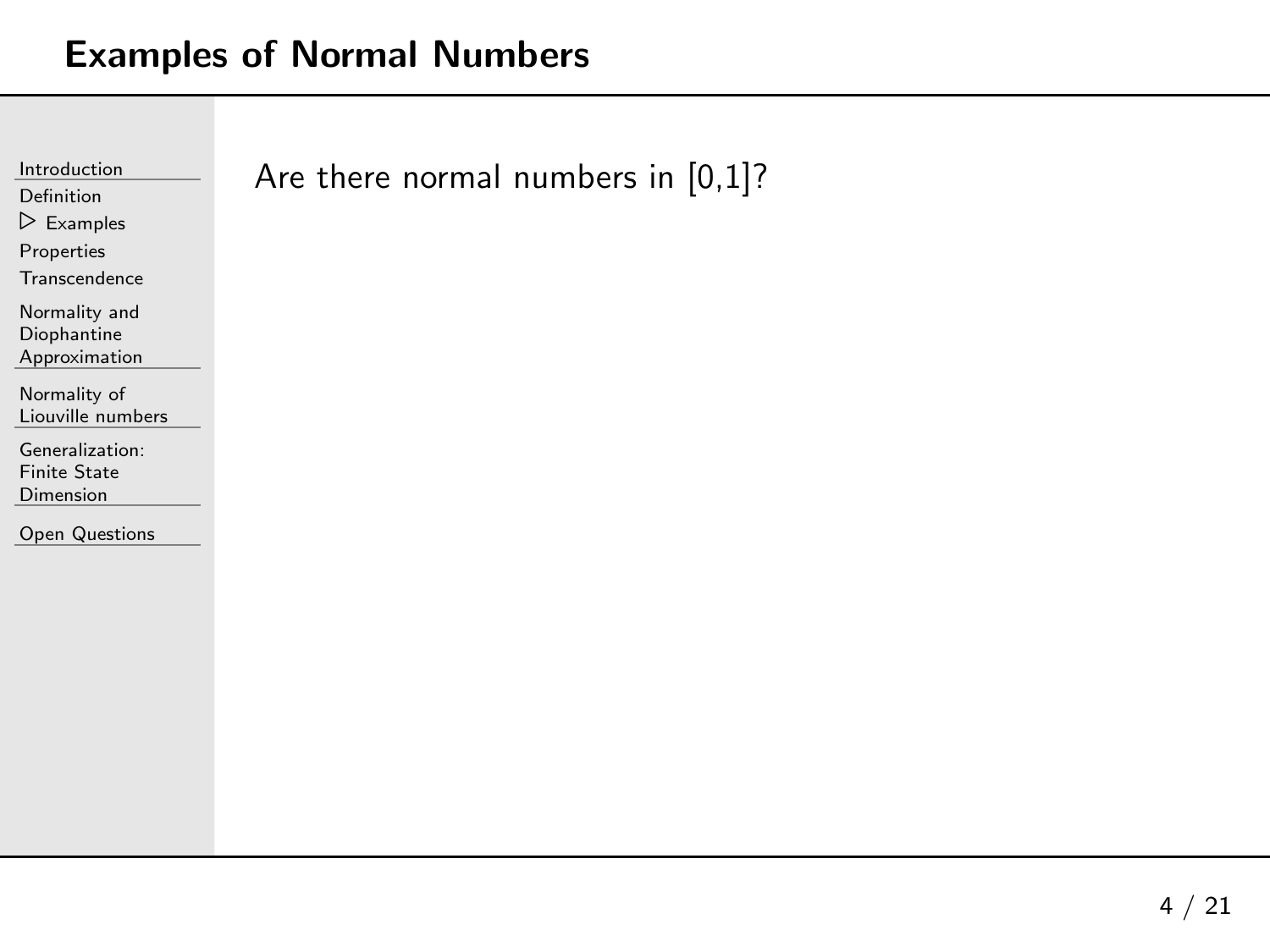### <span id="page-7-0"></span>Examples of Normal Numbers

| Introduction              | Are there normal numbers in $[0,1]$ ? |
|---------------------------|---------------------------------------|
| Definition                |                                       |
| $\triangleright$ Examples |                                       |
| Properties                |                                       |
| Transcendence             |                                       |
| Normality and             |                                       |
| Diophantine               |                                       |
| Approximation             |                                       |
| Normality of              |                                       |
| Liouville numbers         |                                       |
| Generalization:           |                                       |
| <b>Finite State</b>       |                                       |
| Dimension                 |                                       |
|                           |                                       |
| <b>Open Questions</b>     |                                       |
|                           |                                       |
|                           |                                       |
|                           |                                       |
|                           |                                       |
|                           |                                       |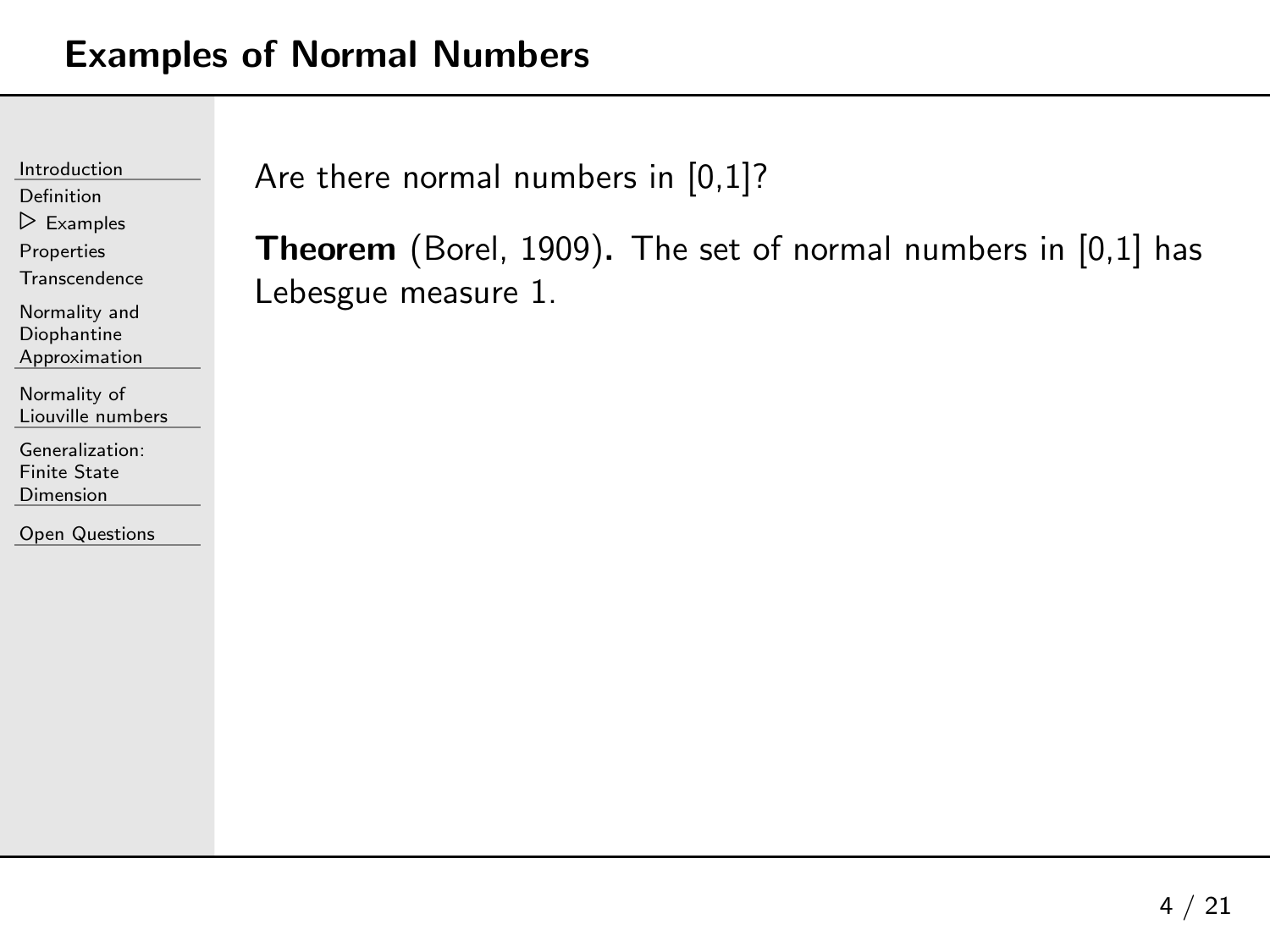[Introduction](#page-1-0)[Definition](#page-2-0) ⊲ [Examples](#page-7-0) [Properties](#page-15-0)**[Transcendence](#page-20-0)** Normality andDiophantine [Approximation](#page-23-0)[Normality](#page-28-0) of Liouville numbers

[Generalization:](#page-61-0)Finite State Dimension

Open [Questions](#page-73-0)

Are there normal numbers in [0,1]?

**Theorem** (Borel, 1909). The set of normal numbers in [0,1] has<br>Leheerus messure 1 Lebesgue measure 1.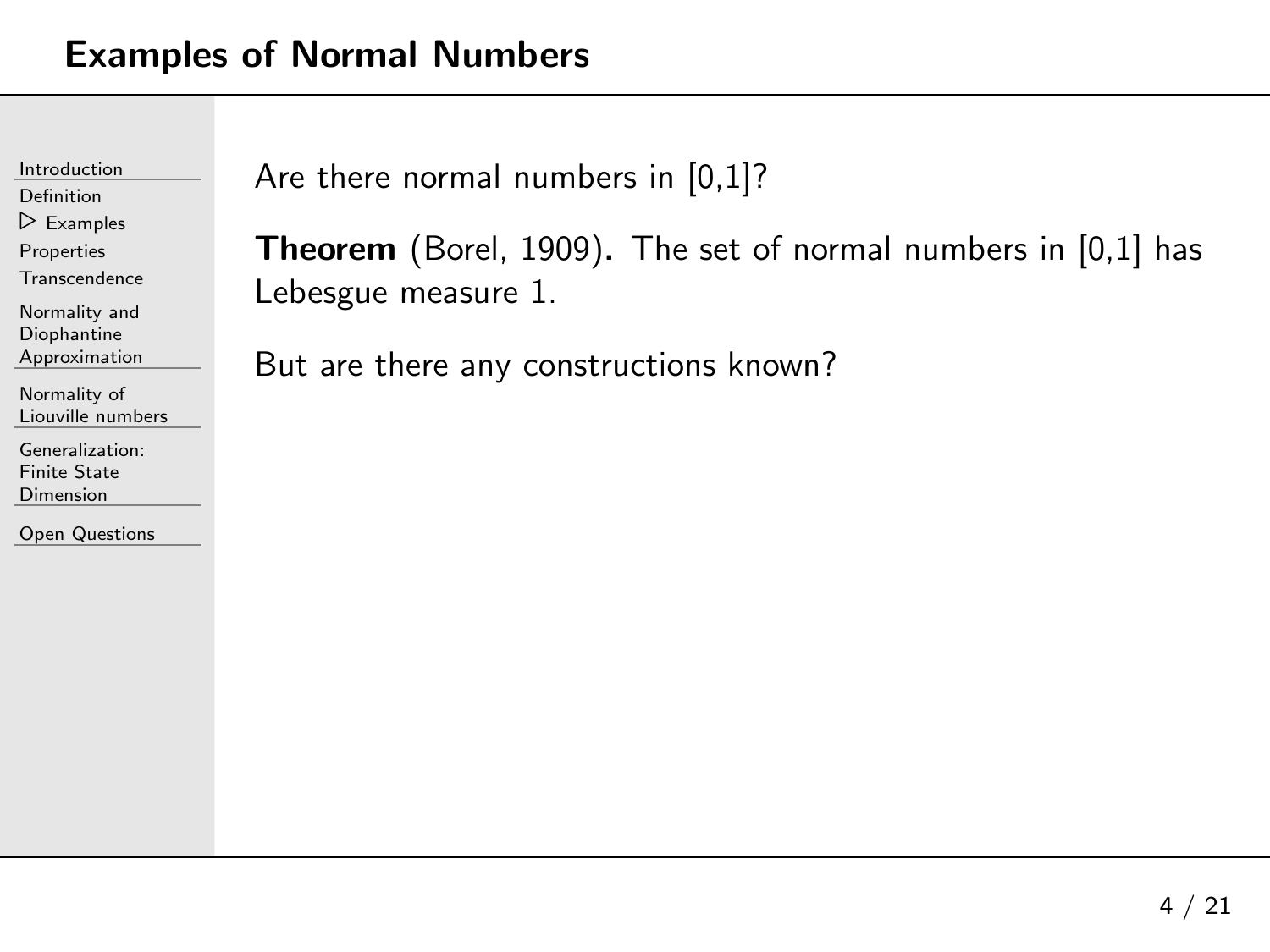[Introduction](#page-1-0)[Definition](#page-2-0) ⊲ [Examples](#page-7-0) [Properties](#page-15-0)**[Transcendence](#page-20-0)** Normality andDiophantine [Approximation](#page-23-0)[Normality](#page-28-0) of Liouville numbers

[Generalization:](#page-61-0)Finite State Dimension

Open [Questions](#page-73-0)

Are there normal numbers in [0,1]?

**Theorem** (Borel, 1909). The set of normal numbers in [0,1] has<br>Leheerus messure 1 Lebesgue measure 1.

But are there any constructions known?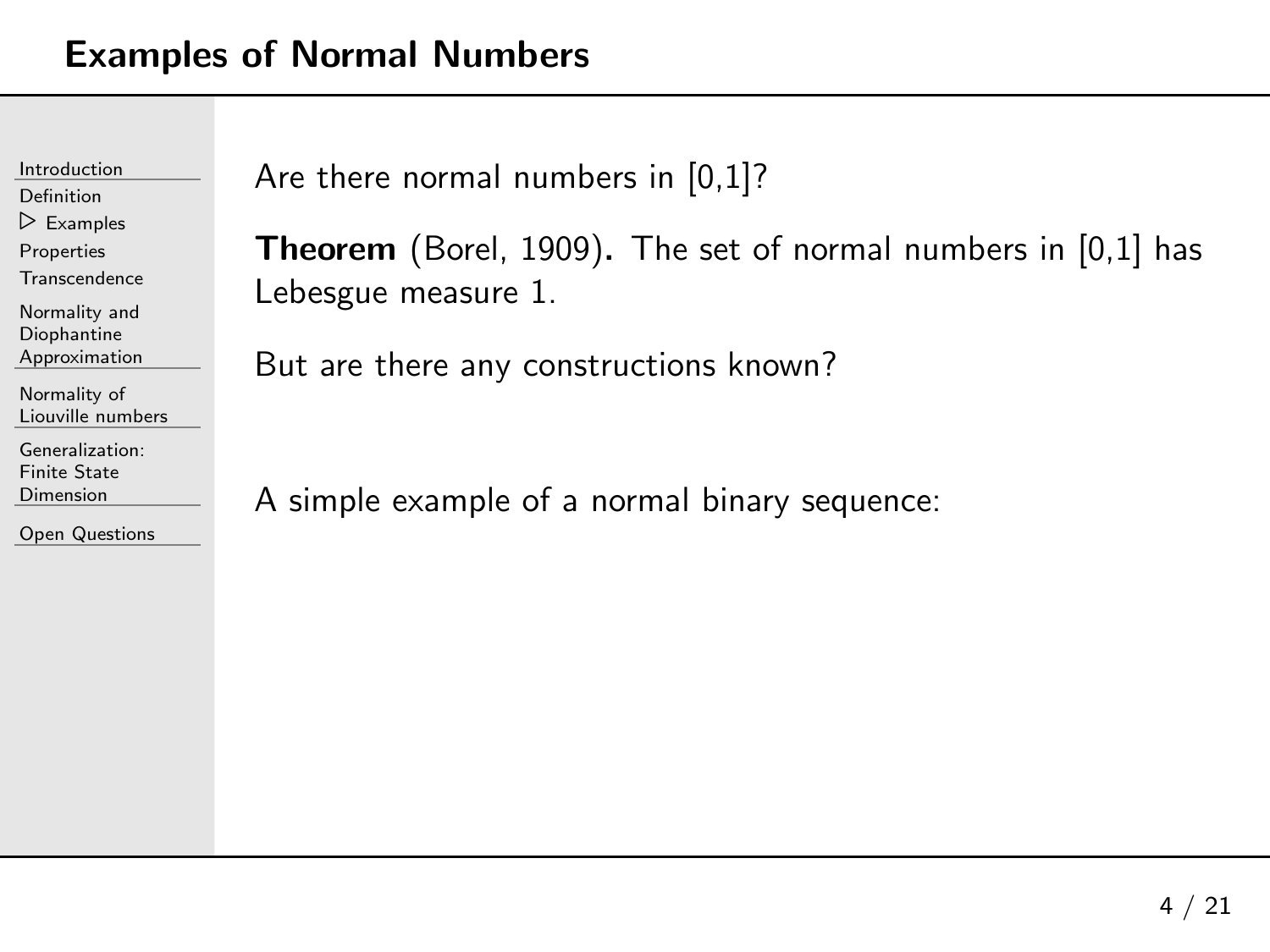| Introduction              |  |  |
|---------------------------|--|--|
| Definition                |  |  |
| $\triangleright$ Examples |  |  |
| Properties                |  |  |
| Transcendence             |  |  |
| Normality and             |  |  |
| Diophantine               |  |  |
| Approximation             |  |  |
| Normality of              |  |  |
| Liouville numbers         |  |  |
| Generalization:           |  |  |
| Finite State              |  |  |
| Dimension                 |  |  |

Are there normal numbers in [0,1]?

**Theorem** (Borel, 1909). The set of normal numbers in [0,1] has<br>Leheerus messure 1 Lebesgue measure 1.

But are there any constructions known?

<sup>A</sup> simple example of <sup>a</sup> normal binary sequence: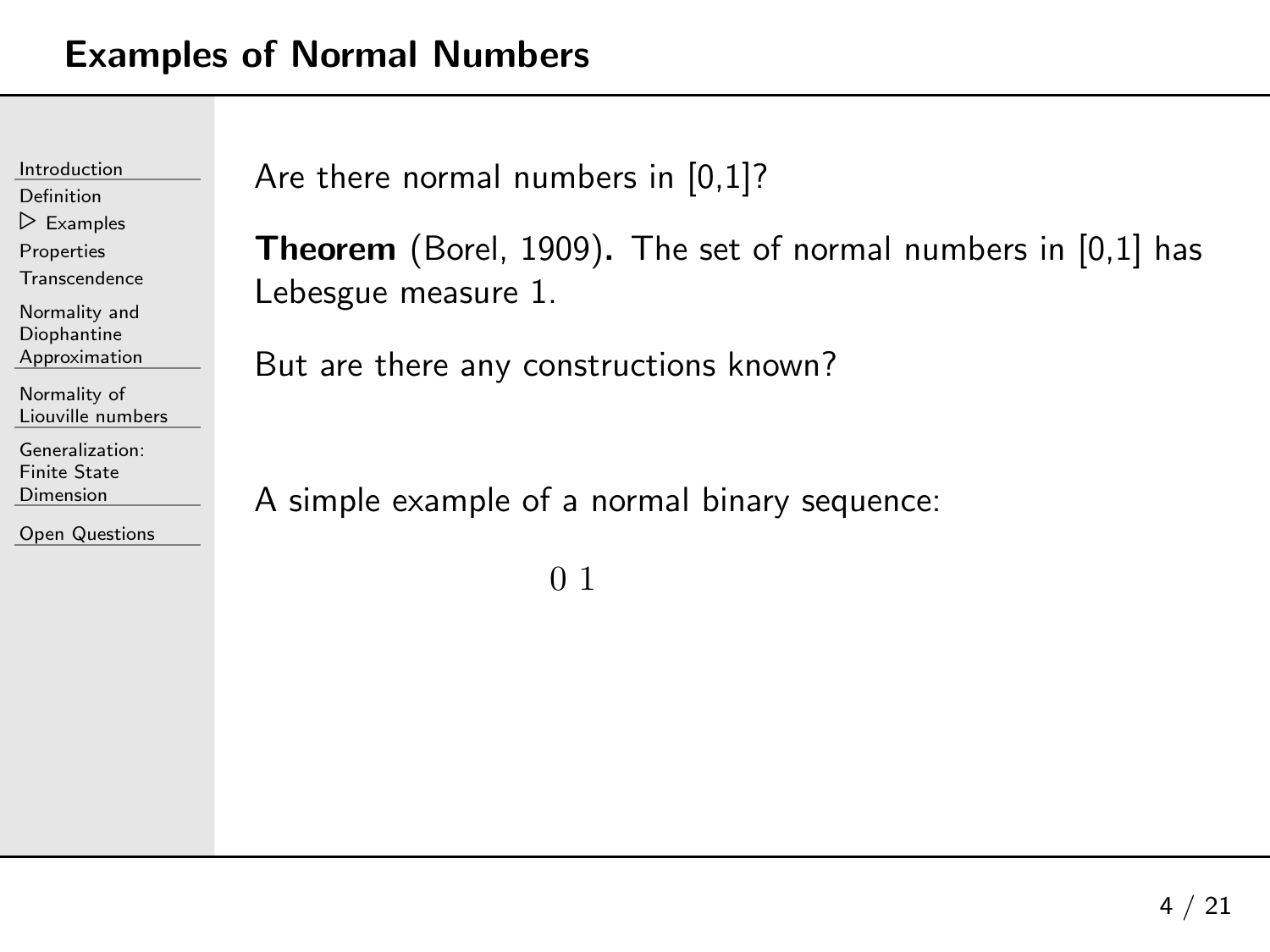| Introduction                      | Are |
|-----------------------------------|-----|
| Definition                        |     |
| $\triangleright$ Examples         |     |
| Properties                        | Th  |
| Transcendence                     | Lel |
| Normality and                     |     |
| Diophantine                       |     |
| Approximation                     | Bu  |
| Normality of<br>Liouville numbers |     |
| Generalization:                   |     |
| <b>Finite State</b>               |     |
| <b>Dimension</b>                  |     |
|                                   |     |

```
e there normal numbers in [0,1]?
```
**Theorem** (Borel, 1909). The set of normal numbers in [0,1] has<br>Leheerus messure 1 besgue measure  $1.$ 

t are there any constructions known?

simple example of a normal binary sequence:

<sup>0</sup> <sup>1</sup>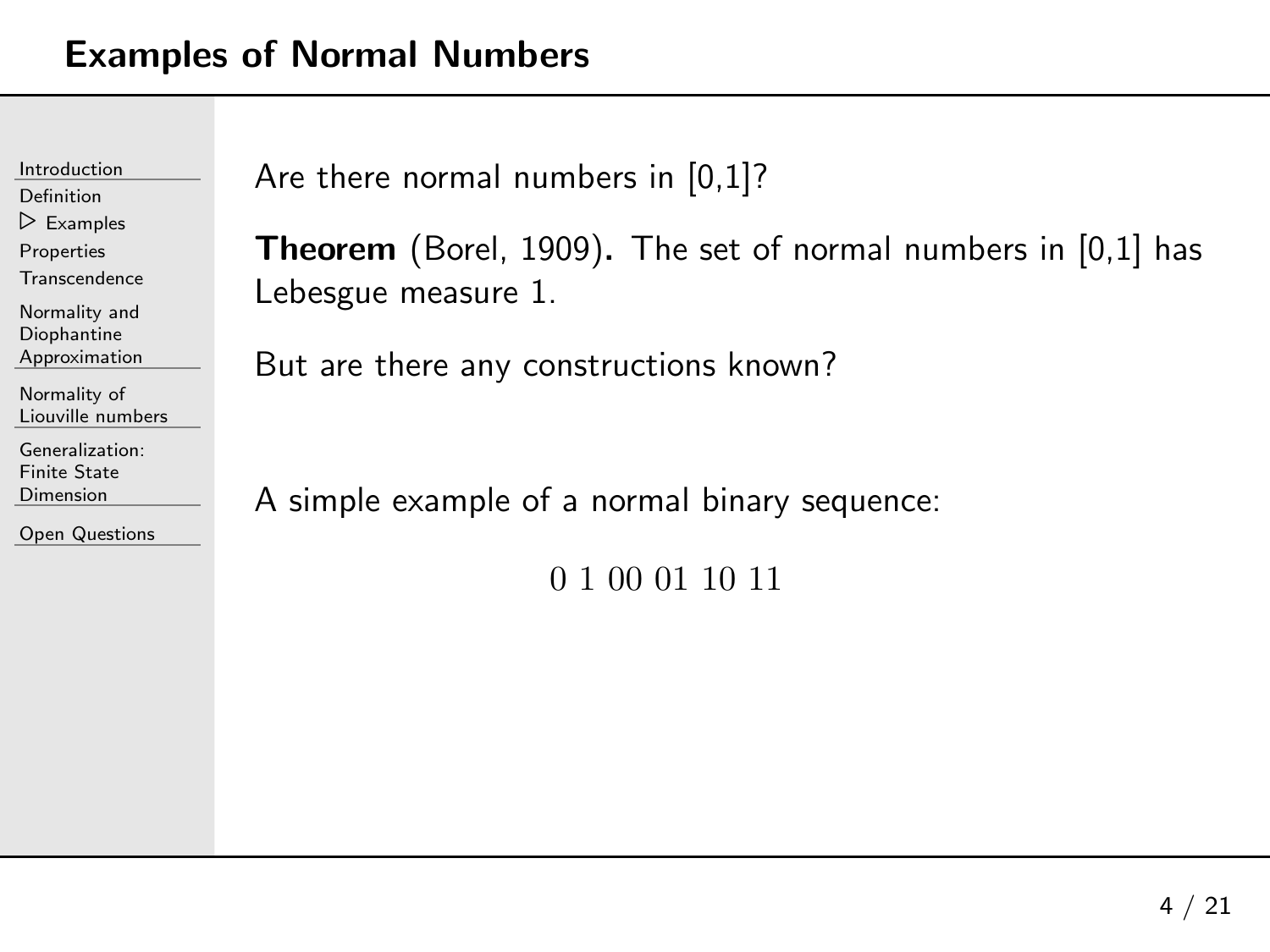| Introduction              | Are |
|---------------------------|-----|
| Definition                |     |
| $\triangleright$ Examples |     |
| Properties                | Th  |
| Transcendence             | Lel |
| Normality and             |     |
| Diophantine               |     |
| Approximation             | Bu  |
| Normality of              |     |
| Liouville numbers         |     |
| Generalization:           |     |
| <b>Finite State</b>       |     |
| Dimension                 |     |
|                           |     |

```
e there normal numbers in [0,1]?
```
**Theorem** (Borel, 1909). The set of normal numbers in [0,1] has<br>Leheerus messure 1 besgue measure 1.

It are there any constructions known?

simple example of a normal binary sequence:

<sup>0</sup> <sup>1</sup> <sup>00</sup> <sup>01</sup> <sup>10</sup> <sup>11</sup>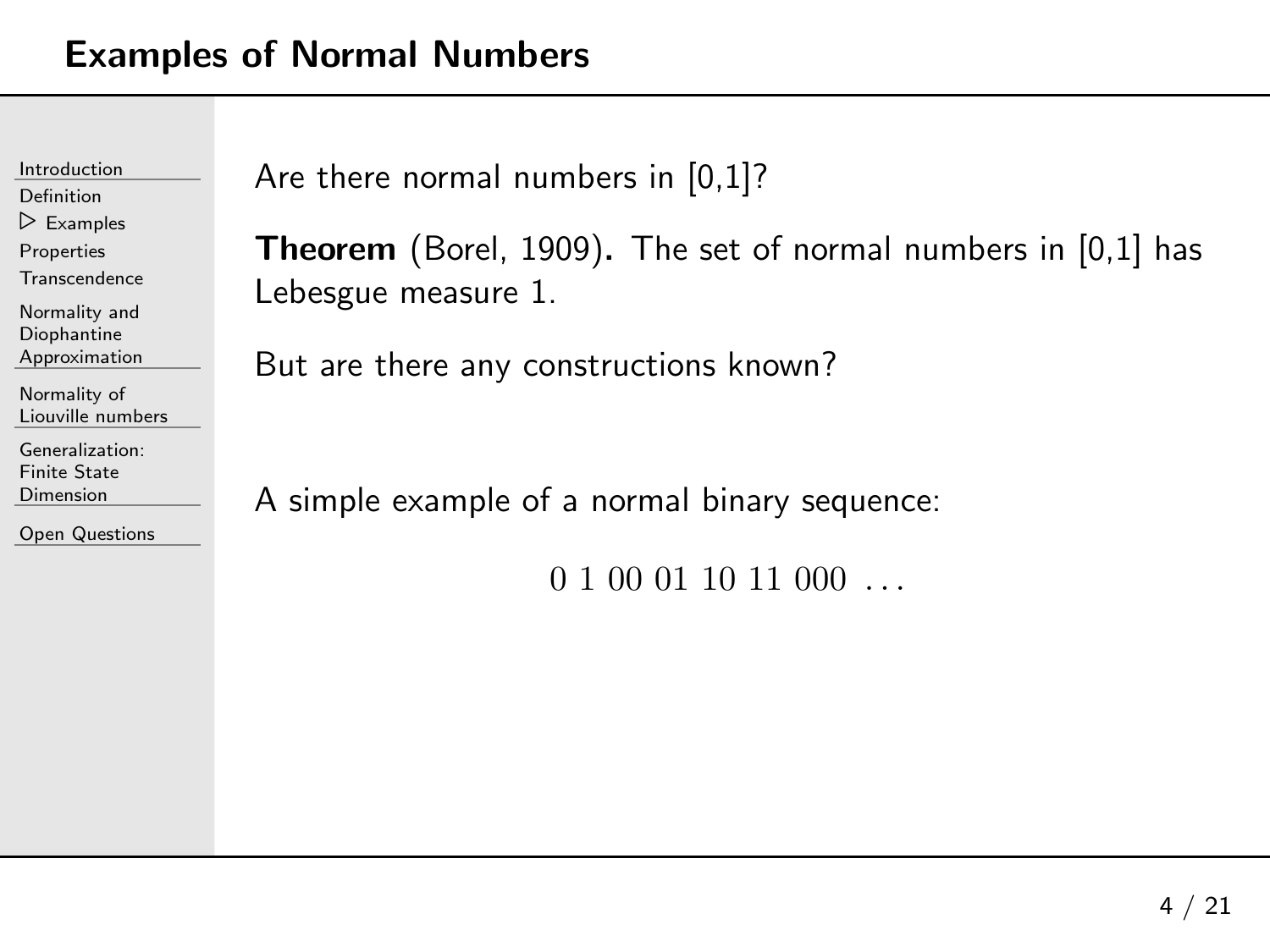| Introduction              |  |
|---------------------------|--|
| Definition                |  |
| $\triangleright$ Examples |  |
| Properties                |  |
| <b>Transcendence</b>      |  |
| Normality and             |  |
| Diophantine               |  |
| Approximation             |  |
| Normality of              |  |
| Liouville numbers         |  |
| Generalization:           |  |
| <b>Finite State</b>       |  |
| Dimension                 |  |
|                           |  |

```
The there normal numbers in [0,1]?
```
**Theorem** (Borel, 1909). The set of normal numbers in [0,1] has<br>Leheerus messure 1 ebesgue measure 1.

 $\delta$ ut are there any constructions known?

simple example of a normal binary sequence:

0 1 00 01 10 11 000 ...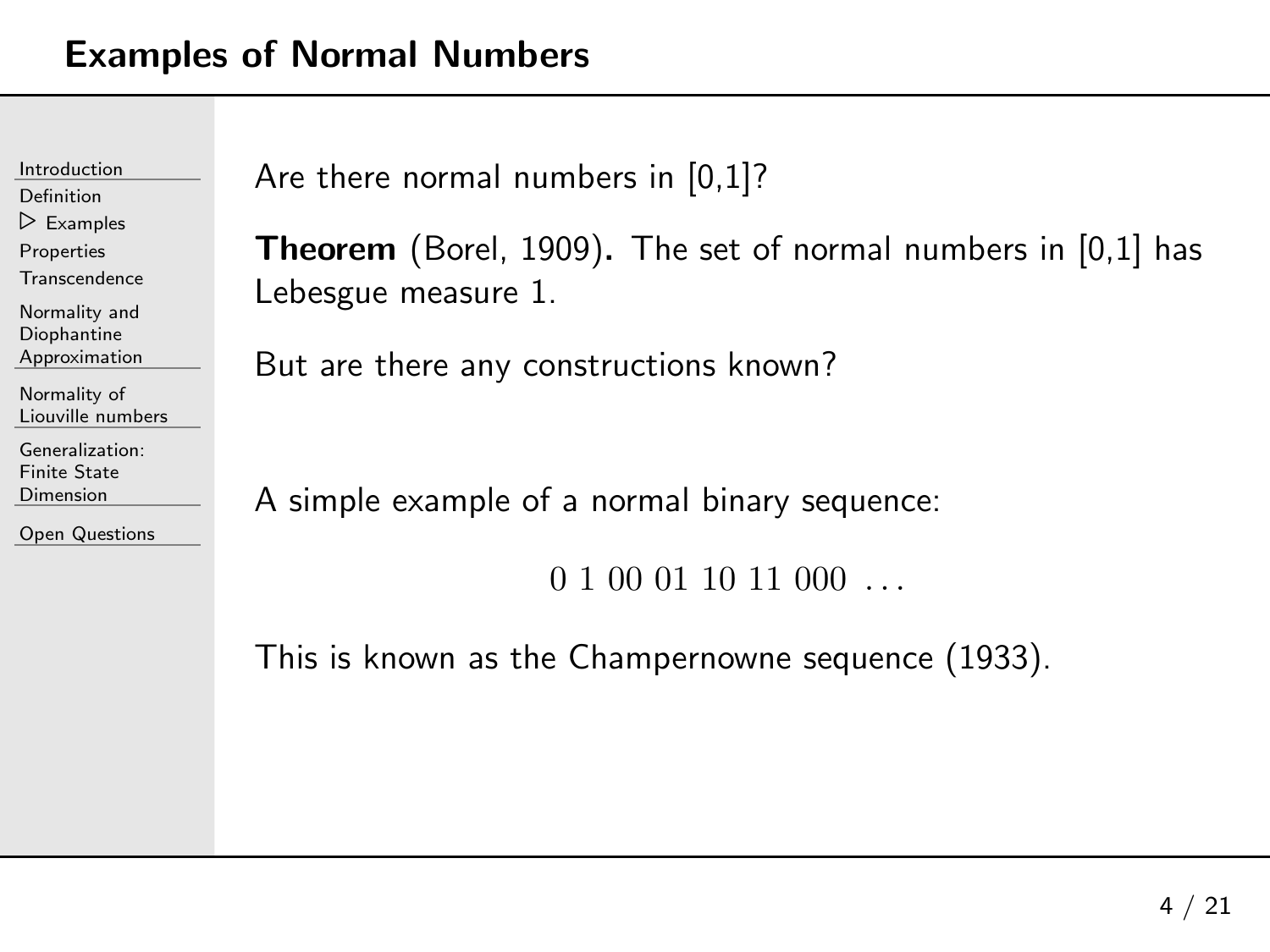| Introduction                      | Are |
|-----------------------------------|-----|
| Definition                        |     |
| $\triangleright$ Examples         |     |
| Properties                        | Tho |
| <b>Transcendence</b>              | Leb |
| Normality and                     |     |
| Diophantine                       |     |
| Approximation                     | But |
| Normality of<br>Liouville numbers |     |
| Generalization:                   |     |
| <b>Finite State</b>               |     |
| Dimension                         |     |
| <b>Open Questions</b>             |     |

```
there normal numbers in [0,1]?
```

```
Theorem (Borel, 1909). The set of normal numbers in [0,1] has<br>Leheerus messure 1
oesgue measure 1.
```
t are there any constructions known?

simple example of a normal binary sequence:

 $0 1 00 01 10 11 000 \ldots$ 

This is known as the Champernowne sequence (1933).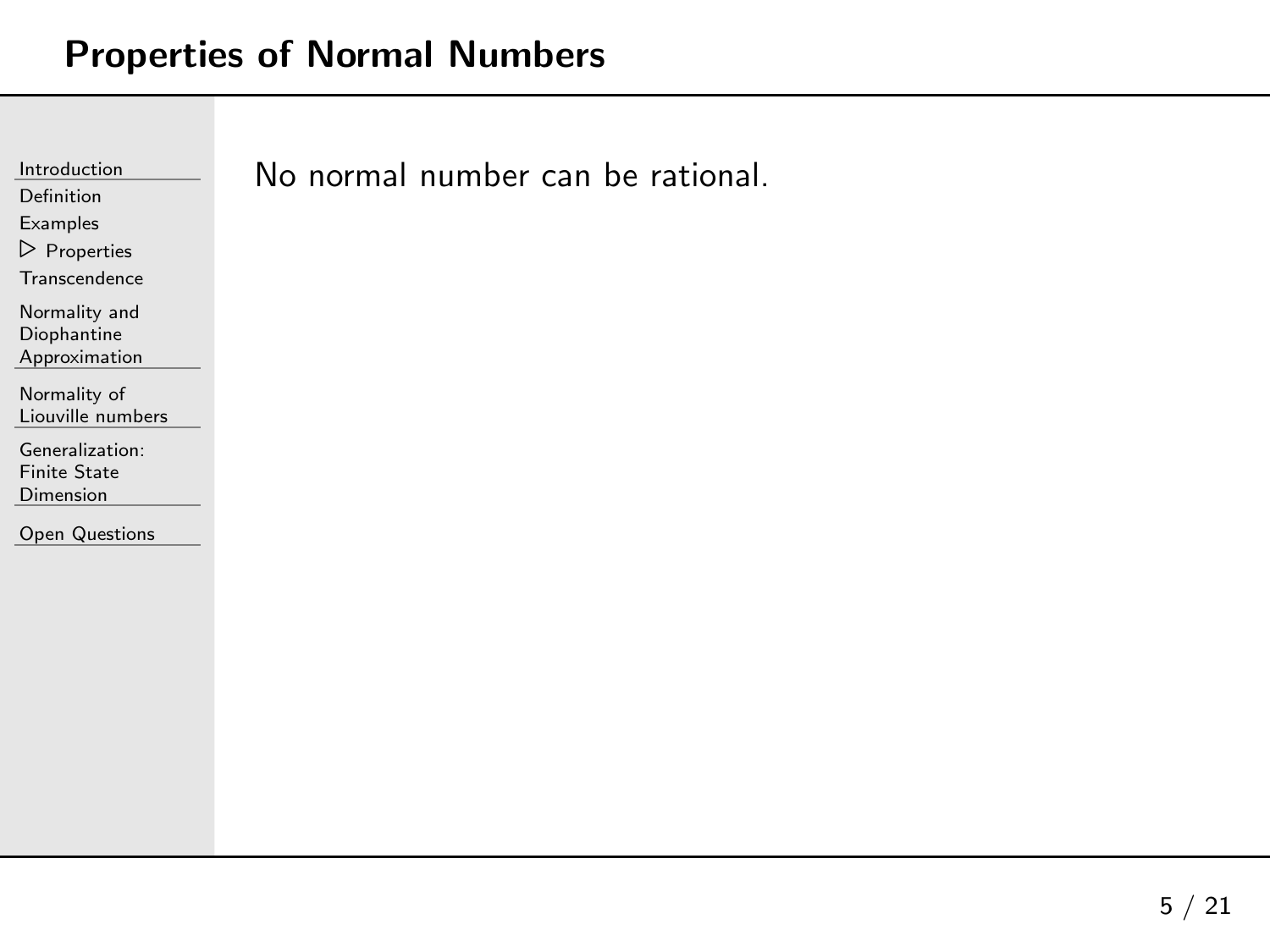<span id="page-15-0"></span>

| Introduction                                        | No normal number can be rational. |
|-----------------------------------------------------|-----------------------------------|
| Definition                                          |                                   |
| Examples                                            |                                   |
| $\triangleright$ Properties                         |                                   |
| Transcendence                                       |                                   |
| Normality and<br>Diophantine<br>Approximation       |                                   |
| Normality of<br>Liouville numbers                   |                                   |
| Generalization:<br><b>Finite State</b><br>Dimension |                                   |
| <b>Open Questions</b>                               |                                   |
|                                                     |                                   |
|                                                     |                                   |
|                                                     |                                   |
|                                                     |                                   |
|                                                     |                                   |
|                                                     |                                   |
|                                                     |                                   |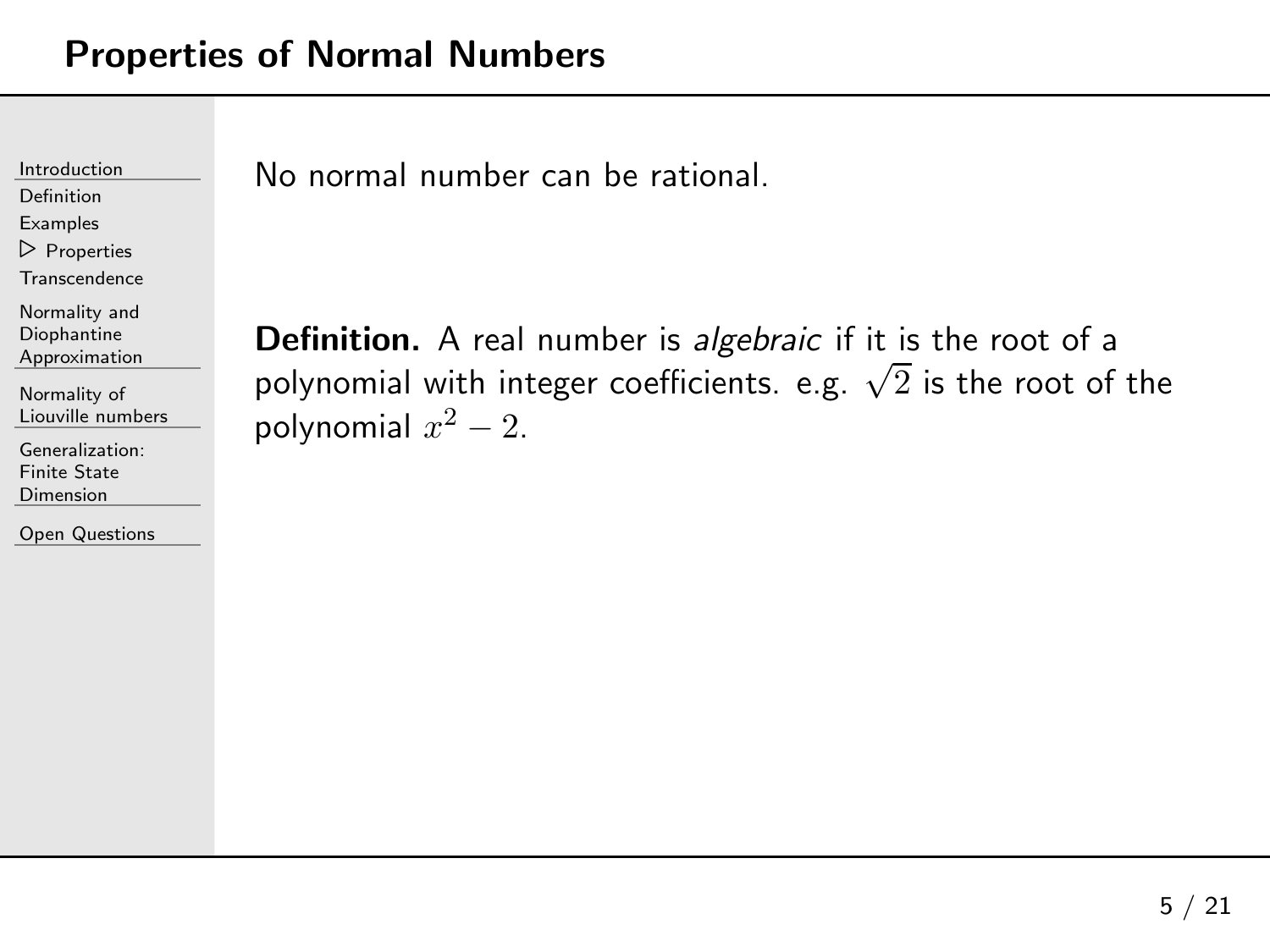[Definition](#page-2-0)[Examples](#page-7-0)

 ⊲ [Properties](#page-15-0) **[Transcendence](#page-20-0)** 

Normality andDiophantine[Approximation](#page-23-0)

[Normality](#page-28-0) of Liouville numbers

[Generalization:](#page-61-0)Finite State Dimension

Open [Questions](#page-73-0)

No normal number can be rational.

**Definition.** A real number is *algebraic* if it is the root of a polynomial with integer coefficients. e.g.  $\sqrt{2}$  is the root of the polynomial  $x$ 2 $^2-2.$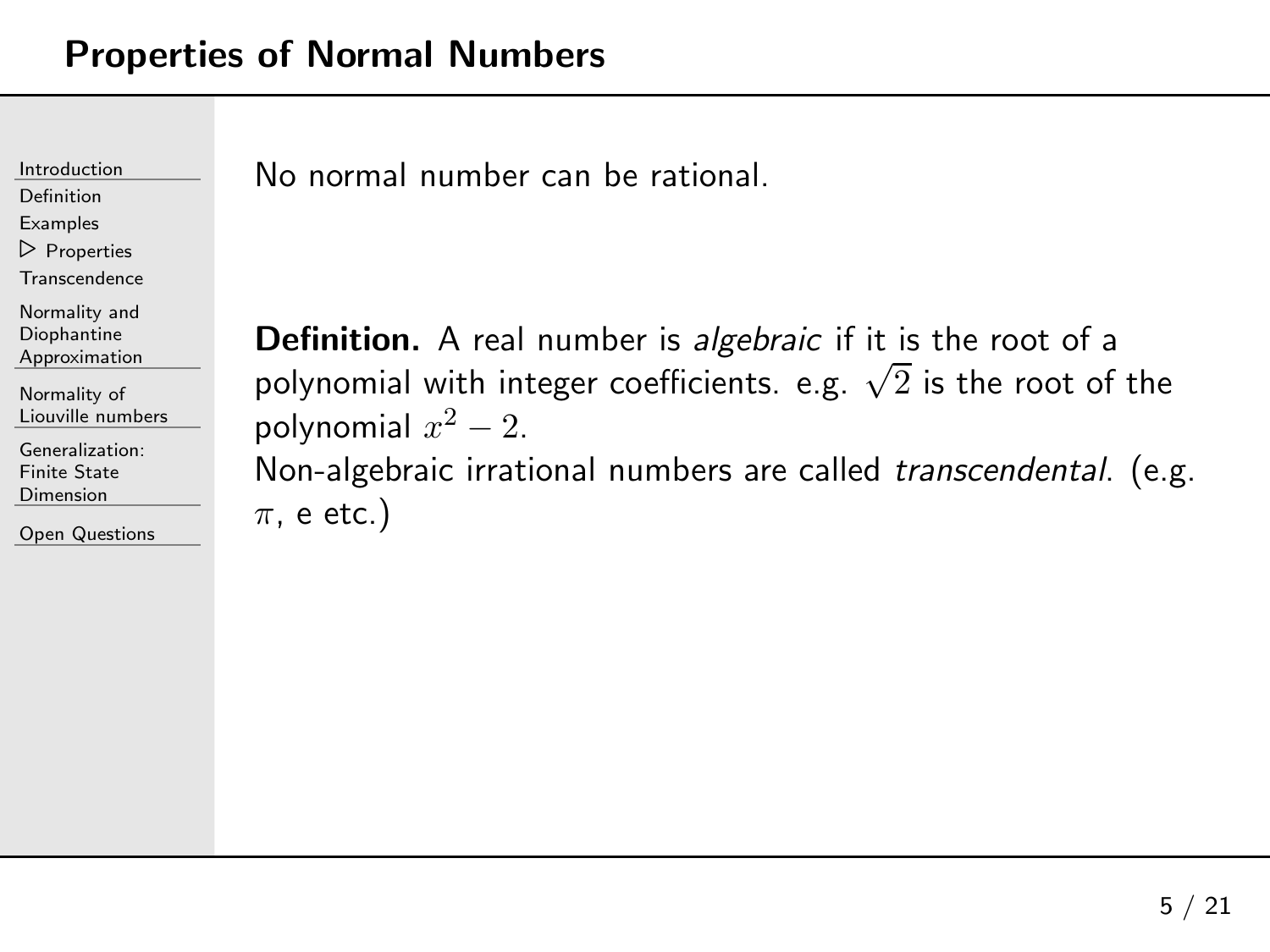[Definition](#page-2-0)

[Examples](#page-7-0)

 ⊲ [Properties](#page-15-0) **[Transcendence](#page-20-0)** 

Normality andDiophantine

 [Approximation](#page-23-0)[Normality](#page-28-0) of

Liouville numbers

[Generalization:](#page-61-0)Finite State Dimension

Open [Questions](#page-73-0)

No normal number can be rational.

**Definition.** A real number is *algebraic* if it is the root of a polynomial with integer coefficients. e.g.  $\sqrt{2}$  is the root of the polynomial  $x$ Non-algebraic irrational numbers are called *transcendental*. (e.g. 2 $^2-2.$  $\pi$ , e etc.)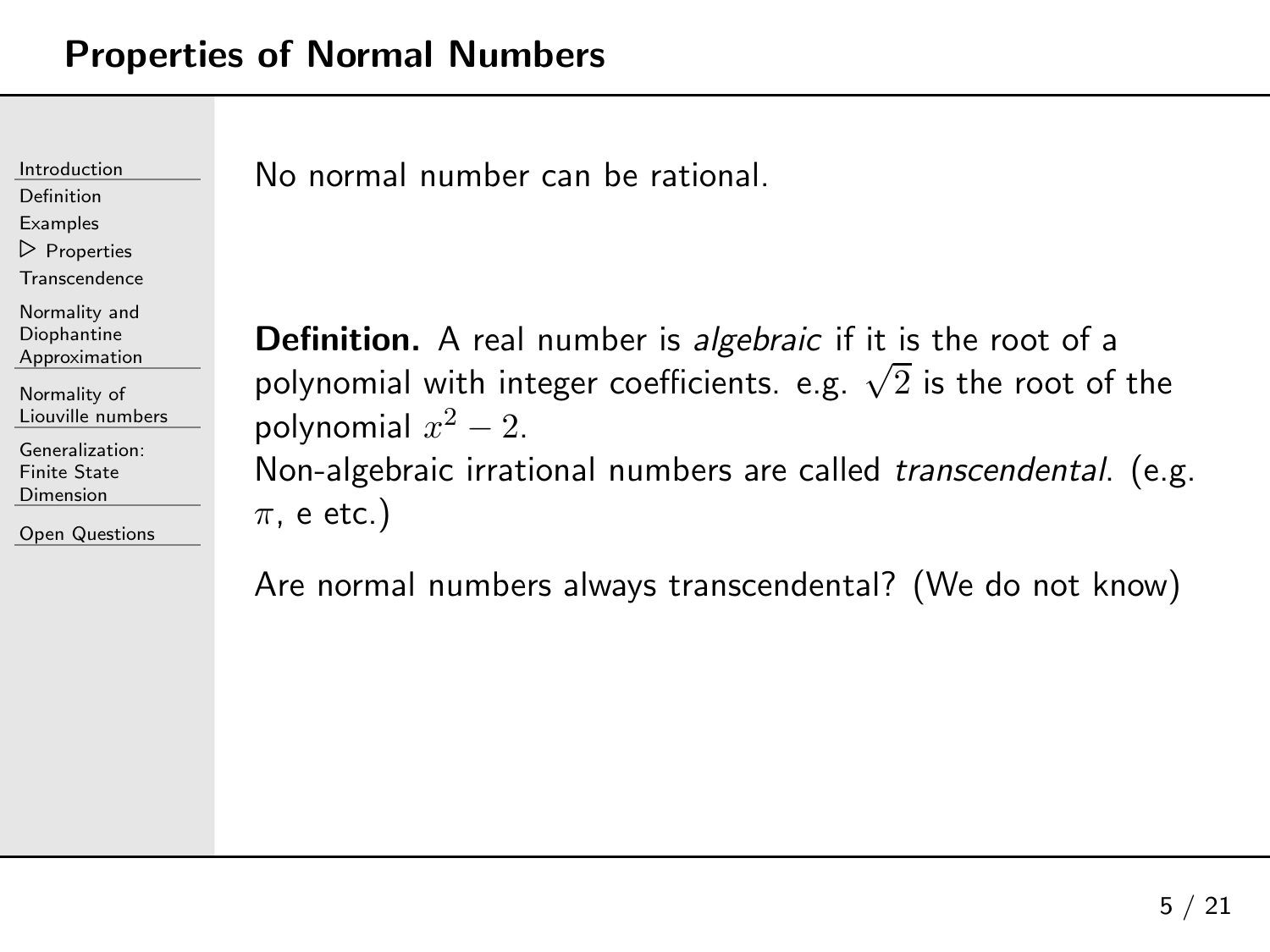[Definition](#page-2-0)

[Examples](#page-7-0)

⊲ [Properties](#page-15-0)

**[Transcendence](#page-20-0)** 

Normality andDiophantine

[Approximation](#page-23-0)

[Normality](#page-28-0) of Liouville numbers

[Generalization:](#page-61-0)Finite State Dimension

Open [Questions](#page-73-0)

No normal number can be rational.

**Definition.** A real number is *algebraic* if it is the root of a polynomial with integer coefficients. e.g.  $\sqrt{2}$  is the root of the polynomial  $x$ Non-algebraic irrational numbers are called *transcendental*. (e.g. 2 $^2-2.$  $\pi$ , e etc.)

Are normal numbers always transcendental? (We do not know)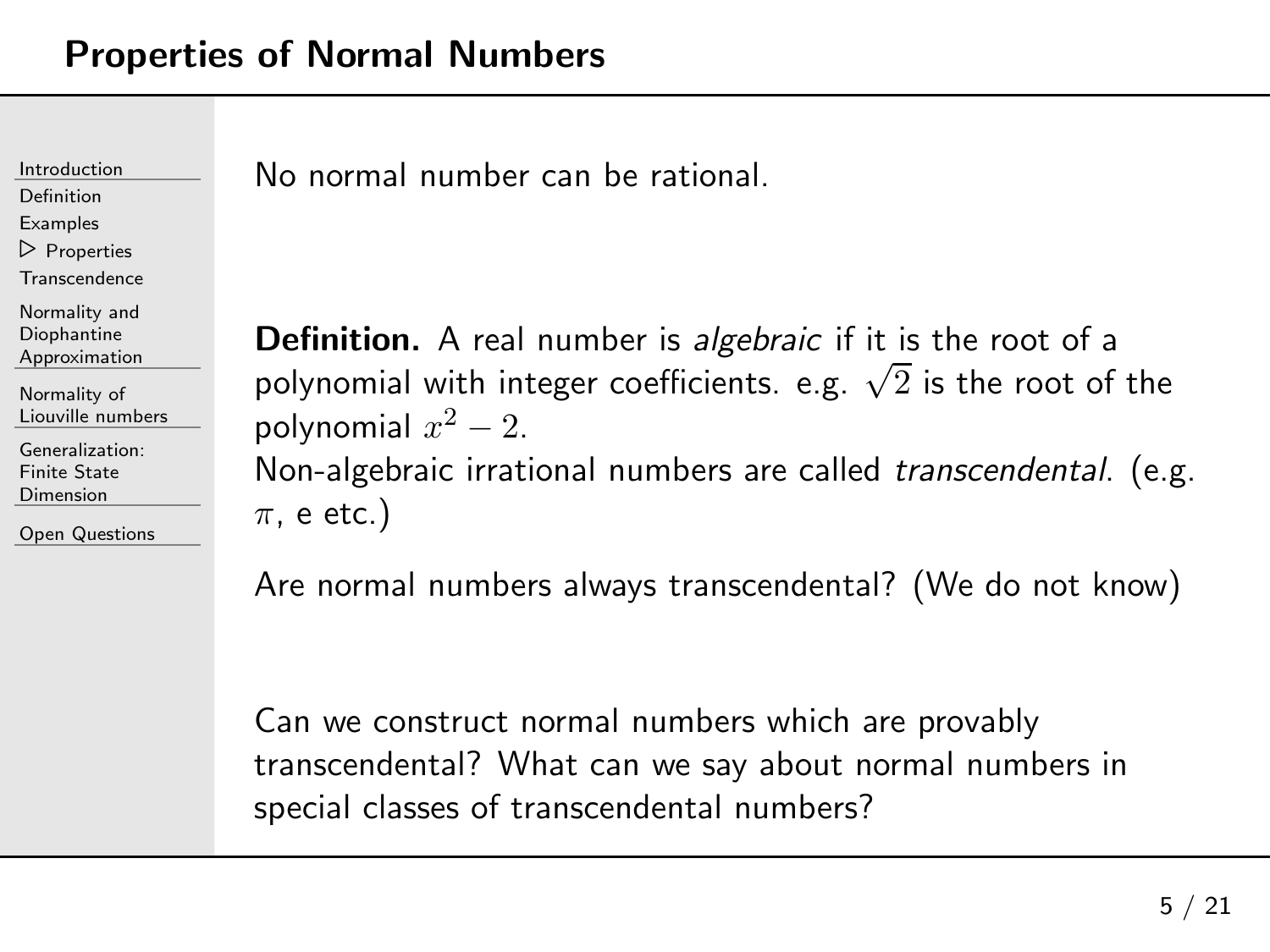[Definition](#page-2-0)[Examples](#page-7-0)

⊲ [Properties](#page-15-0) **[Transcendence](#page-20-0)** 

Normality andDiophantine[Approximation](#page-23-0)

[Normality](#page-28-0) of Liouville numbers

[Generalization:](#page-61-0)Finite State **Dimension** 

Open [Questions](#page-73-0)

No normal number can be rational.

**Definition.** A real number is *algebraic* if it is the root of a polynomial with integer coefficients. e.g.  $\sqrt{2}$  is the root of the polynomial  $x$ Non-algebraic irrational numbers are called *transcendental*. (e.g. 2 $^2-2.$  $\pi$ , e etc.)

Are normal numbers always transcendental? (We do not know)

Can we construct normal numbers which are provably transcendental? What can we say about normal numbers inspecial classes of transcendental numbers?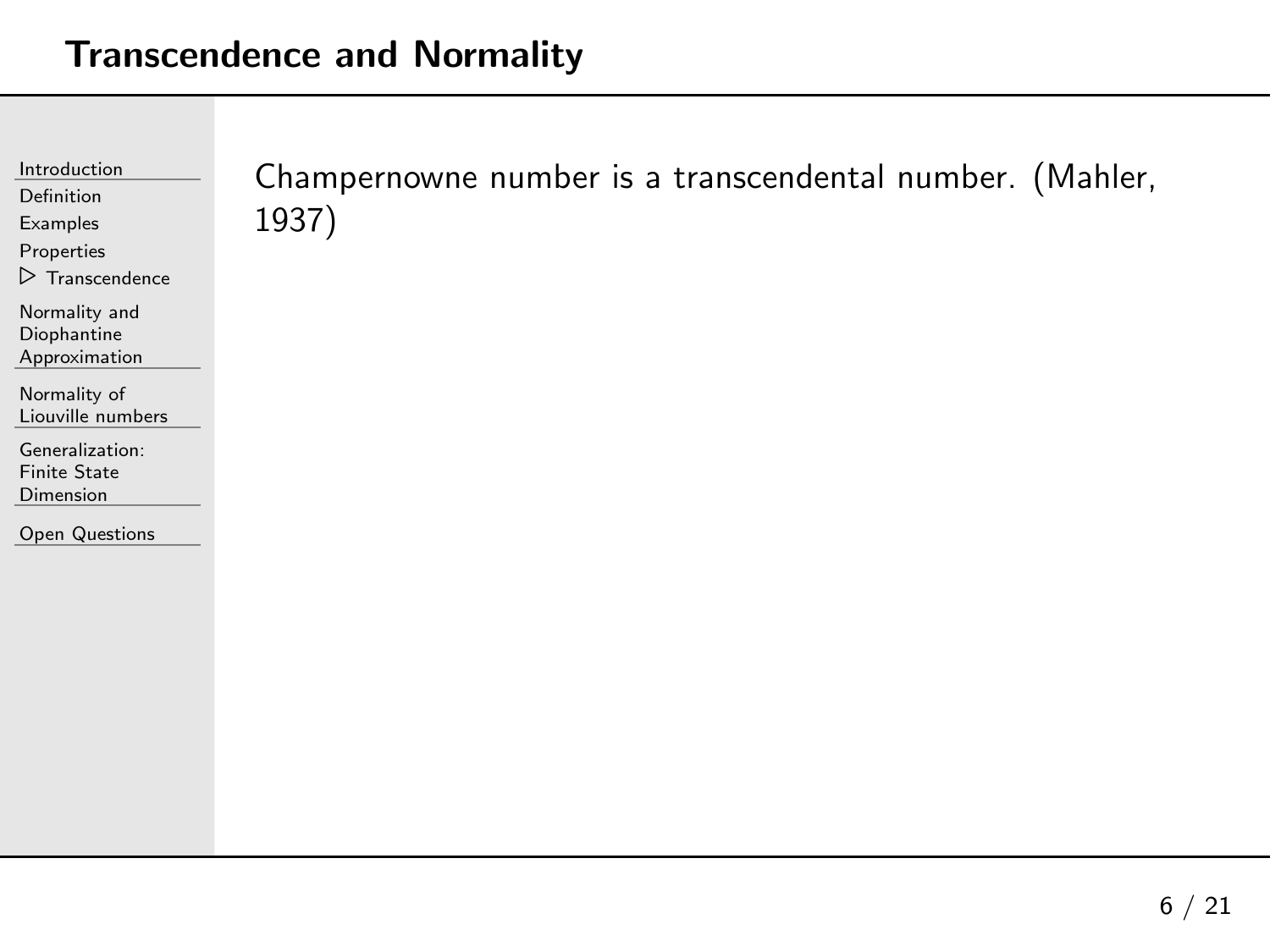<span id="page-20-0"></span>

| Introduction<br>Definition<br>Examples<br>Properties<br>$\triangleright$ Transcendence | Champernowne number is a transcendental number. (Mahler,<br>1937) |
|----------------------------------------------------------------------------------------|-------------------------------------------------------------------|
| Normality and<br>Diophantine<br>Approximation                                          |                                                                   |
| Normality of<br>Liouville numbers                                                      |                                                                   |
| Generalization:<br><b>Finite State</b><br>Dimension                                    |                                                                   |
| Open Questions                                                                         |                                                                   |
|                                                                                        |                                                                   |
|                                                                                        |                                                                   |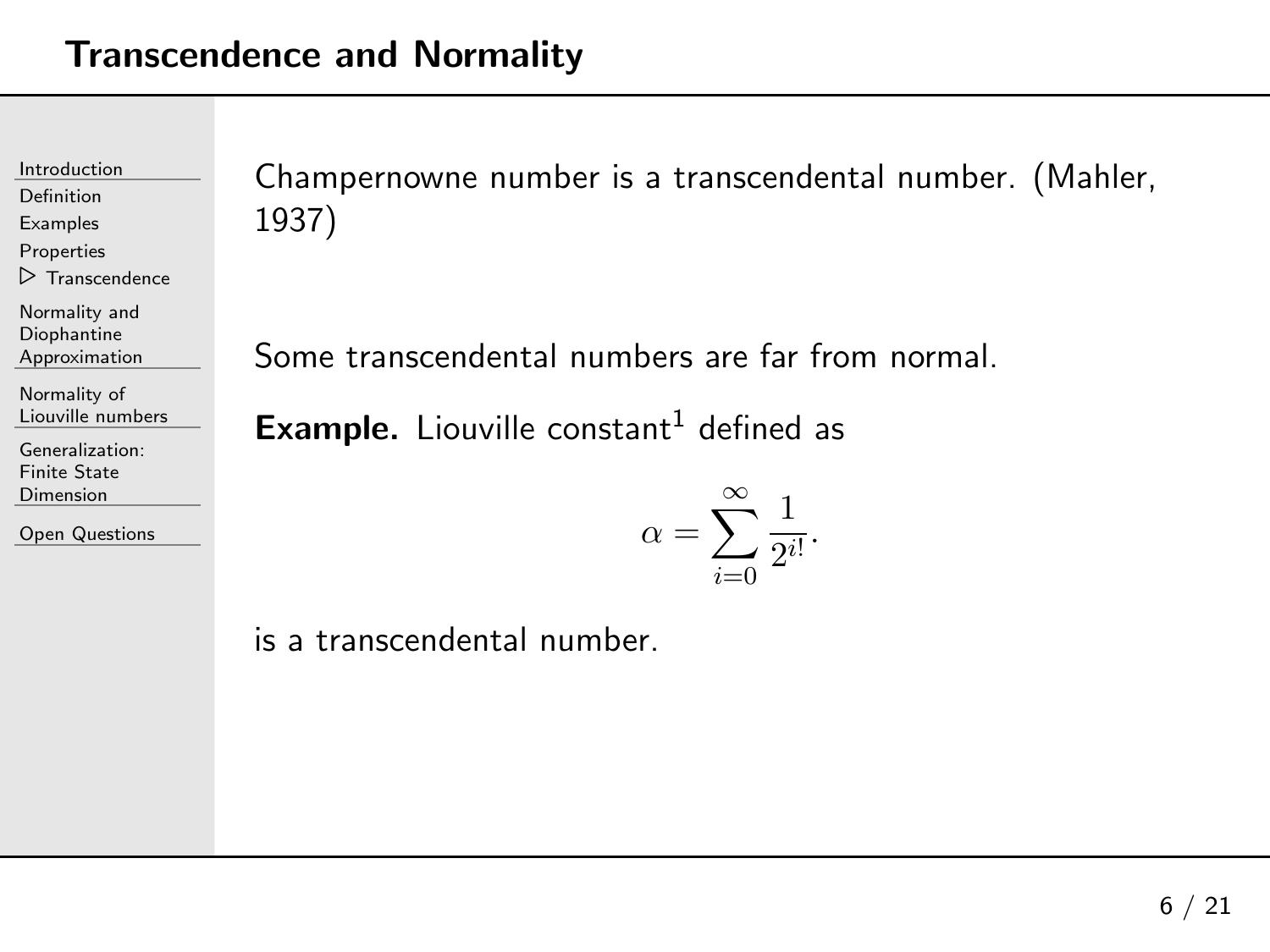[Definition](#page-2-0)

[Examples](#page-7-0)

[Properties](#page-15-0)

 $\triangleright$  [Transcendence](#page-20-0)

Normality andDiophantine

[Approximation](#page-23-0)

[Normality](#page-28-0) of Liouville numbers

[Generalization:](#page-61-0)Finite State Dimension

Open [Questions](#page-73-0)

Champernowne number is <sup>a</sup> transcendental number. (Mahler, 1937)

<span id="page-21-0"></span>Some transcendental numbers are far from normal.

 $\pmb{\text{Example.}}$  Liouville constant $^1$  $^1$  defined as

$$
\alpha = \sum_{i=0}^{\infty} \frac{1}{2^{i!}}.
$$

is <sup>a</sup> transcendental number.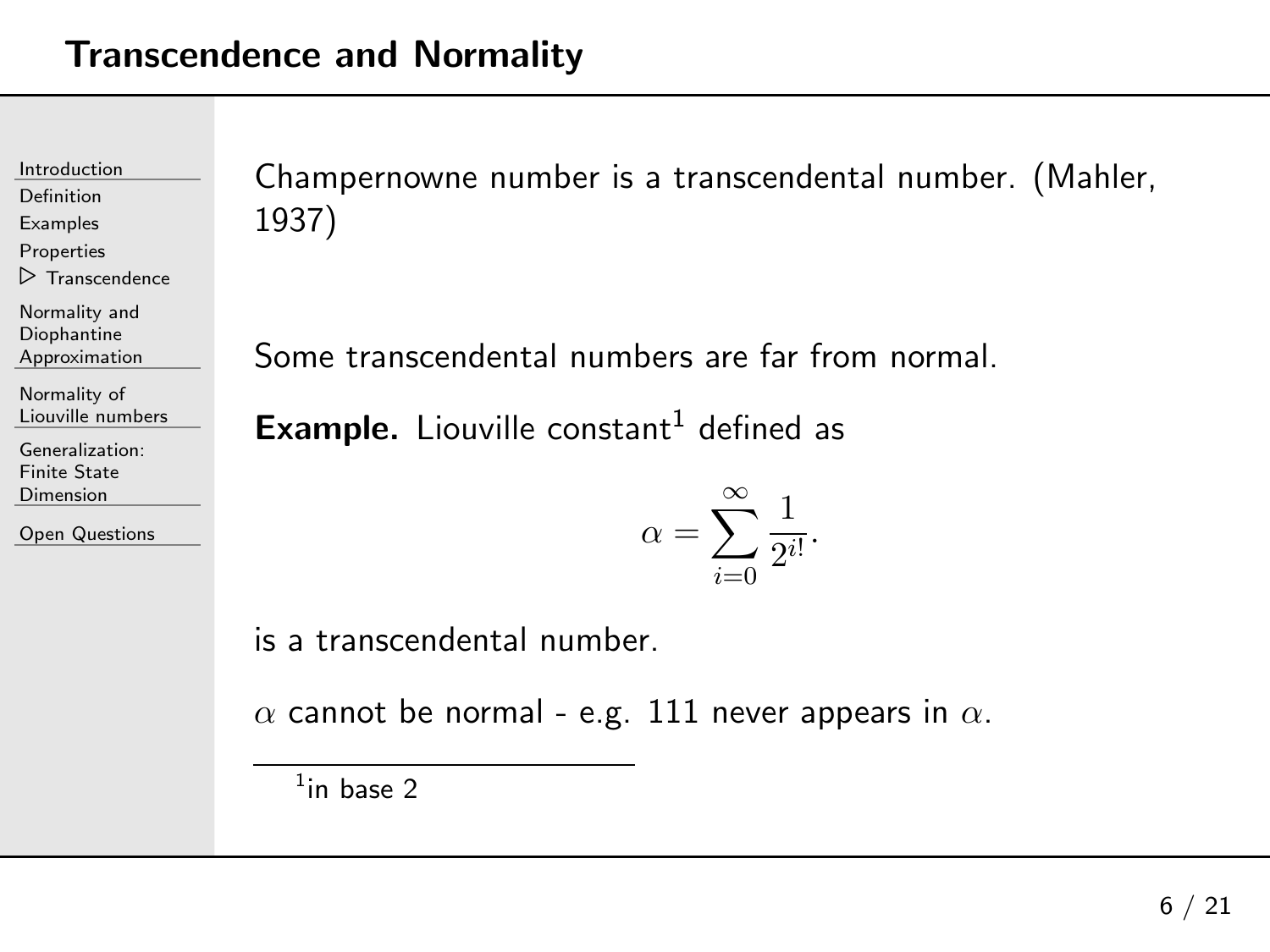[Definition](#page-2-0)

[Examples](#page-7-0)

[Properties](#page-15-0)

 $\triangleright$  [Transcendence](#page-20-0)

Normality andDiophantine

[Approximation](#page-23-0)

[Normality](#page-28-0) of Liouville numbers

[Generalization:](#page-61-0)Finite State Dimension

Open [Questions](#page-73-0)

Champernowne number is <sup>a</sup> transcendental number. (Mahler, 1937)

<span id="page-22-0"></span>Some transcendental numbers are far from normal.

 $\pmb{\text{Example.}}$  Liouville constant $^1$  $^1$  defined as

$$
\alpha = \sum_{i=0}^{\infty} \frac{1}{2^{i!}}.
$$

is <sup>a</sup> transcendental number.

 $\alpha$  cannot be normal - e.g.  $111$  never appears in  $\alpha.$ 

 $1$ in base 2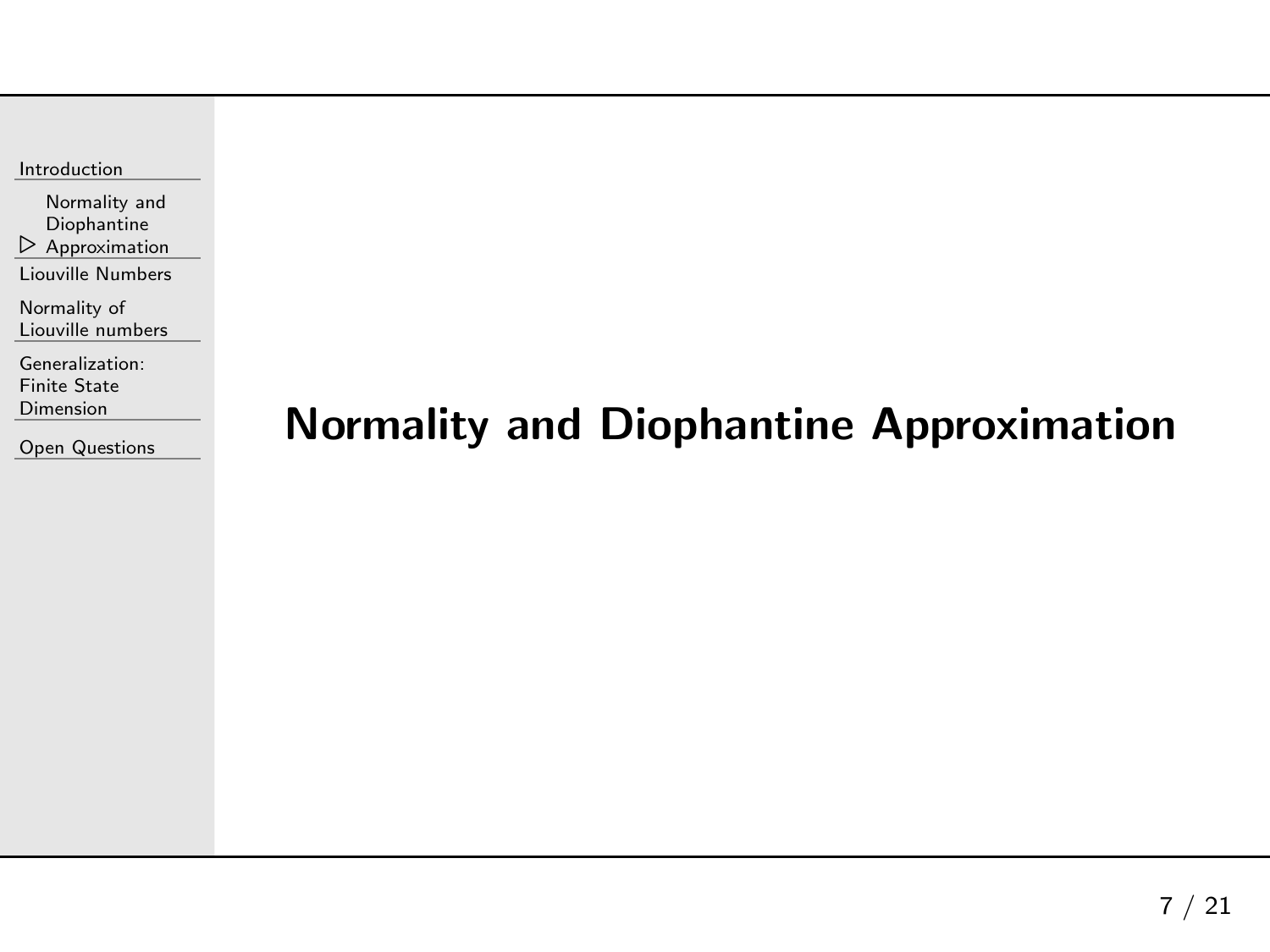<span id="page-23-0"></span>

| Introduction |
|--------------|
|              |

 $\triangleright$  [Approximation](#page-23-0) Normality andDiophantine

Liouville [Numbers](#page-24-0)

[Normality](#page-28-0) of Liouville numbers

[Generalization:](#page-61-0)Finite State Dimension

Open [Questions](#page-73-0)

# Normality and Diophantine Approximation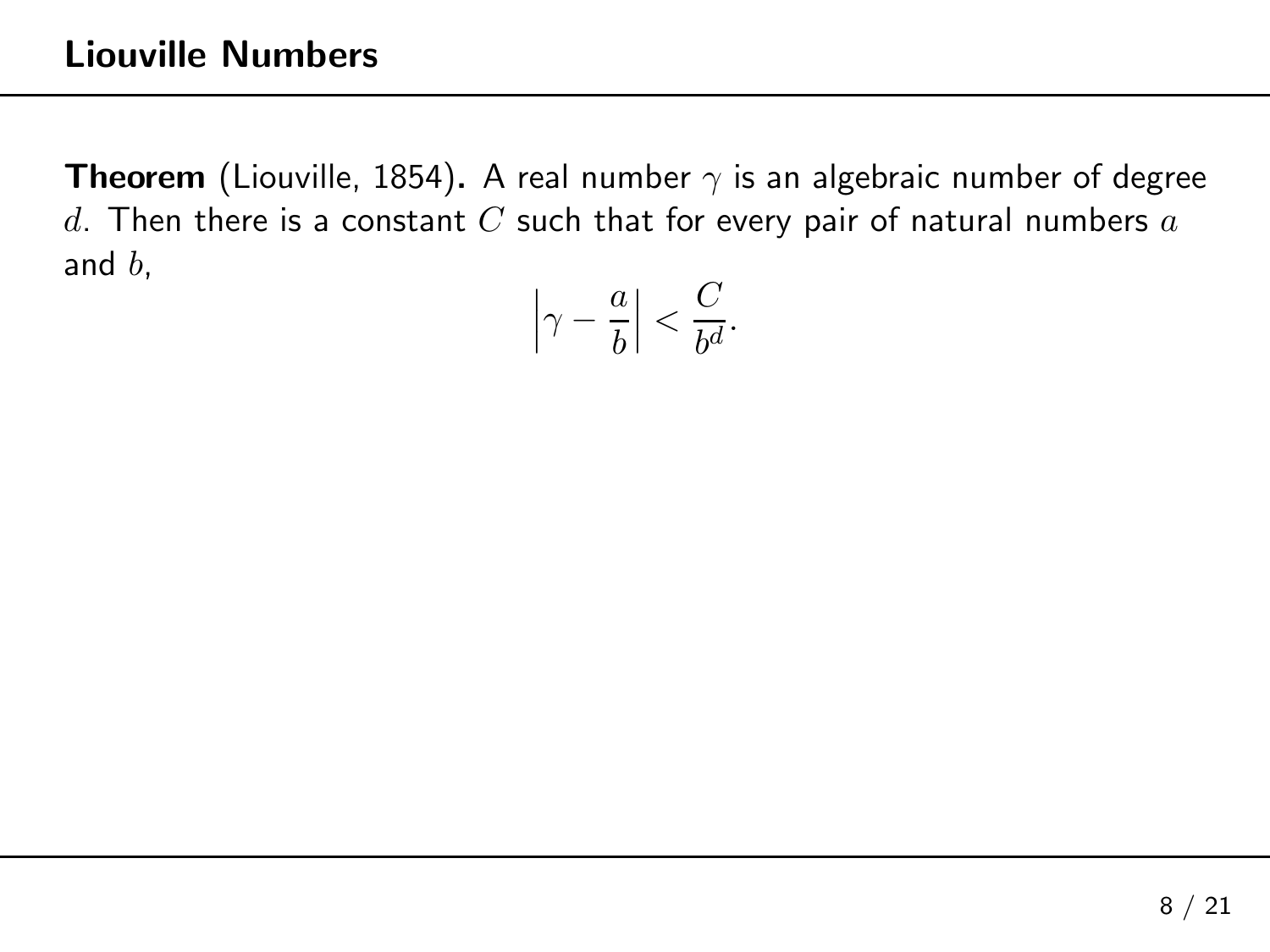<span id="page-24-0"></span>
$$
\left|\gamma - \frac{a}{b}\right| < \frac{C}{b^d}.
$$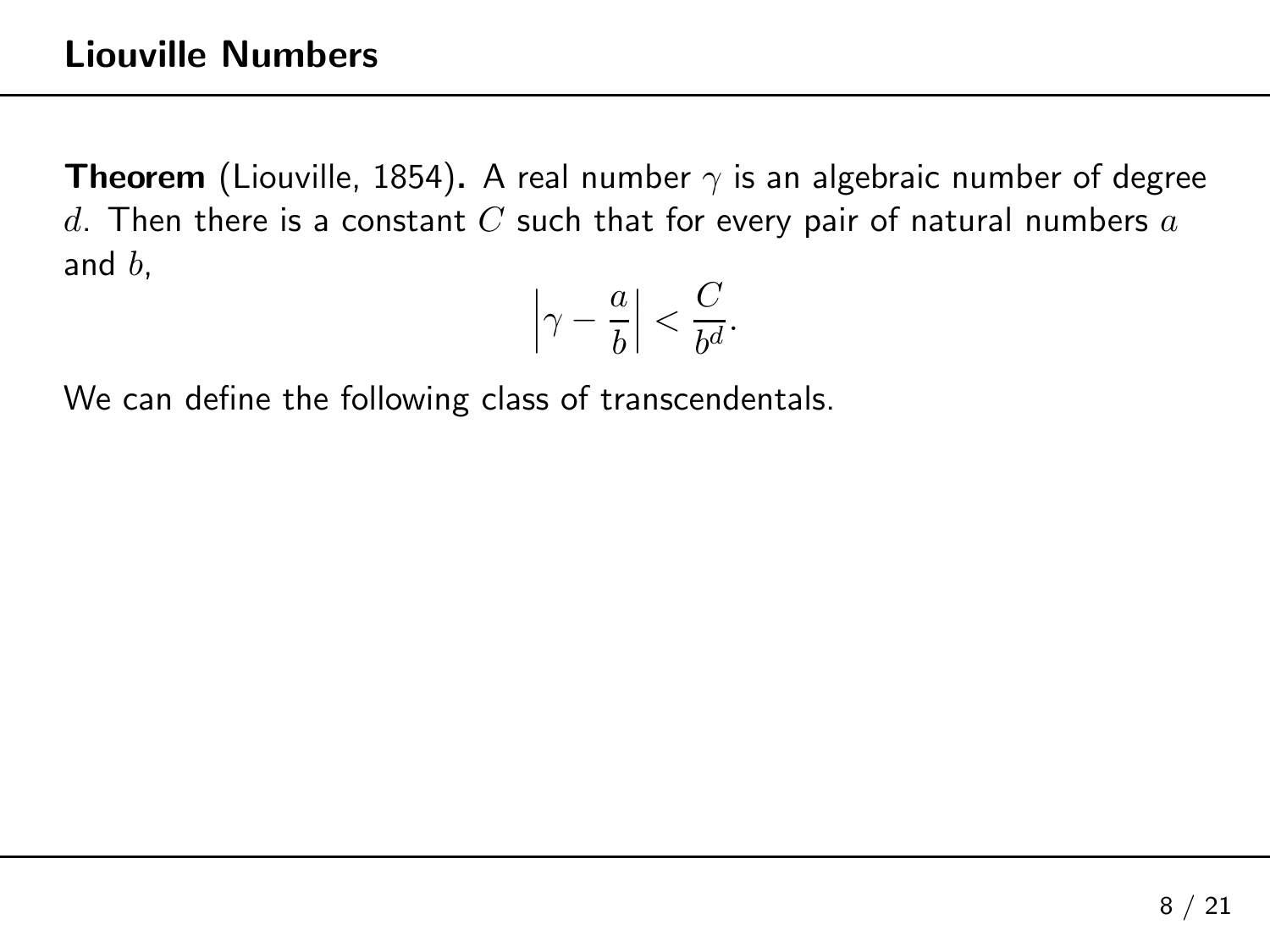$$
\left|\gamma - \frac{a}{b}\right| < \frac{C}{b^d}.
$$

We can define the following class of transcendentals.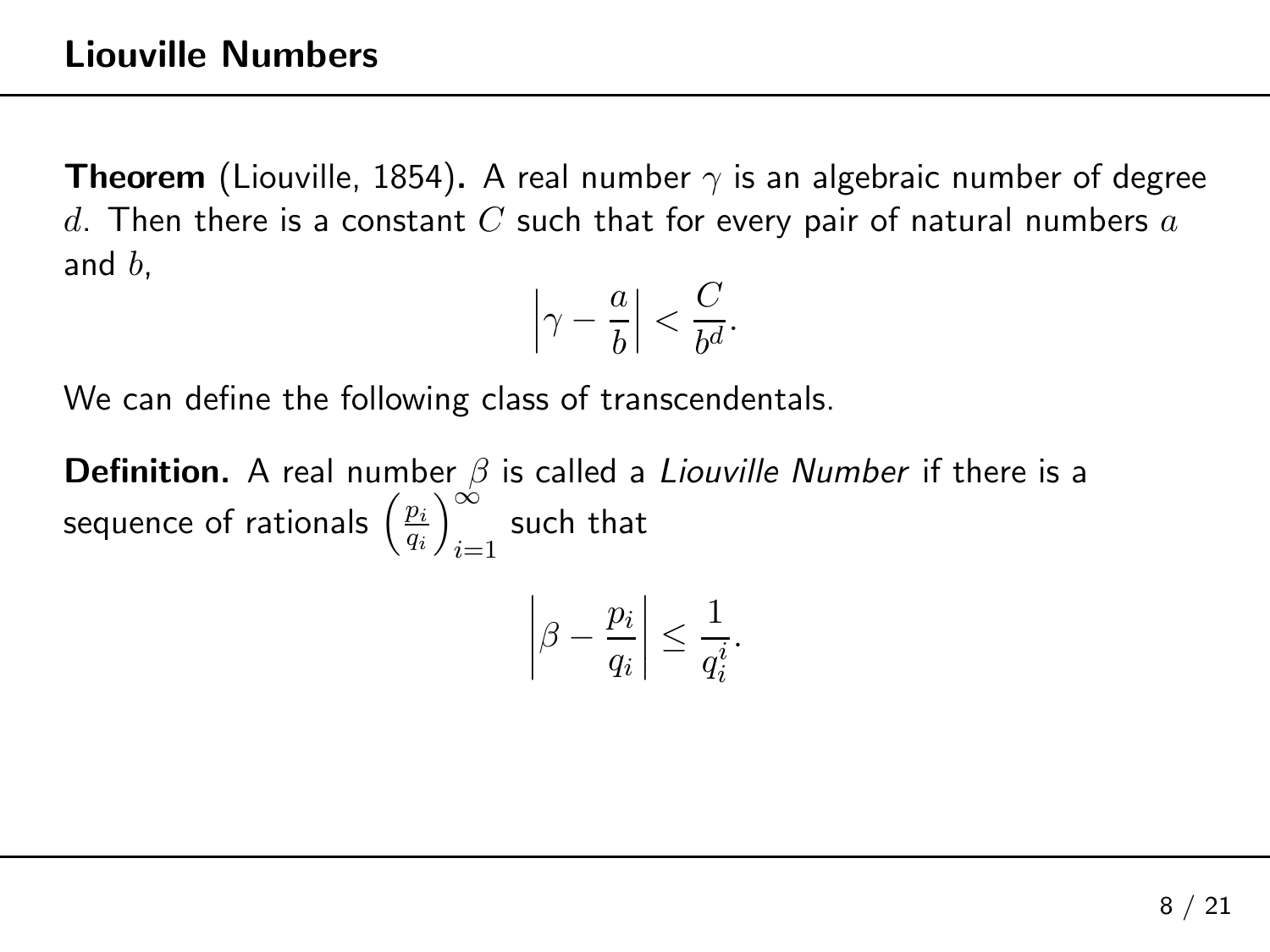$$
\left|\gamma - \frac{a}{b}\right| < \frac{C}{b^d}.
$$

We can define the following class of transcendentals.

 $\mathop{\mathsf{Definition.}}$  A real number  $\beta$  is called a *Liouville Number* if there is a sequence of rationals  $\left(\frac{p_i}{q_i}\right)_{i=1}^{\infty}$ such that  $\frac{1}{1}$ 

$$
\left|\beta - \frac{p_i}{q_i}\right| \le \frac{1}{q_i^i}.
$$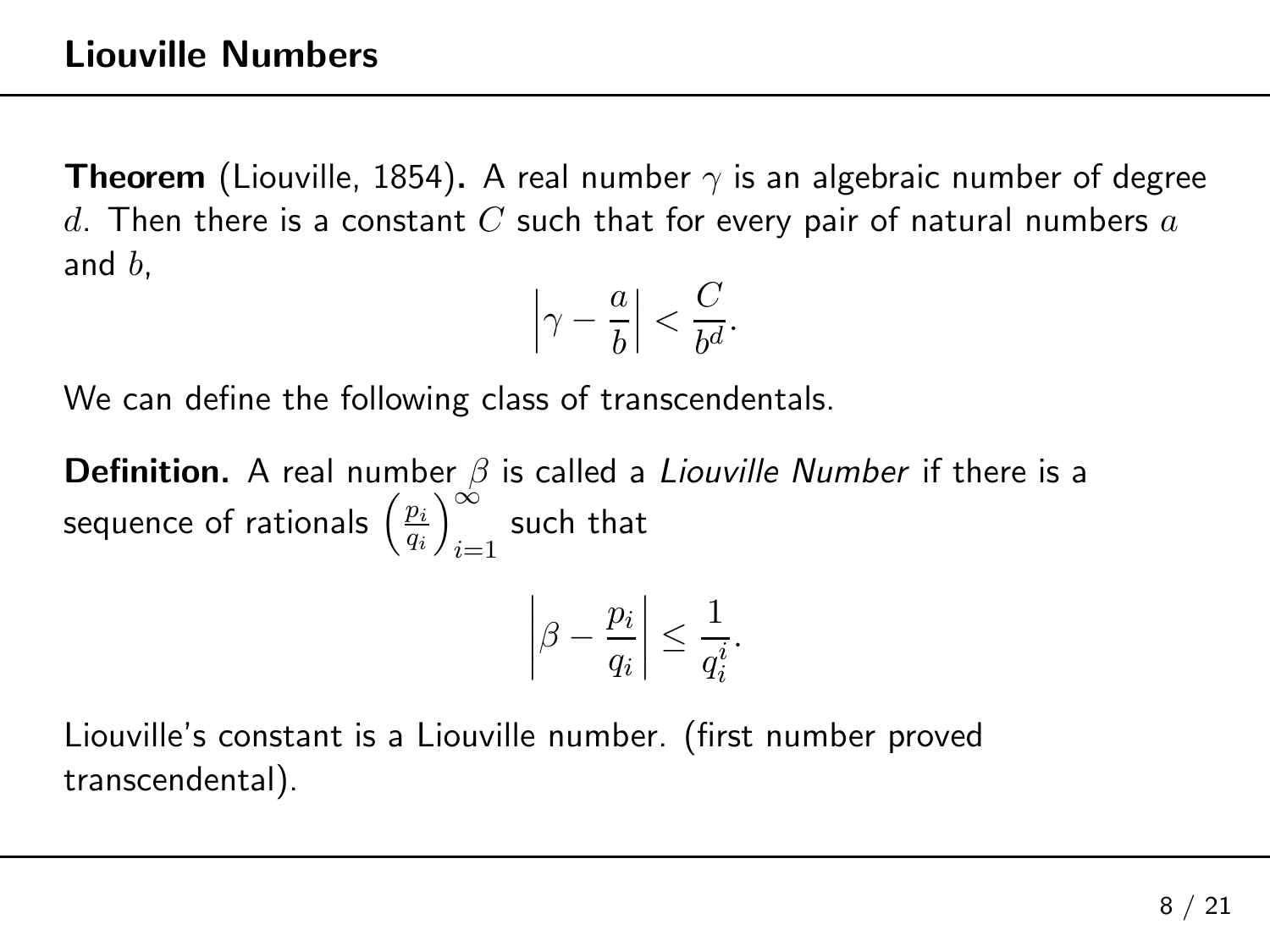$$
\left|\gamma - \frac{a}{b}\right| < \frac{C}{b^d}.
$$

We can define the following class of transcendentals.

 $\mathop{\mathsf{Definition.}}$  A real number  $\beta$  is called a *Liouville Number* if there is a sequence of rationals  $\left(\frac{p_i}{q_i}\right)_{i=1}^{\infty}$ such that  $\frac{1}{1}$ 

$$
\left|\beta-\frac{p_i}{q_i}\right|\leq \frac{1}{q_i^i}.
$$

Liouville's constant is <sup>a</sup> Liouville number. (first number provedtranscendental).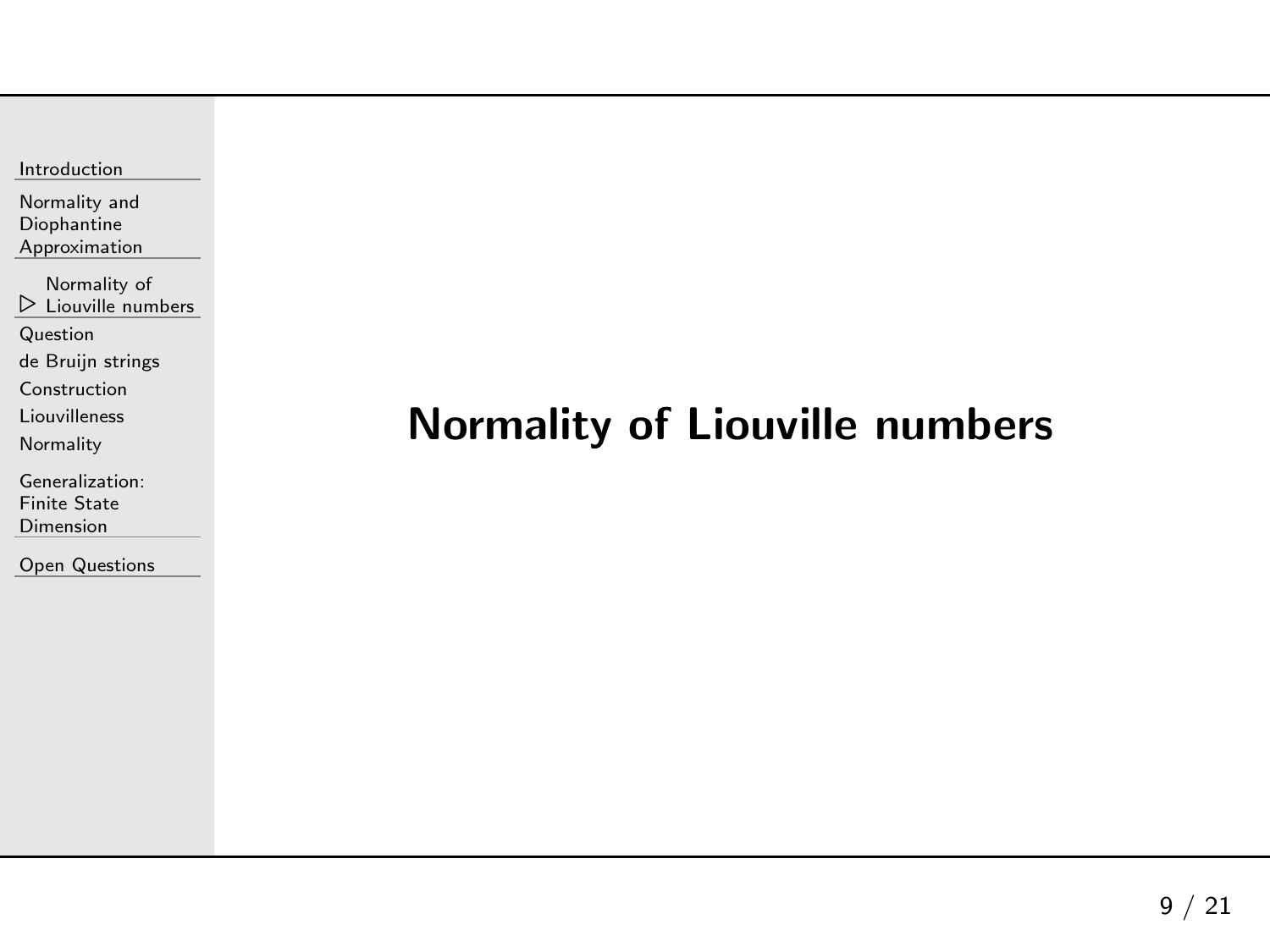<span id="page-28-0"></span>

 $\triangleright$  Liouville numbers [Normality](#page-28-0) of

[Question](#page-29-0)

de Bruijn [strings](#page-34-0)

[Construction](#page-41-0)

[Liouvilleness](#page-49-0)

[Normality](#page-55-0)

[Generalization:](#page-61-0)Finite State Dimension

Open [Questions](#page-73-0)

## Normality of Liouville numbers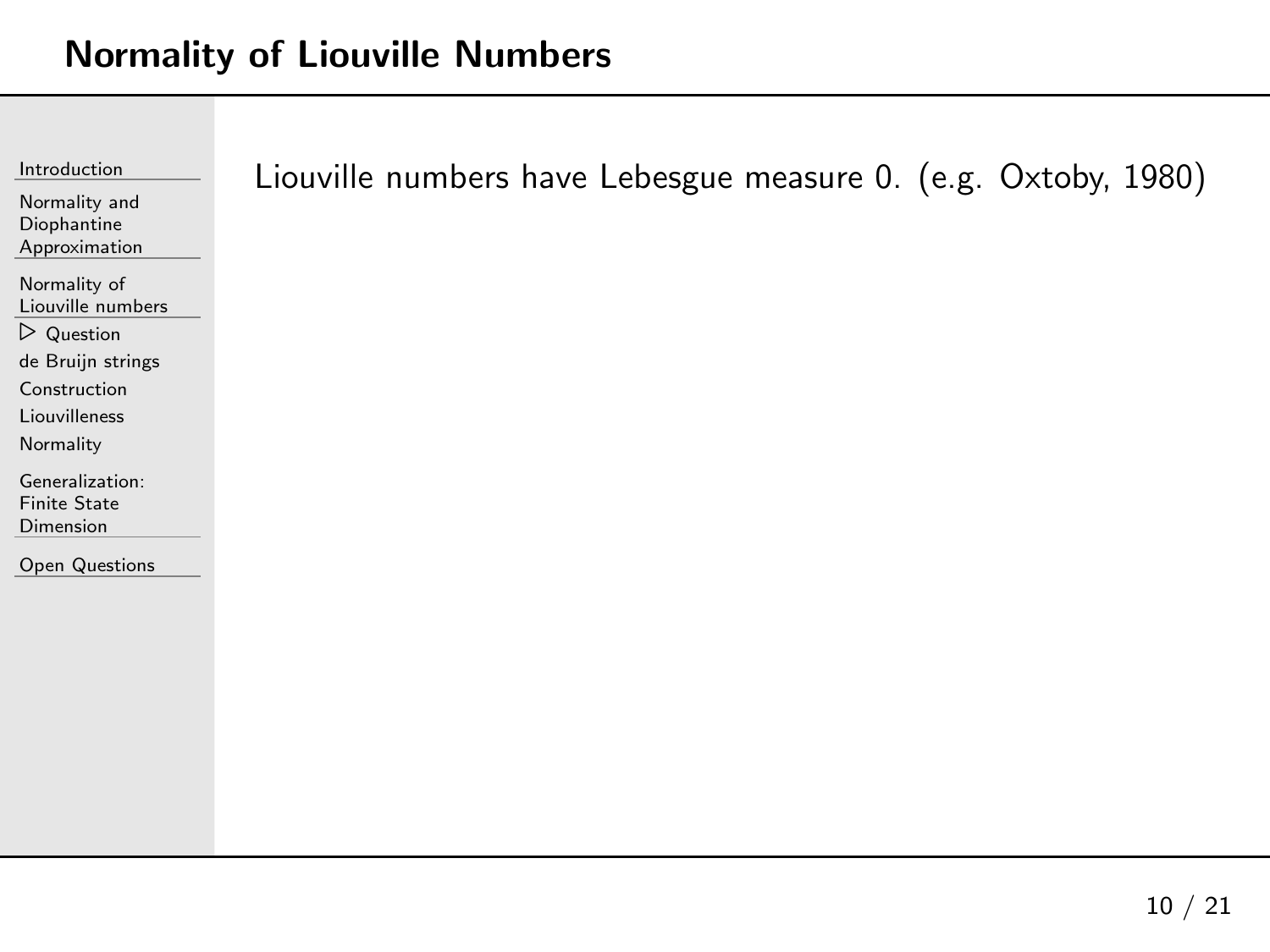<span id="page-29-0"></span>

| Introduction<br>Normality and<br>Diophantine<br>Approximation                                                                     | Liouville numbers have Lebesgue measure 0. (e.g. Oxtoby, 1980) |
|-----------------------------------------------------------------------------------------------------------------------------------|----------------------------------------------------------------|
| Normality of<br>Liouville numbers<br>$\triangleright$ Question<br>de Bruijn strings<br>Construction<br>Liouvilleness<br>Normality |                                                                |
| Generalization:<br><b>Finite State</b><br>Dimension<br><b>Open Questions</b>                                                      |                                                                |
|                                                                                                                                   |                                                                |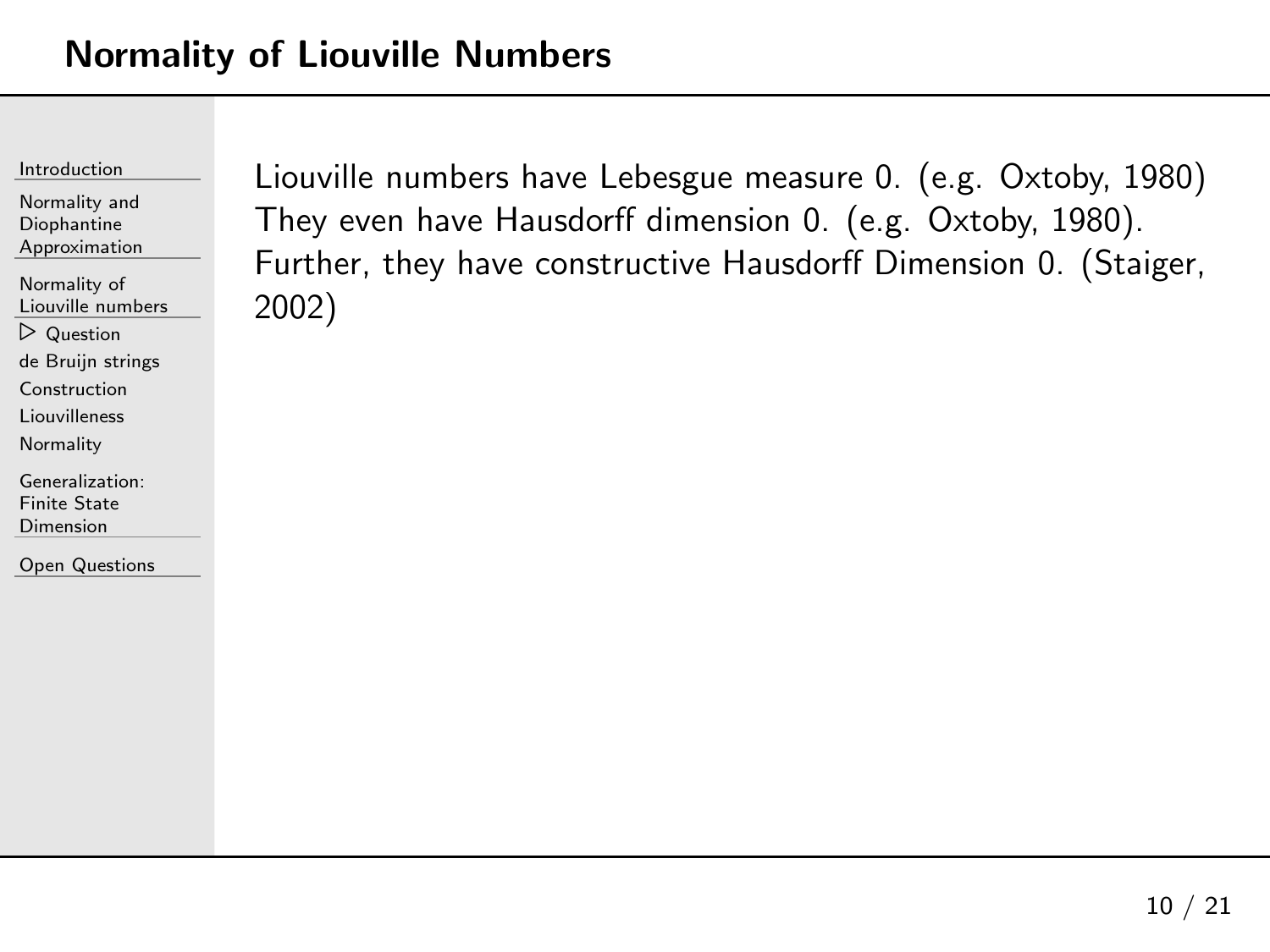| Introduction |
|--------------|

[Normality](#page-28-0) of Liouville numbers

⊲ [Question](#page-29-0)

de Bruijn [strings](#page-34-0)

[Construction](#page-41-0)

[Liouvilleness](#page-49-0)

**[Normality](#page-55-0)** 

[Generalization:](#page-61-0)Finite State Dimension

Open [Questions](#page-73-0)

Liouville numbers have Lebesgue measure 0. (e.g. Oxtoby, <sup>1980</sup> )They even have Hausdorff dimension 0. (e.g. Oxtoby, 1980). Further, they have constructive Hausdorff Dimension 0. (Staiger, 2002)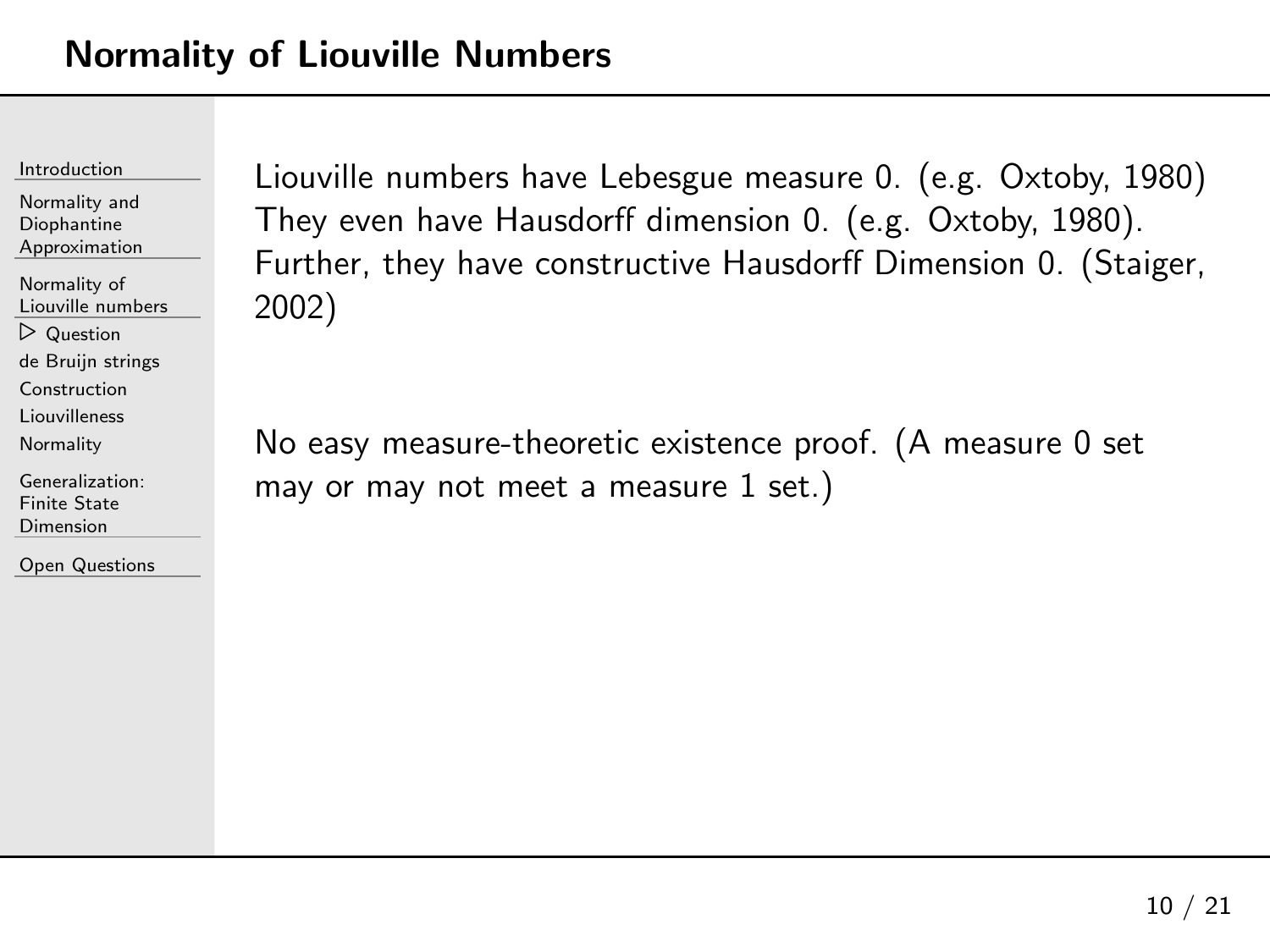| Introduction |
|--------------|
|              |

[Normality](#page-28-0) of Liouville numbers ⊲ [Question](#page-29-0)

de Bruijn [strings](#page-34-0)

[Construction](#page-41-0)

[Liouvilleness](#page-49-0)

**[Normality](#page-55-0)** 

[Generalization:](#page-61-0)Finite State Dimension

Open [Questions](#page-73-0)

Liouville numbers have Lebesgue measure 0. (e.g. Oxtoby, <sup>1980</sup> )They even have Hausdorff dimension 0. (e.g. Oxtoby, 1980). Further, they have constructive Hausdorff Dimension 0. (Staiger, 2002)

No easy measure-theoretic existence proof. (A measure <sup>0</sup> set may or may not meet a measure  $1$  set.)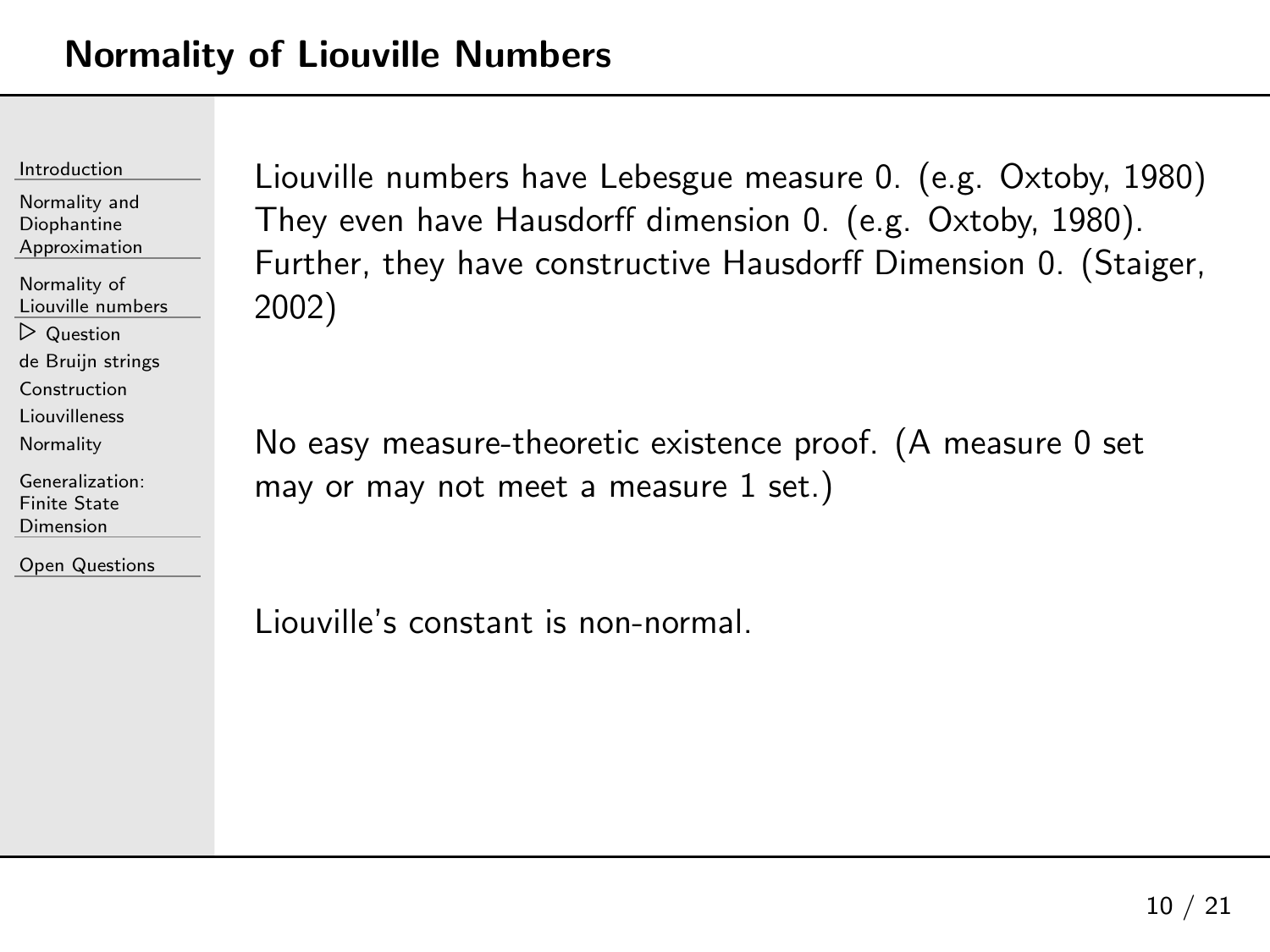| Introduction |
|--------------|
|              |

[Normality](#page-28-0) of Liouville numbers ⊲ [Question](#page-29-0) de Bruijn [strings](#page-34-0)

[Construction](#page-41-0)

[Liouvilleness](#page-49-0)

**[Normality](#page-55-0)** 

[Generalization:](#page-61-0)Finite State Dimension

Open [Questions](#page-73-0)

Liouville numbers have Lebesgue measure 0. (e.g. Oxtoby, <sup>1980</sup> )They even have Hausdorff dimension 0. (e.g. Oxtoby, 1980). Further, they have constructive Hausdorff Dimension 0. (Staiger, 2002)

No easy measure-theoretic existence proof. (A measure <sup>0</sup> set may or may not meet a measure  $1$  set.)

Liouville's constant is non-normal.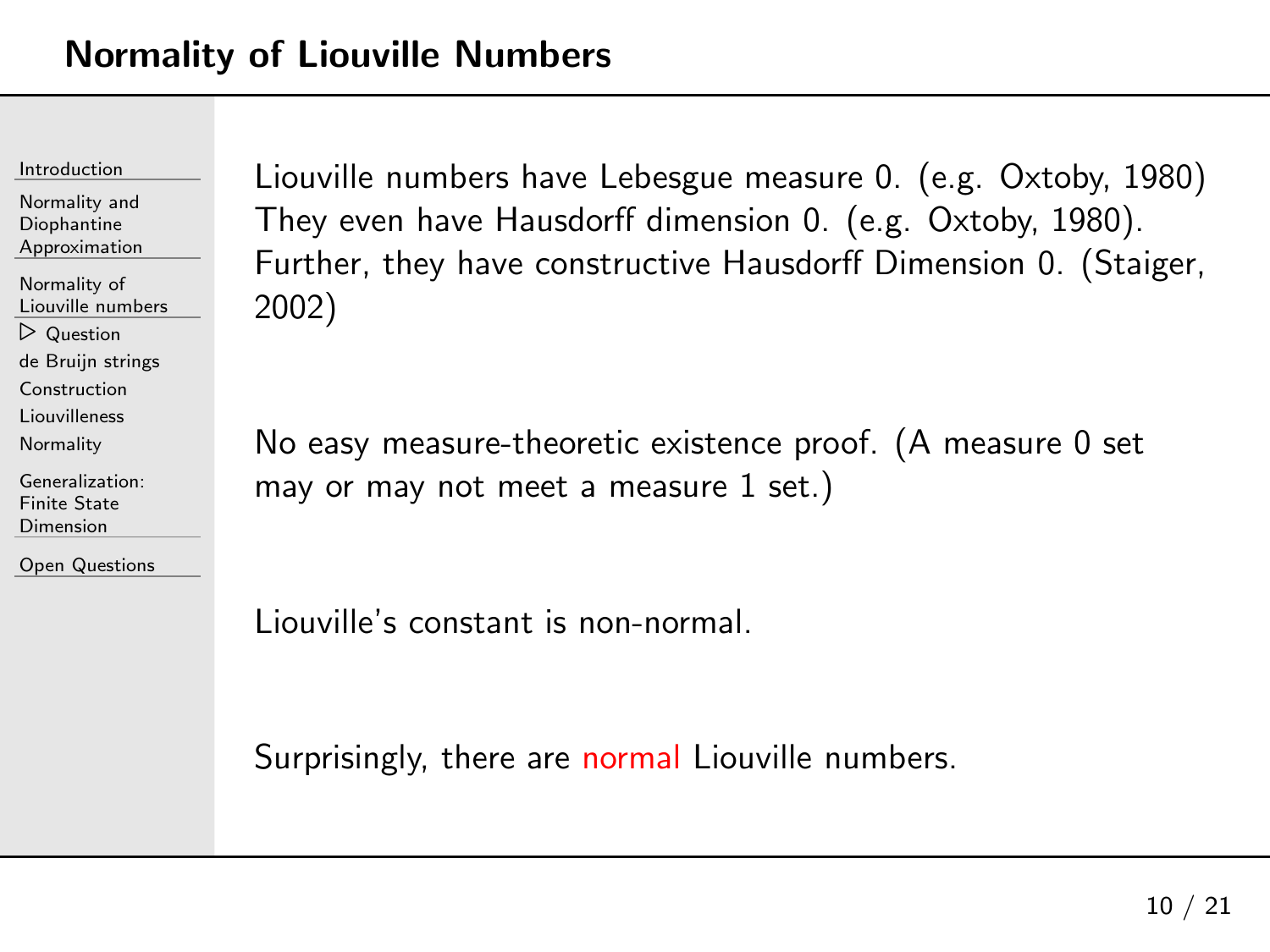| Introduction |
|--------------|
|              |

[Normality](#page-28-0) of Liouville numbers ⊲ [Question](#page-29-0) de Bruijn [strings](#page-34-0)

[Construction](#page-41-0)

[Liouvilleness](#page-49-0)

**[Normality](#page-55-0)** 

[Generalization:](#page-61-0)Finite State Dimension

Open [Questions](#page-73-0)

Liouville numbers have Lebesgue measure 0. (e.g. Oxtoby, <sup>1980</sup> )They even have Hausdorff dimension 0. (e.g. Oxtoby, 1980). Further, they have constructive Hausdorff Dimension 0. (Staiger, 2002)

No easy measure-theoretic existence proof. (A measure <sup>0</sup> set may or may not meet a measure  $1$  set.)

Liouville's constant is non-normal.

Surprisingly, there are normal Liouville numbers.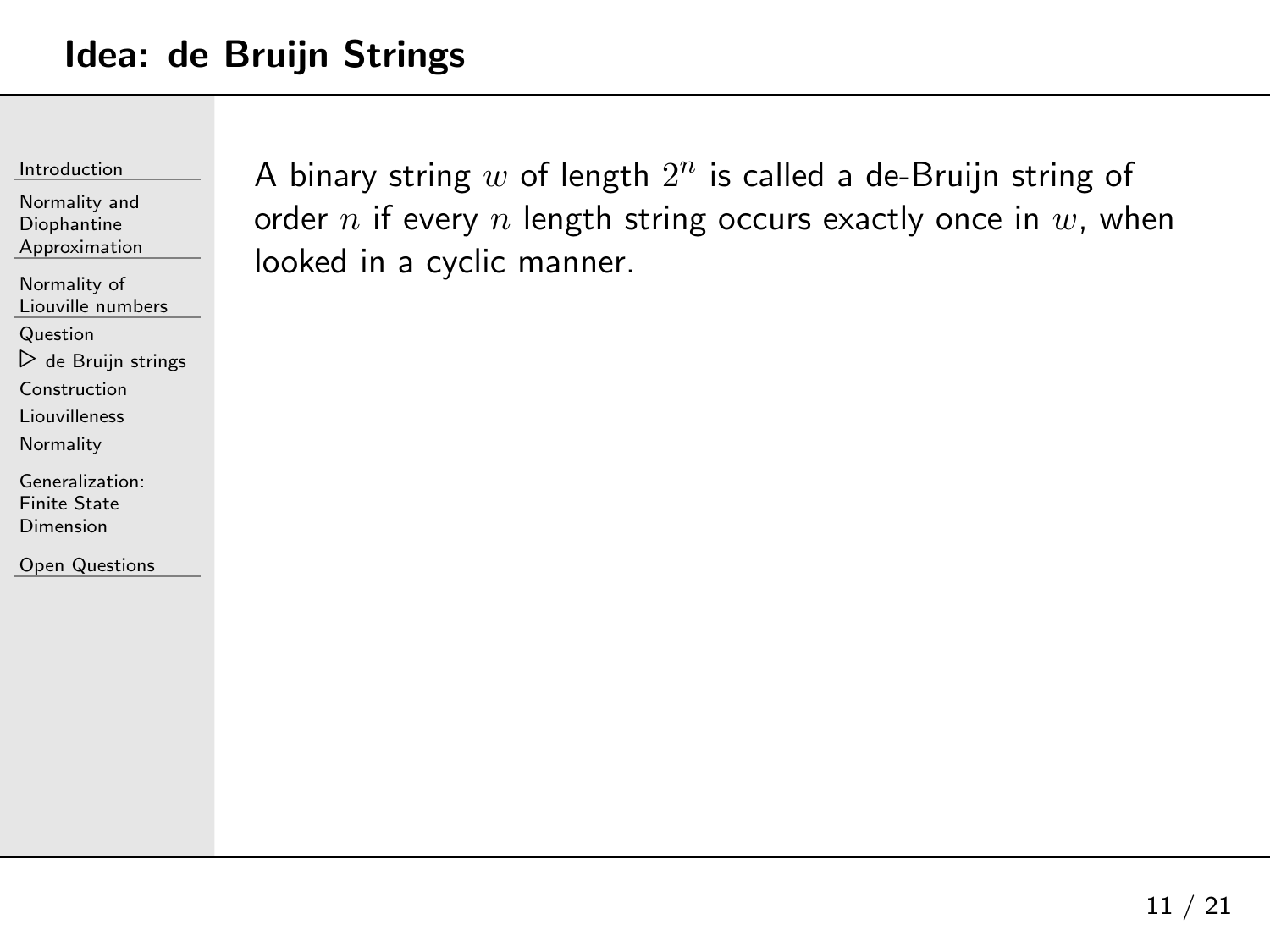### <span id="page-34-0"></span>Idea: de Bruijn Strings

[Introduction](#page-1-0)

Normality andDiophantine[Approximation](#page-23-0)

[Normality](#page-28-0) of Liouville numbers

**[Question](#page-29-0)** 

⊲ de Bruijn [strings](#page-34-0)

[Construction](#page-41-0)

[Liouvilleness](#page-49-0)

**[Normality](#page-55-0)** 

[Generalization:](#page-61-0)Finite State Dimension

Open [Questions](#page-73-0)

A binary string  $w$  of length  $2^n$  is called a de-Bruijn string of order  $n$  if every  $n$  length string occurs exactly once in  $w$ , when looked in <sup>a</sup> cyclic manner.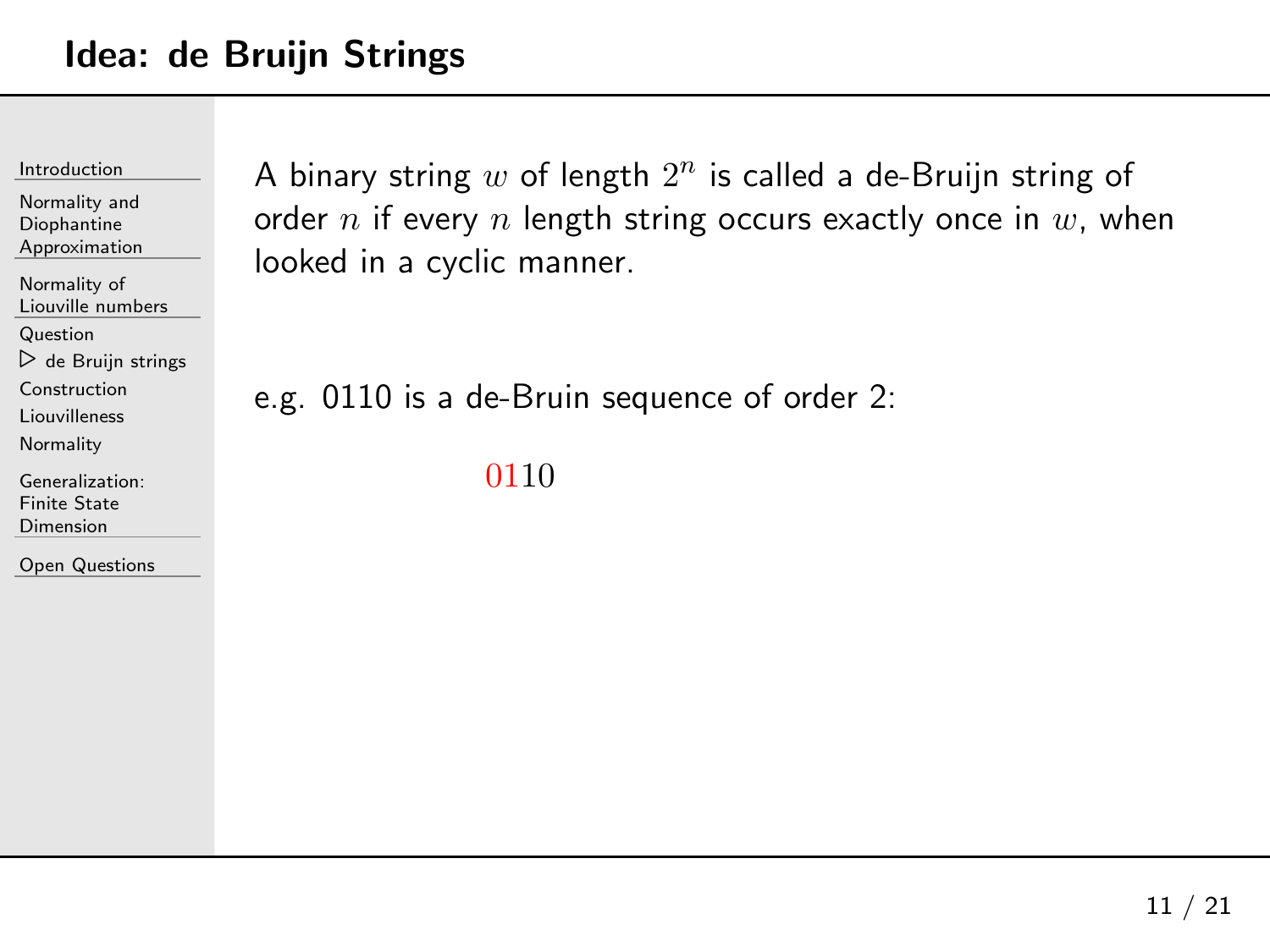Normality andDiophantine[Approximation](#page-23-0)

[Normality](#page-28-0) of Liouville numbers

**[Question](#page-29-0)** 

⊲ de Bruijn [strings](#page-34-0)

[Construction](#page-41-0)

[Liouvilleness](#page-49-0)

**[Normality](#page-55-0)** 

[Generalization:](#page-61-0)Finite State Dimension

Open [Questions](#page-73-0)

A binary string  $w$  of length  $2^n$  is called a de-Bruijn string of order  $n$  if every  $n$  length string occurs exactly once in  $w$ , when looked in <sup>a</sup> cyclic manner.

e.g. <sup>0110</sup> is <sup>a</sup> de-Bruin sequence of order 2:

0110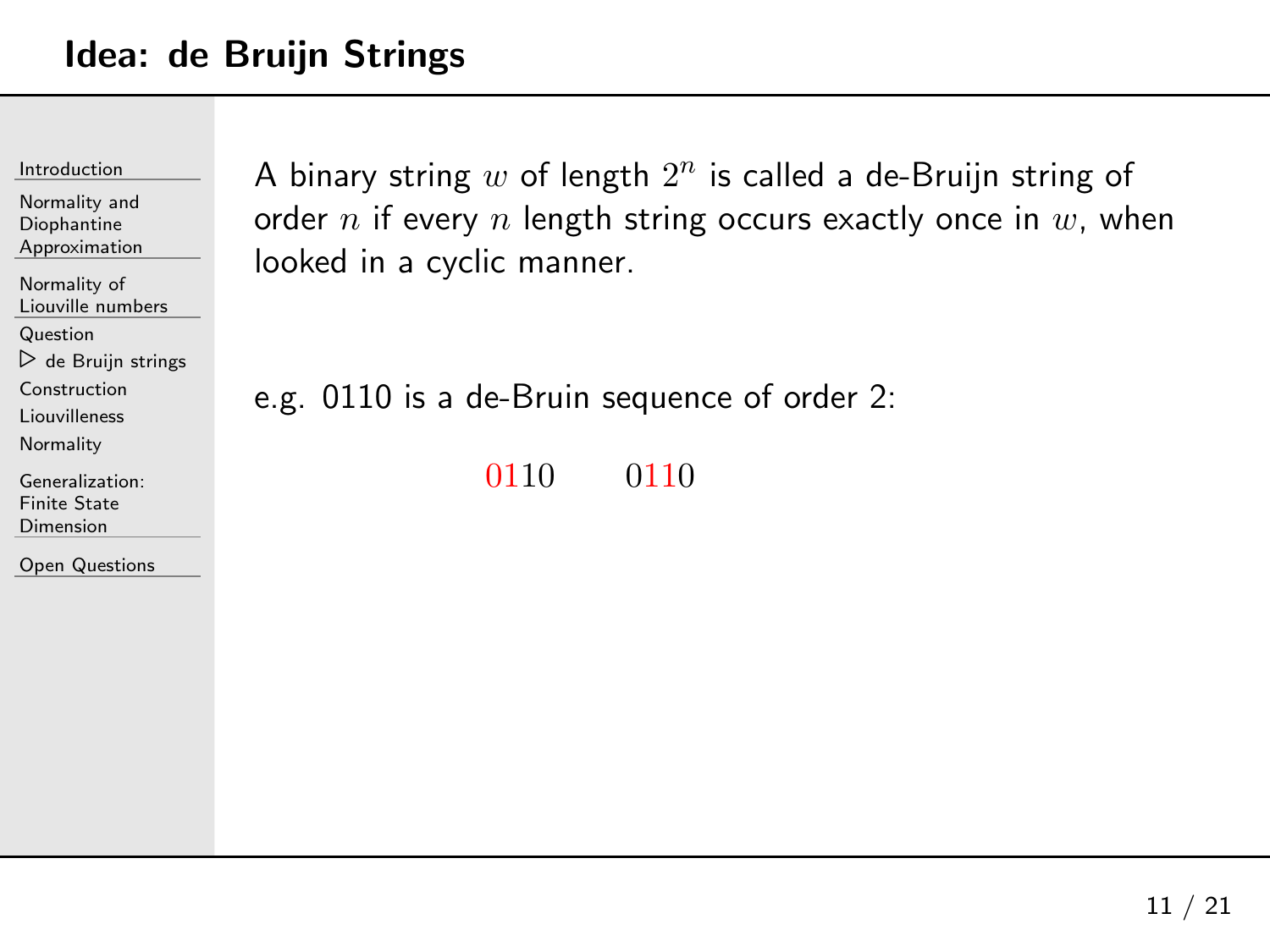Normality andDiophantine [Approximation](#page-23-0)[Normality](#page-28-0) of Liouville numbers **[Question](#page-29-0)**  ⊲ de Bruijn [strings](#page-34-0) [Construction](#page-41-0) [Liouvilleness](#page-49-0)**[Normality](#page-55-0)** [Generalization:](#page-61-0)

Finite State Dimension

Open [Questions](#page-73-0)

A binary string  $w$  of length  $2^n$  is called a de-Bruijn string of order  $n$  if every  $n$  length string occurs exactly once in  $w$ , when looked in <sup>a</sup> cyclic manner.

e.g. <sup>0110</sup> is <sup>a</sup> de-Bruin sequence of order 2:

<sup>0110</sup> <sup>0110</sup>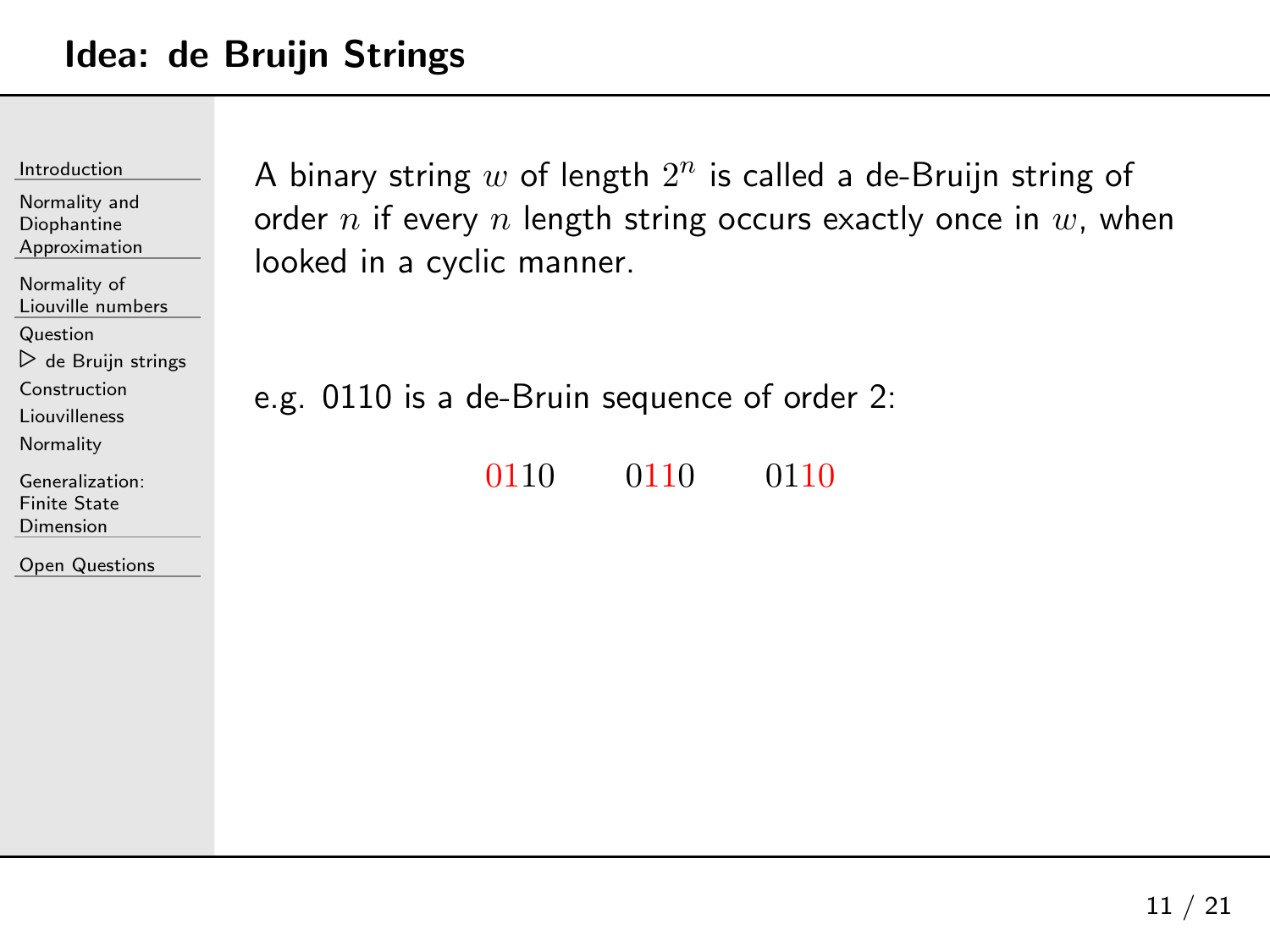| Introduction |
|--------------|
|              |

| Normality and<br>Diophantine<br>Approximation                                                |  |  |
|----------------------------------------------------------------------------------------------|--|--|
| Normality of<br>Liouville numbers                                                            |  |  |
| Question<br>$\triangleright$ de Bruijn strings<br>Construction<br>Liouvilleness<br>Normality |  |  |
| Generalization:<br>Finite State                                                              |  |  |

Open [Questions](#page-73-0)

Dimension

A binary string  $w$  of length  $2^n$  is called a de-Bruijn string of order  $n$  if every  $n$  length string occurs exactly once in  $w$ , when looked in <sup>a</sup> cyclic manner.

e.g. <sup>0110</sup> is <sup>a</sup> de-Bruin sequence of order 2:

<sup>0110</sup> <sup>0110</sup> <sup>0110</sup>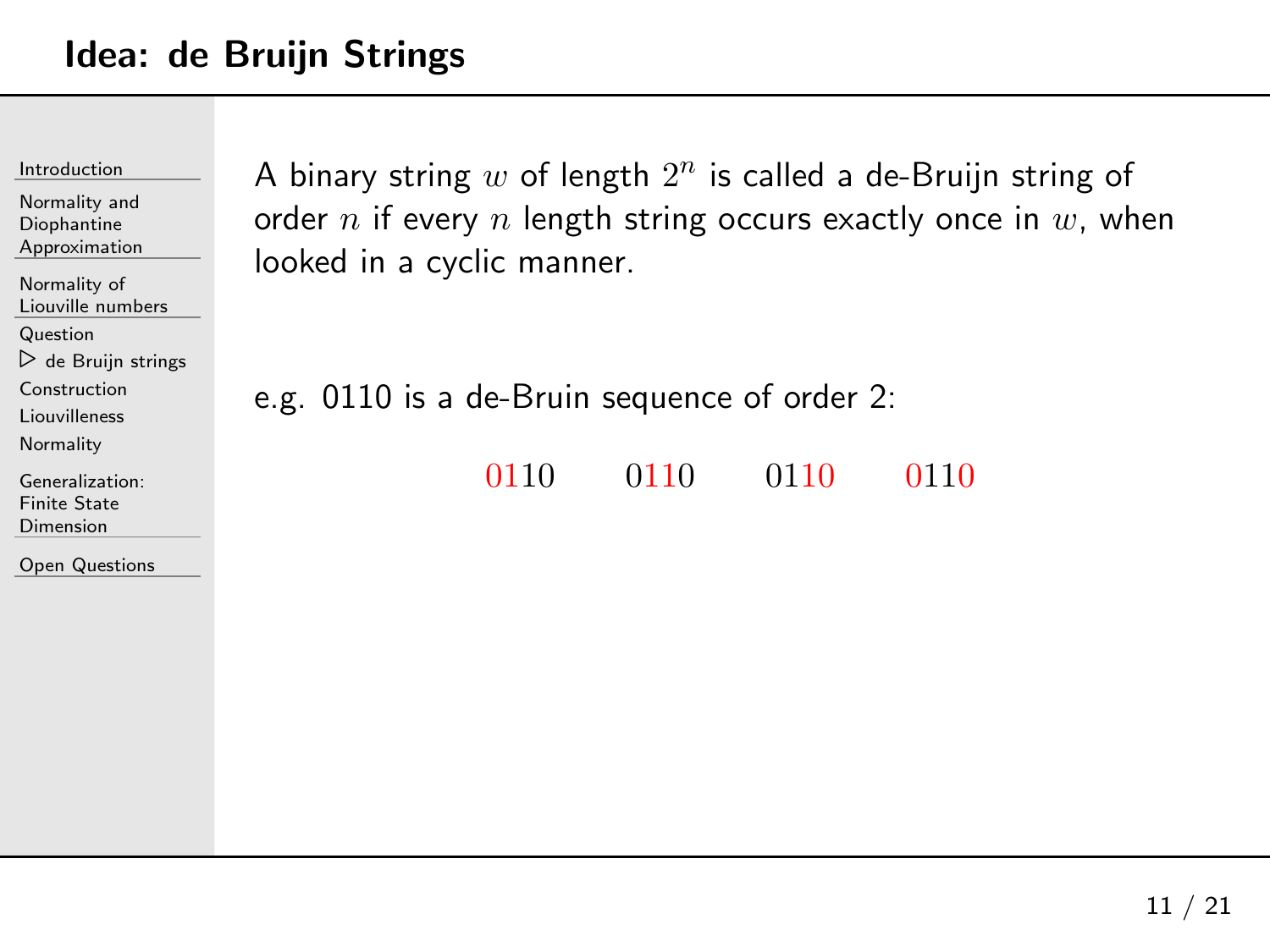| Introduction<br>Normality and<br>Diophantine<br>Approximation | A binary st<br>order $n$ if $\cdot$ |
|---------------------------------------------------------------|-------------------------------------|
| Normality of<br>Liouville numbers                             | looked in a                         |
| Question                                                      |                                     |
| $\triangleright$ de Bruijn strings                            |                                     |
| Construction                                                  | e.g. 0110                           |
| Liouvilleness                                                 |                                     |
| Normality                                                     |                                     |
| Generalization:                                               |                                     |
| <b>Finite State</b>                                           |                                     |
| Dimension                                                     |                                     |
| <b>Open Questions</b>                                         |                                     |

A binary string  $w$  of length  $2^n$  is called a de-Bruijn string of every  $n$  length string occurs exactly once in  $w$ , when a cyclic manner.

is a de-Bruin sequence of order 2:

<sup>0110</sup> <sup>0110</sup> <sup>0110</sup> <sup>0110</sup>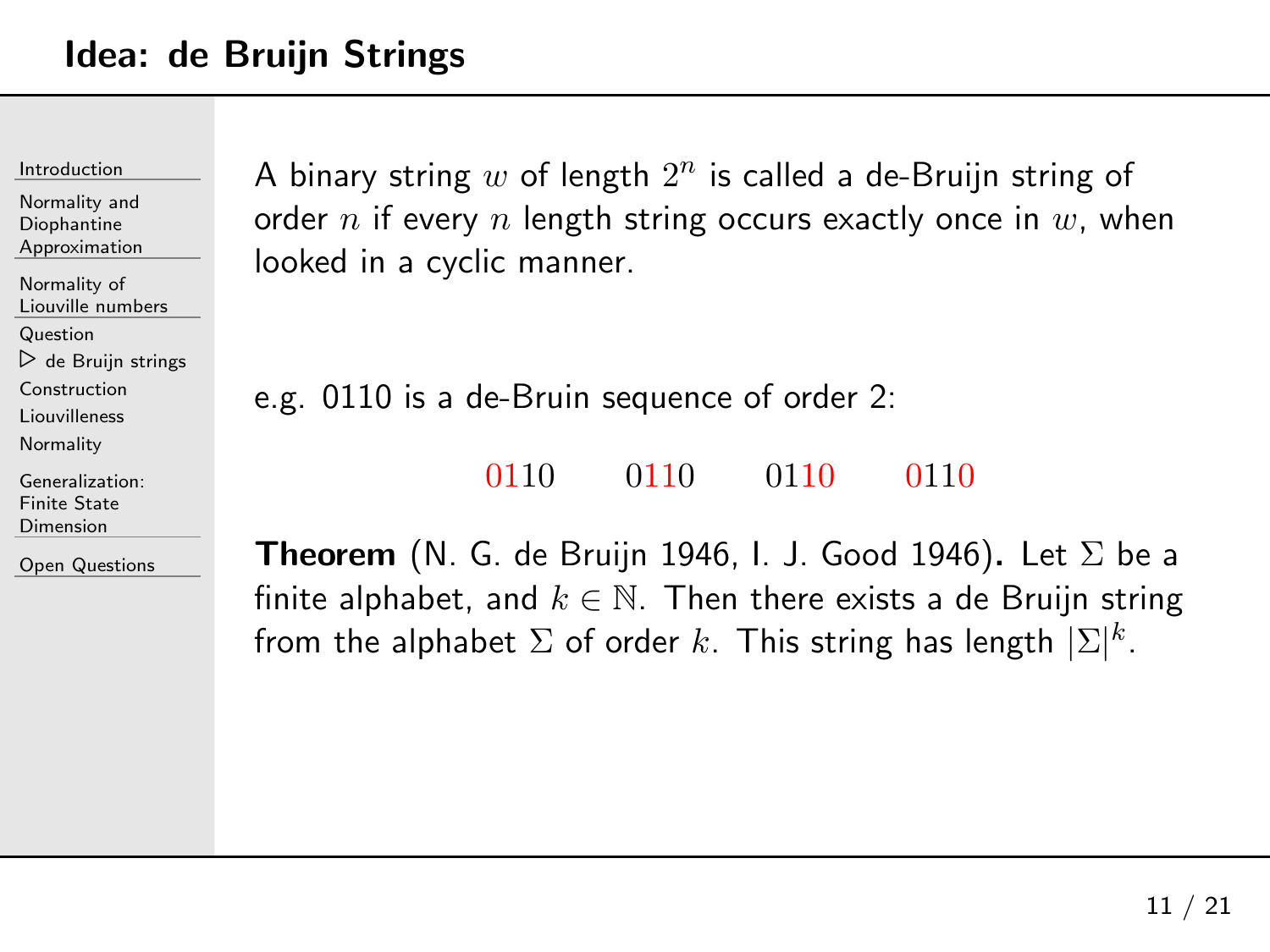Normality andDiophantine[Approximation](#page-23-0)

[Normality](#page-28-0) of Liouville numbers

[Question](#page-29-0)

⊲ de Bruijn [strings](#page-34-0)

[Construction](#page-41-0)

[Liouvilleness](#page-49-0)

**[Normality](#page-55-0)** 

[Generalization:](#page-61-0)Finite State Dimension

Open [Questions](#page-73-0)

A binary string  $w$  of length  $2^n$  is called a de-Bruijn string of order  $n$  if every  $n$  length string occurs exactly once in  $w$ , when looked in <sup>a</sup> cyclic manner.

e.g. <sup>0110</sup> is <sup>a</sup> de-Bruin sequence of order 2:

<sup>0110</sup> <sup>0110</sup> <sup>0110</sup> <sup>0110</sup>

**Theorem** (N. G. de Bruijn 1946, I. J. Good 1946). Let  $\Sigma$  be a<br>finite alphabet, and  $l_{\delta}\in\mathbb{N}$ . Then there exists a de Pruijn string. finite alphabet, and  $k\in\mathbb{N}$ . Then there exists a de Bruijn string from the alphabet  $\Sigma$  of order  $k.$  This string has length  $|\Sigma|^k.$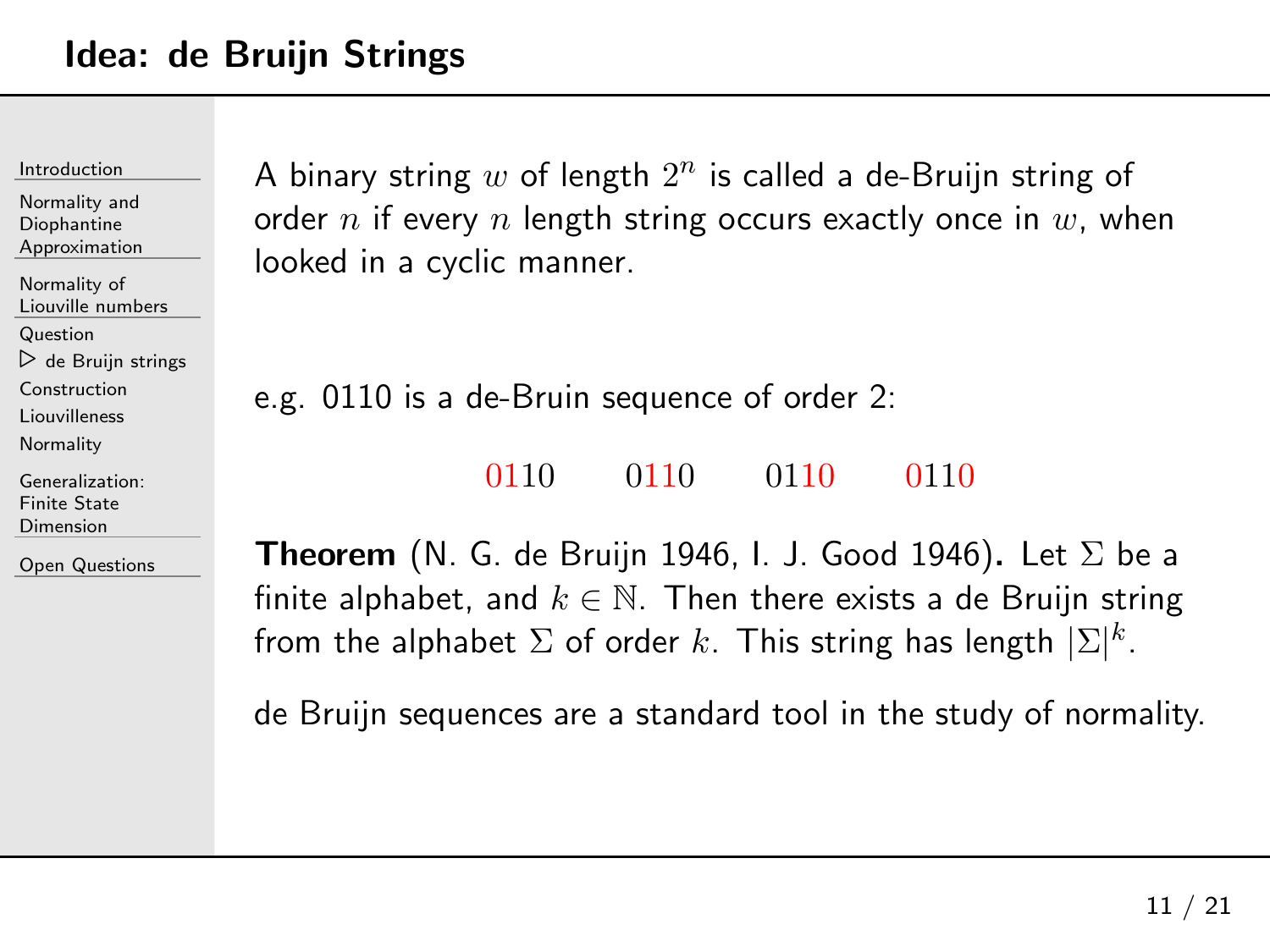Normality andDiophantine[Approximation](#page-23-0)

[Normality](#page-28-0) of Liouville numbers

[Question](#page-29-0)

⊲ de Bruijn [strings](#page-34-0)

[Construction](#page-41-0)

[Liouvilleness](#page-49-0)

**[Normality](#page-55-0)** 

[Generalization:](#page-61-0)Finite State Dimension

Open [Questions](#page-73-0)

A binary string  $w$  of length  $2^n$  is called a de-Bruijn string of order  $n$  if every  $n$  length string occurs exactly once in  $w$ , when looked in <sup>a</sup> cyclic manner.

e.g. <sup>0110</sup> is <sup>a</sup> de-Bruin sequence of order 2:

<sup>0110</sup> <sup>0110</sup> <sup>0110</sup> <sup>0110</sup>

**Theorem** (N. G. de Bruijn 1946, I. J. Good 1946). Let  $\Sigma$  be a<br>finite alphabet, and  $l_{\delta}\in\mathbb{N}$ . Then there exists a de Pruijn string. finite alphabet, and  $k\in\mathbb{N}$ . Then there exists a de Bruijn string from the alphabet  $\Sigma$  of order  $k.$  This string has length  $|\Sigma|^k.$ 

de Bruijn sequences are <sup>a</sup> standard tool in the study of normality.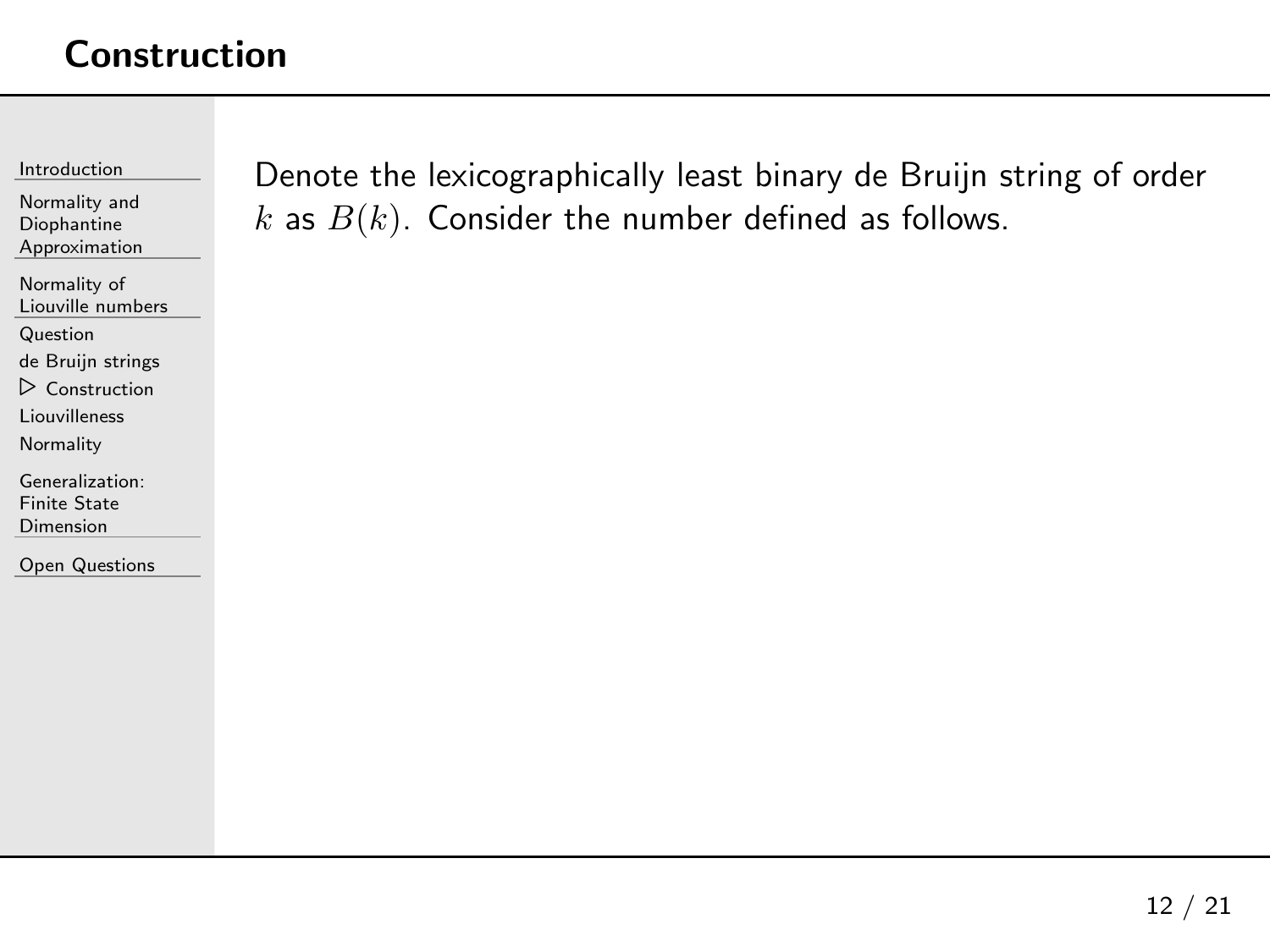<span id="page-41-0"></span>[Introduction](#page-1-0)

Normality andDiophantine[Approximation](#page-23-0)

[Normality](#page-28-0) of Liouville numbers

[Question](#page-29-0)

de Bruijn [strings](#page-34-0)

⊲ [Construction](#page-41-0)

[Liouvilleness](#page-49-0)

**[Normality](#page-55-0)** 

[Generalization:](#page-61-0)Finite State Dimension

Open [Questions](#page-73-0)

Denote the lexicographically least binary de Bruijn string of order  $k$  as  $B(k).$  Consider the number defined as follows.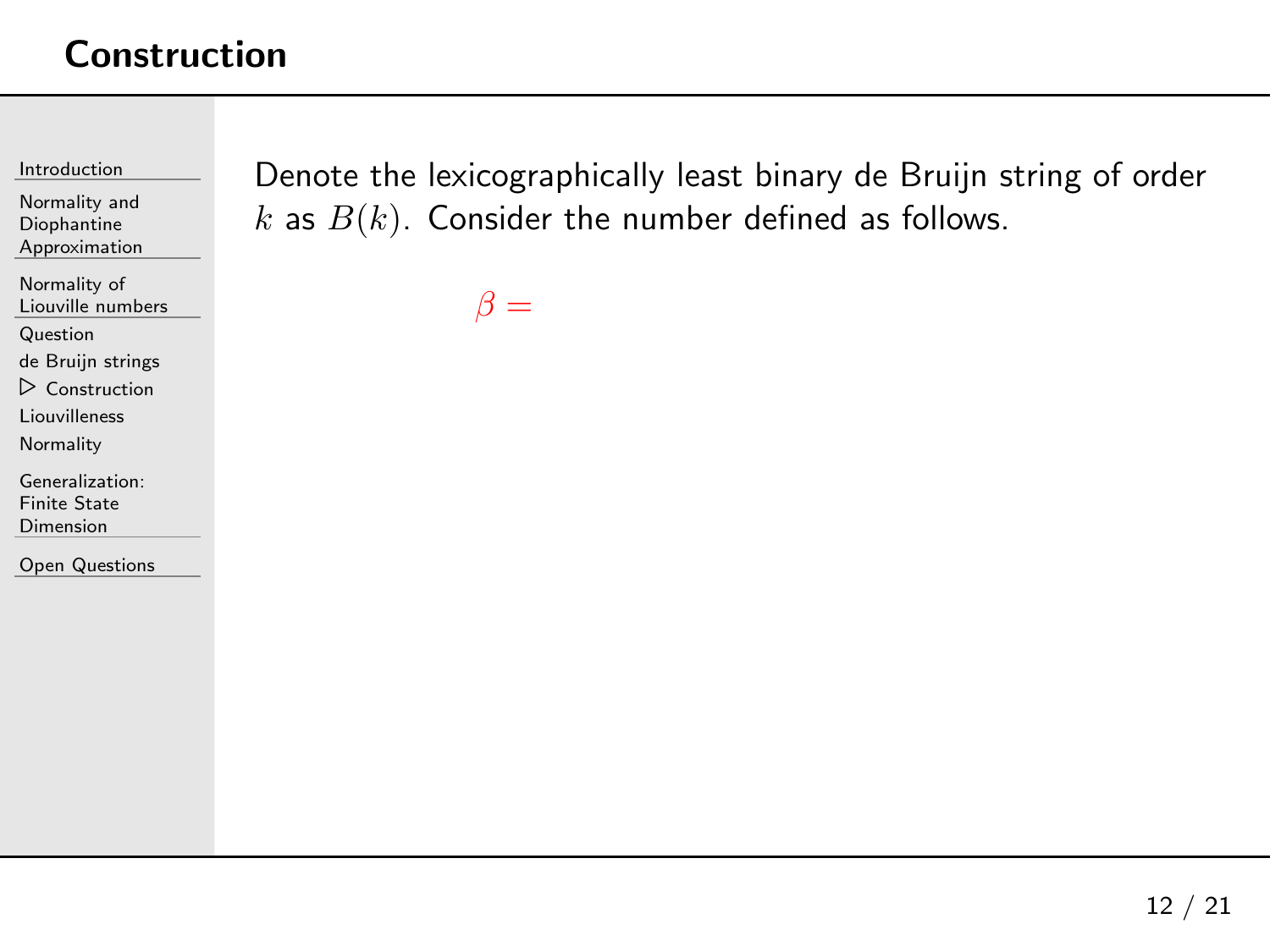[Introduction](#page-1-0)

Normality andDiophantine[Approximation](#page-23-0)

[Normality](#page-28-0) of Liouville numbers

[Question](#page-29-0)

de Bruijn [strings](#page-34-0)

⊲ [Construction](#page-41-0)

[Liouvilleness](#page-49-0)

**[Normality](#page-55-0)** 

[Generalization:](#page-61-0)Finite State Dimension

Open [Questions](#page-73-0)

Denote the lexicographically least binary de Bruijn string of order  $k$  as  $B(k).$  Consider the number defined as follows.

 $\beta =$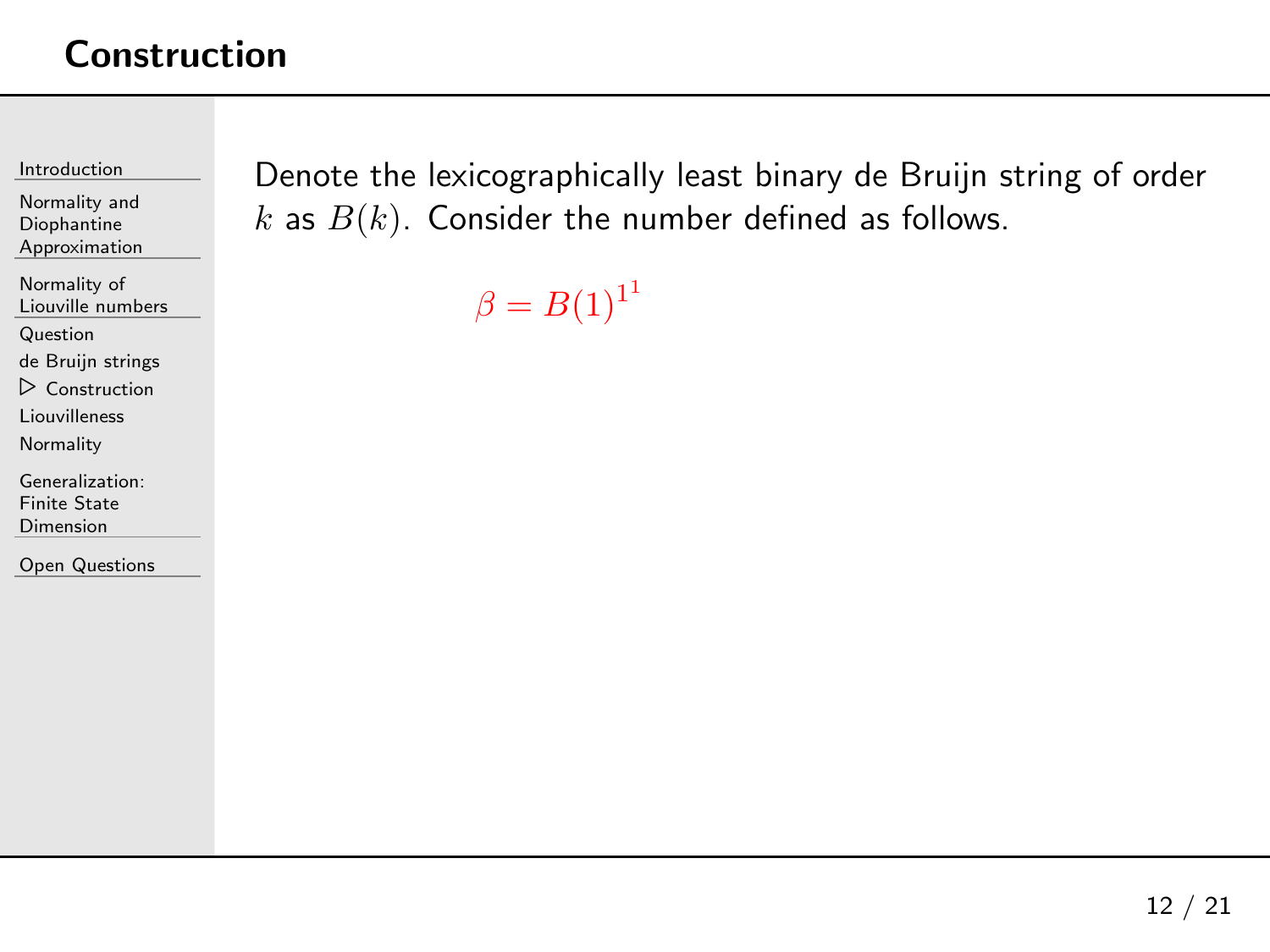[Introduction](#page-1-0)

Normality andDiophantine[Approximation](#page-23-0)

[Normality](#page-28-0) of Liouville numbers

[Question](#page-29-0)

de Bruijn [strings](#page-34-0)

⊲ [Construction](#page-41-0)

[Liouvilleness](#page-49-0)

**[Normality](#page-55-0)** 

[Generalization:](#page-61-0)Finite State Dimension

Open [Questions](#page-73-0)

Denote the lexicographically least binary de Bruijn string of order  $k$  as  $B(k).$  Consider the number defined as follows.

 $\beta = B(1)^{11}$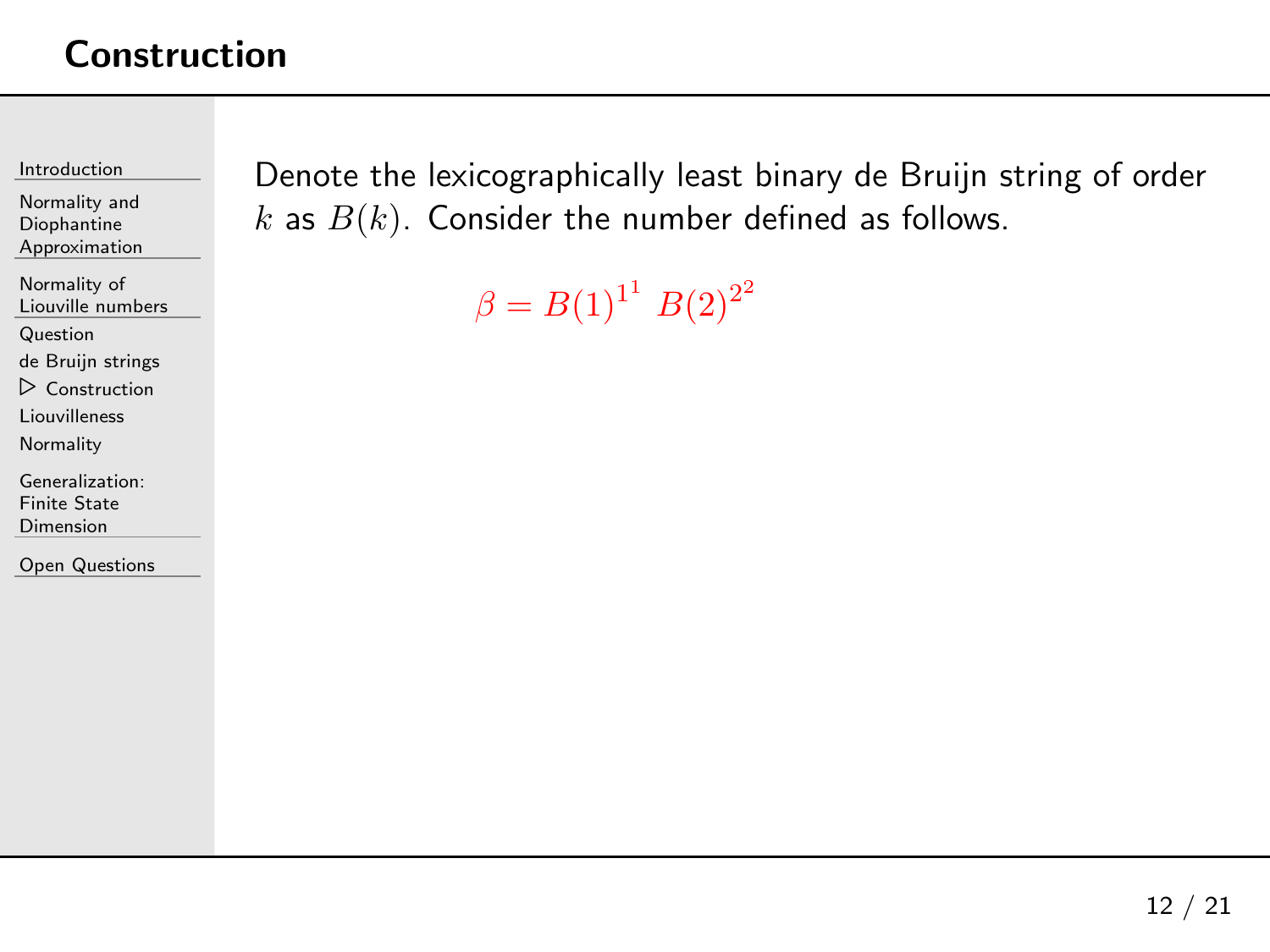[Introduction](#page-1-0)

Normality andDiophantine[Approximation](#page-23-0)

[Normality](#page-28-0) of Liouville numbers

[Question](#page-29-0)

de Bruijn [strings](#page-34-0)

⊲ [Construction](#page-41-0)

[Liouvilleness](#page-49-0)

**[Normality](#page-55-0)** 

[Generalization:](#page-61-0)Finite State Dimension

Open [Questions](#page-73-0)

Denote the lexicographically least binary de Bruijn string of order  $k$  as  $B(k).$  Consider the number defined as follows.

 $\beta = B(1)^{1^1} B(2)^{2^2}$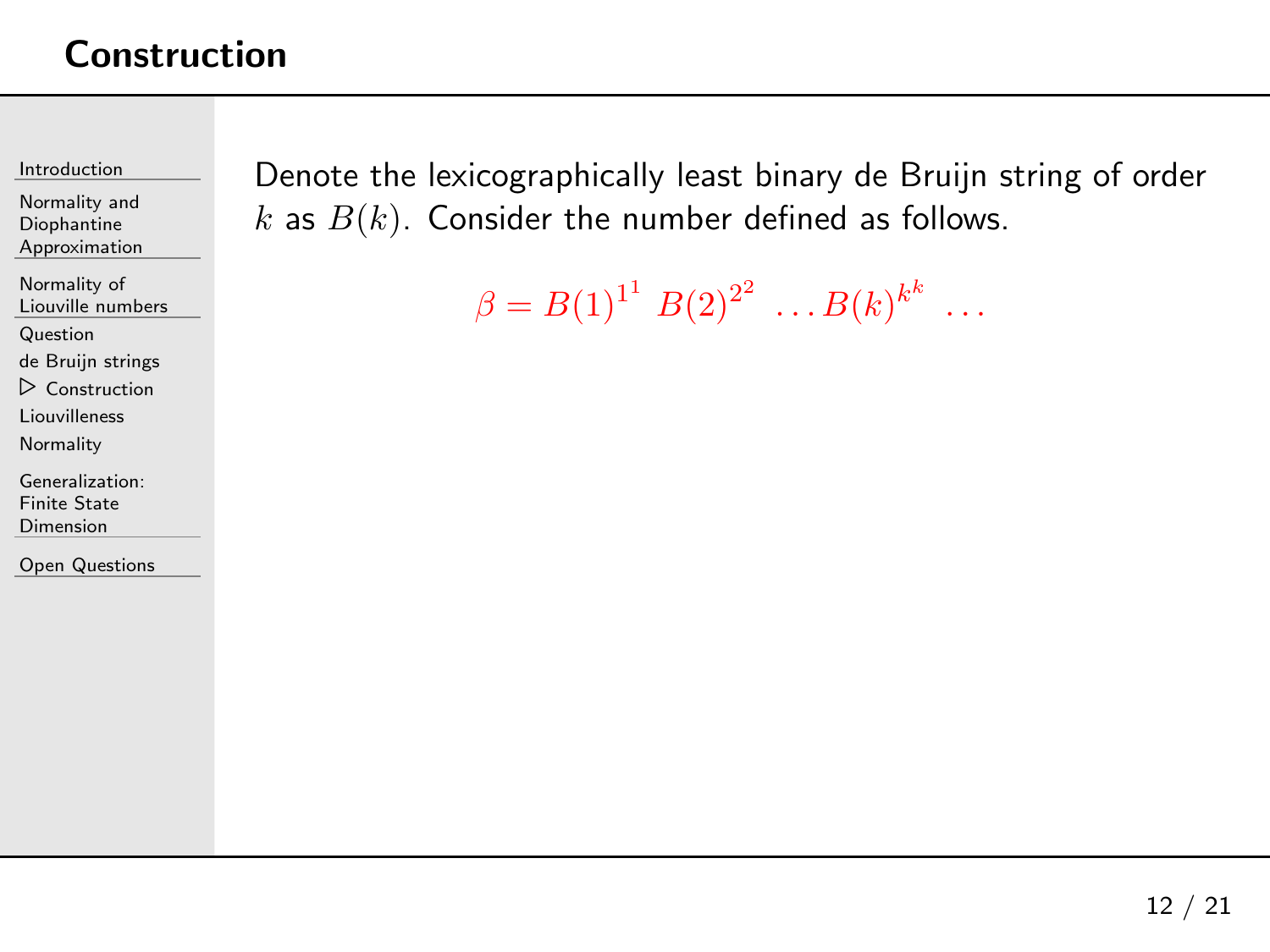[Introduction](#page-1-0)

Normality andDiophantine[Approximation](#page-23-0)

[Normality](#page-28-0) of Liouville numbers

[Question](#page-29-0)

de Bruijn [strings](#page-34-0)

⊲ [Construction](#page-41-0)

[Liouvilleness](#page-49-0)

**[Normality](#page-55-0)** 

[Generalization:](#page-61-0)Finite State Dimension

Open [Questions](#page-73-0)

Denote the lexicographically least binary de Bruijn string of order  $k$  as  $B(k).$  Consider the number defined as follows.

 $\beta = B(1)^{1^1} B(2)^{2^2} \dots B(k)^{k^k} \dots$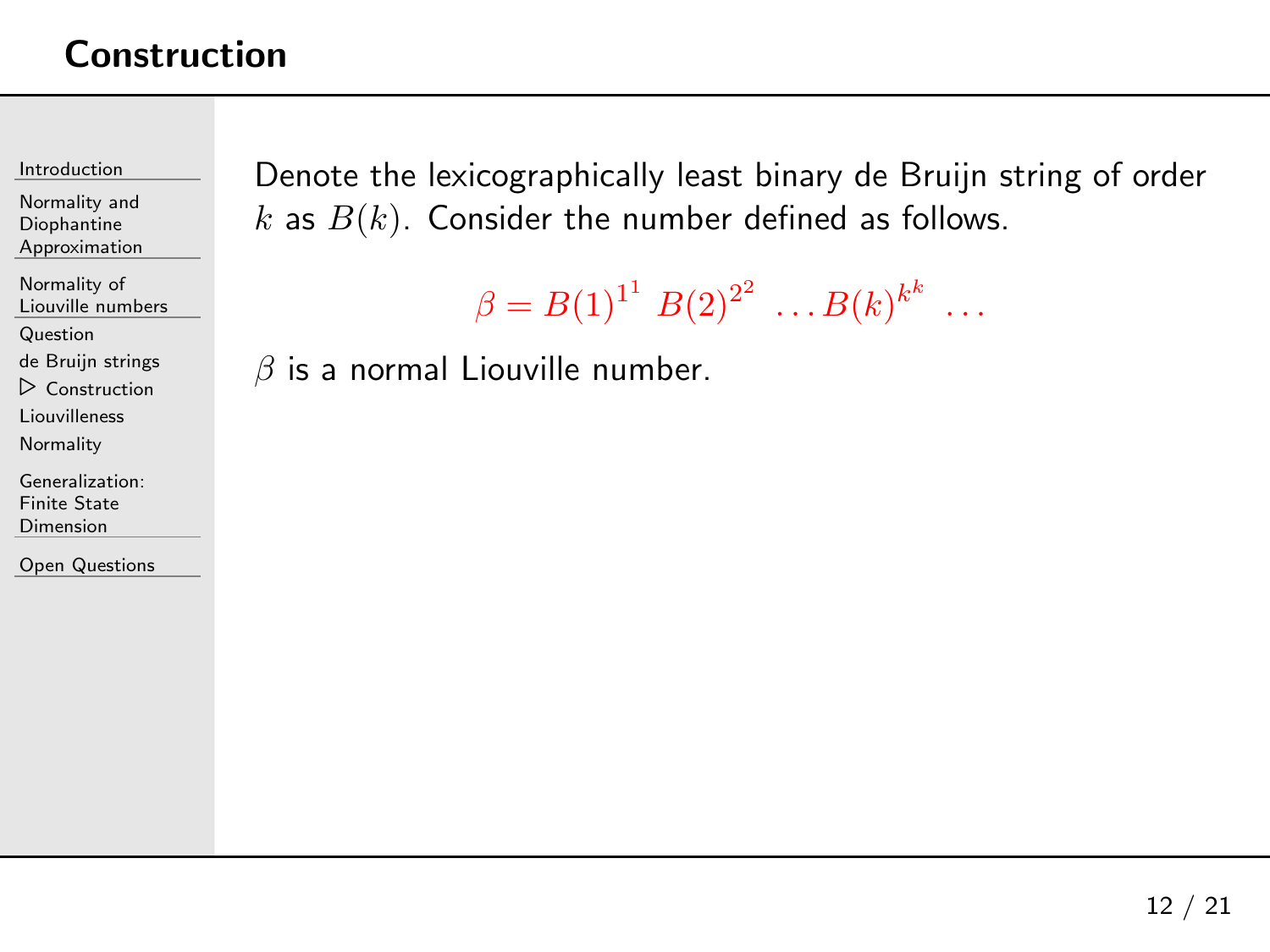[Introduction](#page-1-0)

Normality andDiophantine[Approximation](#page-23-0)

[Normality](#page-28-0) of Liouville numbers

[Question](#page-29-0)

de Bruijn [strings](#page-34-0)

⊲ [Construction](#page-41-0)

[Liouvilleness](#page-49-0)

**[Normality](#page-55-0)** 

[Generalization:](#page-61-0)Finite State Dimension

Open [Questions](#page-73-0)

Denote the lexicographically least binary de Bruijn string of order  $k$  as  $B(k).$  Consider the number defined as follows.

 $\beta = B(1)^{1^1} B(2)^{2^2} \dots B(k)^{k^k} \dots$ 

 $\beta$  is a normal Liouville number.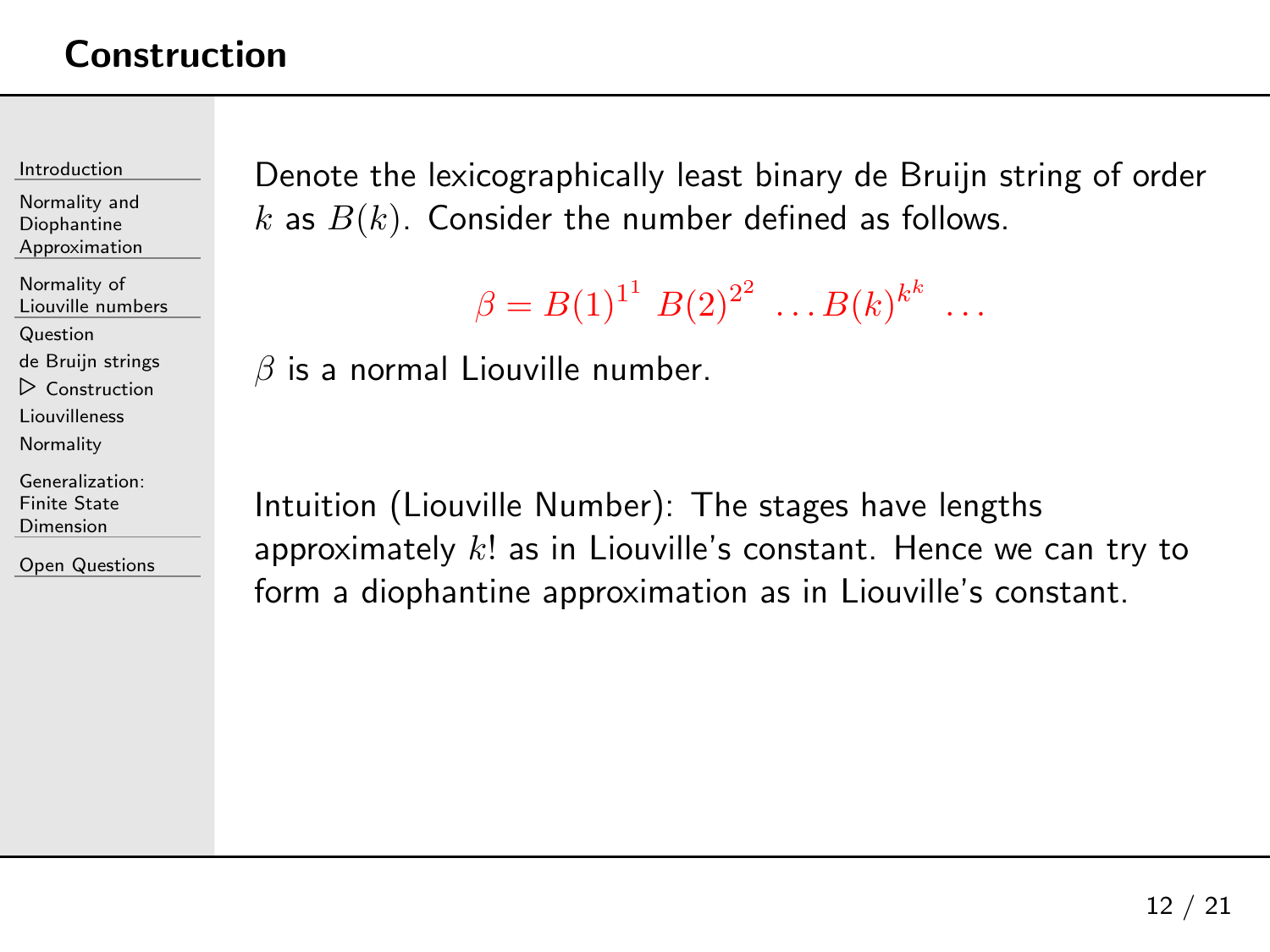[Introduction](#page-1-0)

Normality andDiophantine[Approximation](#page-23-0)

[Normality](#page-28-0) of Liouville numbers

[Question](#page-29-0)

de Bruijn [strings](#page-34-0)

⊲ [Construction](#page-41-0)

[Liouvilleness](#page-49-0)

**[Normality](#page-55-0)** 

[Generalization:](#page-61-0)Finite State Dimension

Open [Questions](#page-73-0)

Denote the lexicographically least binary de Bruijn string of order  $k$  as  $B(k).$  Consider the number defined as follows.

```
\beta = B(1)^{1^1} B(2)^{2^2} \dots B(k)^{k^k} \dots
```
 $\beta$  is a normal Liouville number.

Intuition (Liouville Number): The stages have lengths approximately  $k!$  as in Liouville's constant. Hence we can try to form <sup>a</sup> diophantine approximation as in Liouville's constant.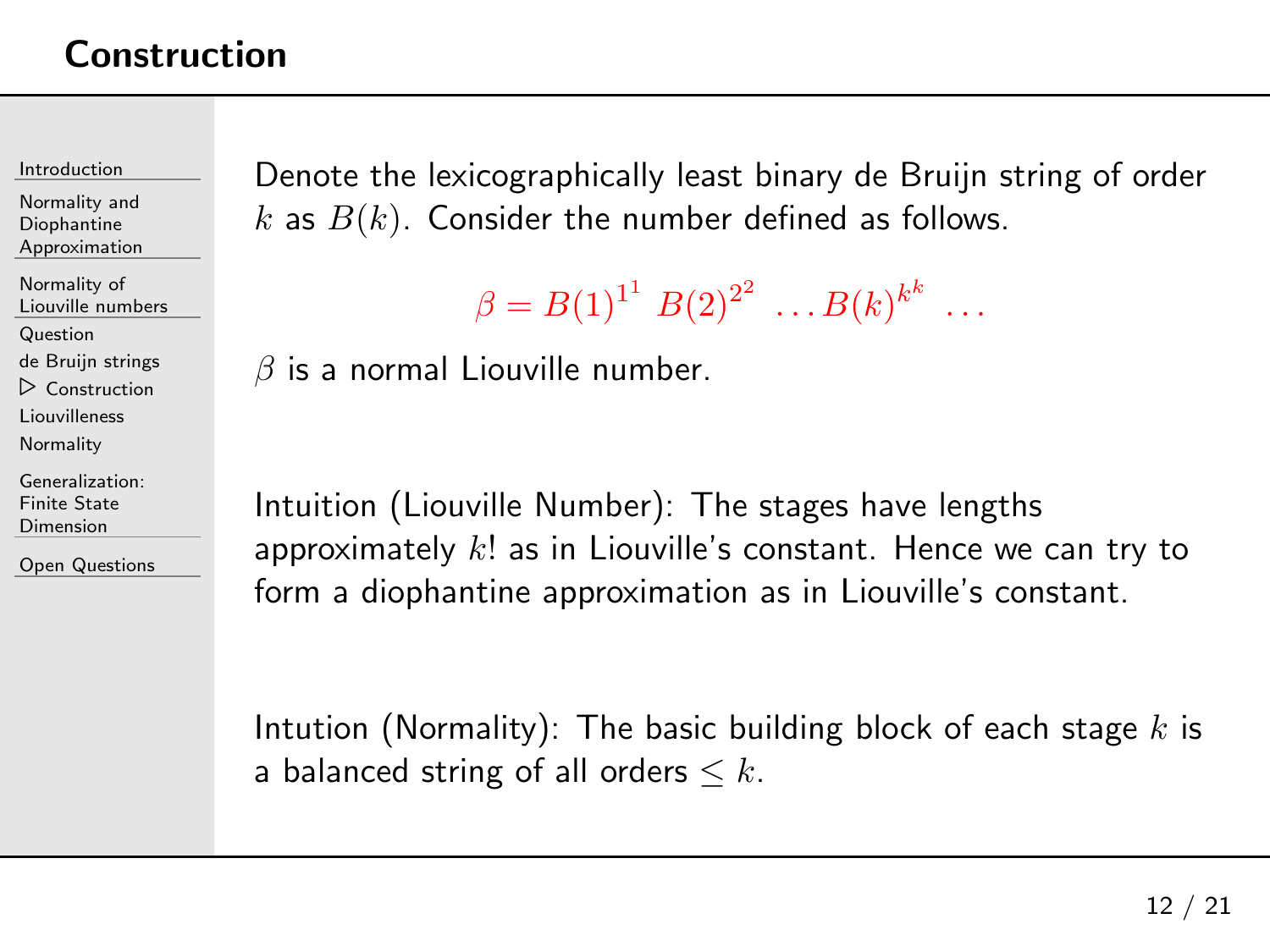[Introduction](#page-1-0)

Normality andDiophantine[Approximation](#page-23-0)

[Normality](#page-28-0) of Liouville numbers

[Question](#page-29-0)

de Bruijn [strings](#page-34-0)

⊲ [Construction](#page-41-0)

[Liouvilleness](#page-49-0)

**[Normality](#page-55-0)** 

[Generalization:](#page-61-0)Finite State Dimension

Open [Questions](#page-73-0)

Denote the lexicographically least binary de Bruijn string of order  $k$  as  $B(k).$  Consider the number defined as follows.

```
\beta = B(1)^{1^1} B(2)^{2^2} \dots B(k)^{k^k} \dots
```
 $\beta$  is a normal Liouville number.

Intuition (Liouville Number): The stages have lengths approximately  $k!$  as in Liouville's constant. Hence we can try to form <sup>a</sup> diophantine approximation as in Liouville's constant.

Intution (Normality): The basic building block of each stage  $k$  is a balanced string of all orders  $\leq k$ .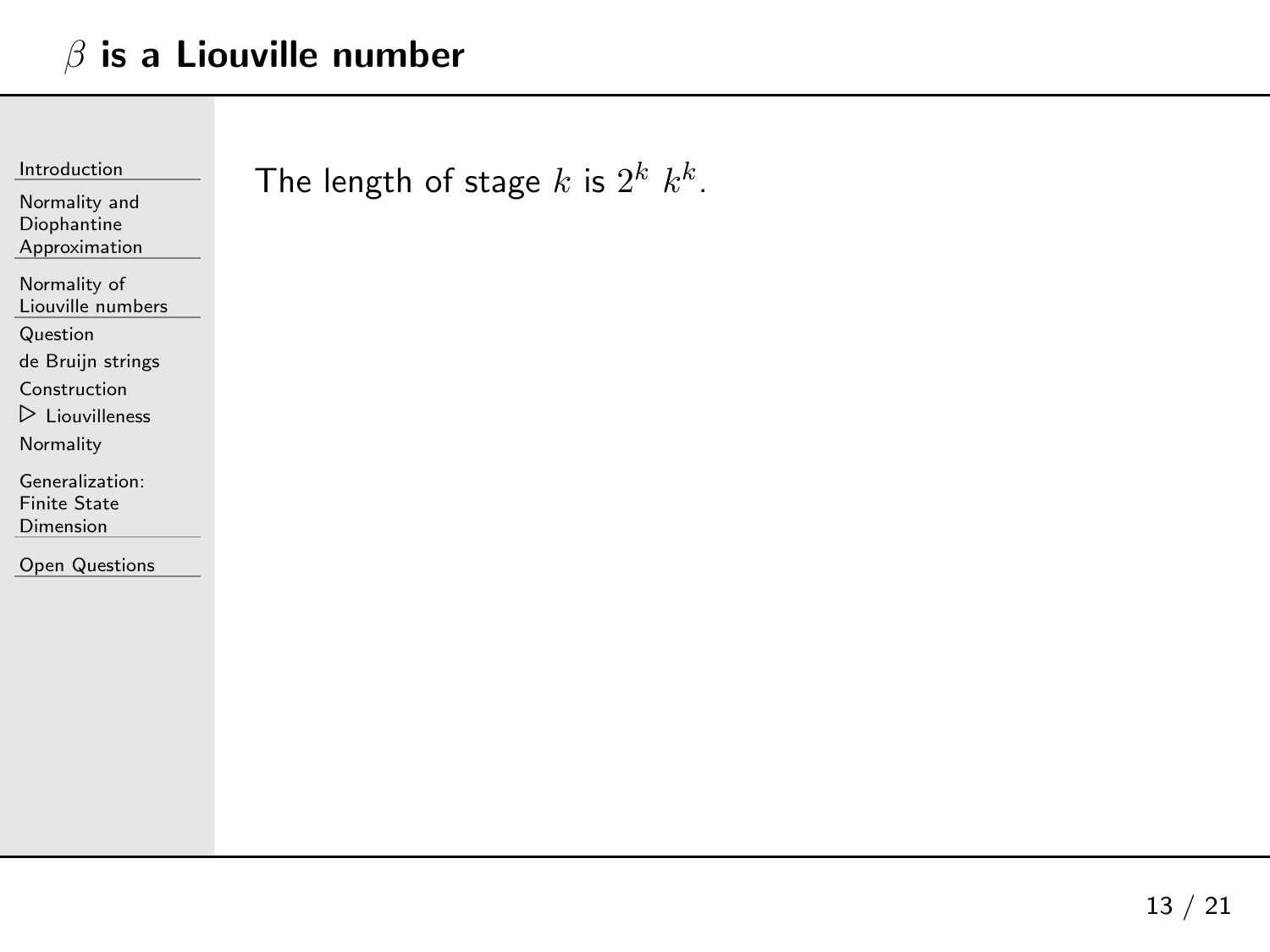<span id="page-49-0"></span>

| Introduction                   |  |  |
|--------------------------------|--|--|
| Normality and                  |  |  |
| Diophantine                    |  |  |
| Approximation                  |  |  |
| Normality of                   |  |  |
| Liouville numbers              |  |  |
| Question                       |  |  |
| de Bruijn strings              |  |  |
| Construction                   |  |  |
| $\triangleright$ Liouvilleness |  |  |
| Normality                      |  |  |
| Generalization:                |  |  |
| <b>Finite State</b>            |  |  |
| Dimension                      |  |  |
| <b>Open Questions</b>          |  |  |

## The length of stage  $k$  is  $2^k\,\,k^k.$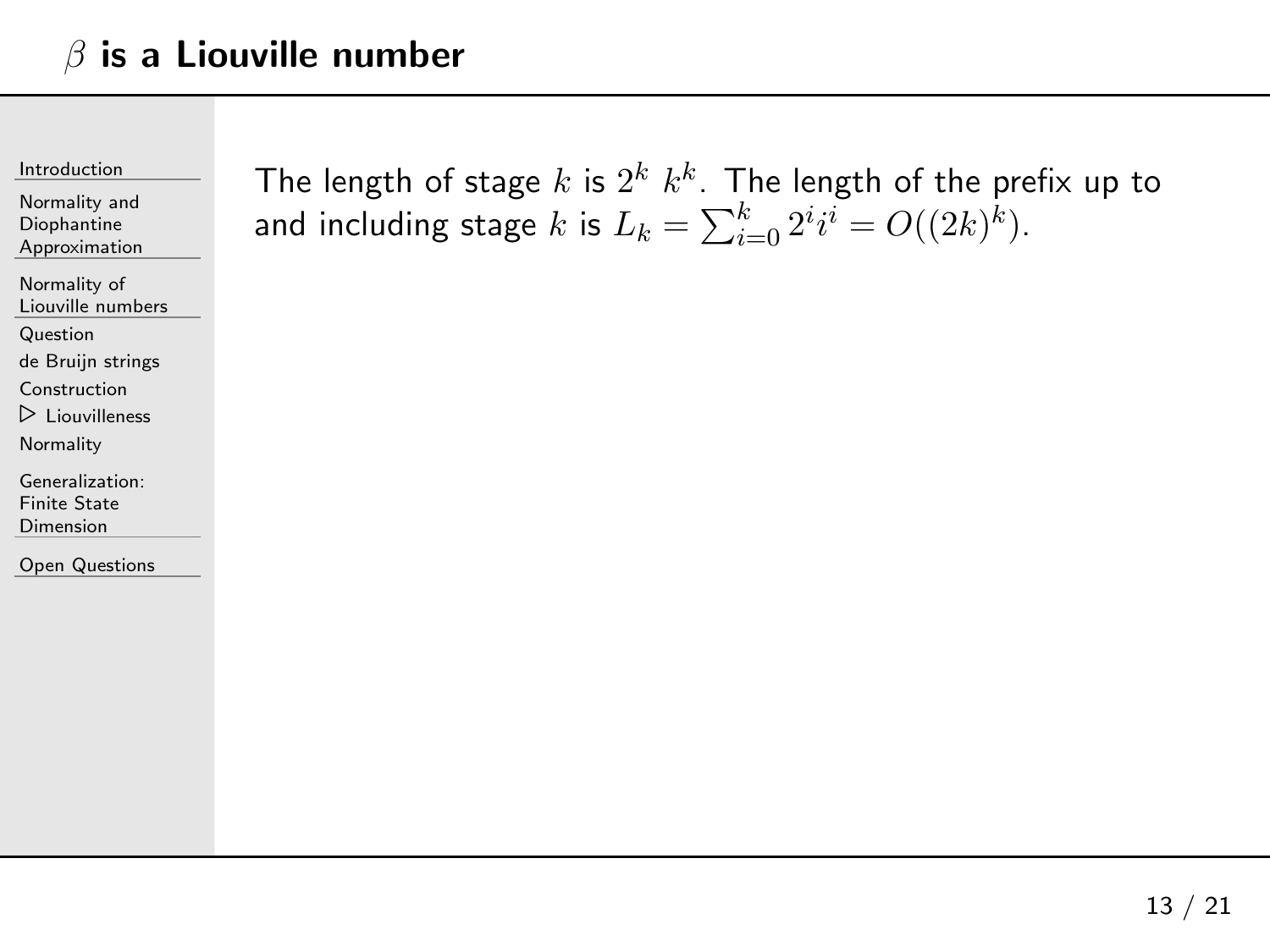[Introduction](#page-1-0)

Normality andDiophantine[Approximation](#page-23-0)

[Normality](#page-28-0) of Liouville numbers

[Question](#page-29-0)

de Bruijn [strings](#page-34-0)

[Construction](#page-41-0)

⊲ [Liouvilleness](#page-49-0)

**[Normality](#page-55-0)** 

[Generalization:](#page-61-0)Finite State Dimension

Open [Questions](#page-73-0)

The length of stage  $k$  is  $2^k$   $k^k$  . The length of the prefix up to and including stage  $k$  is  $L_k = \sum_{i=0}^k 2^i i^i = O((2k)^k).$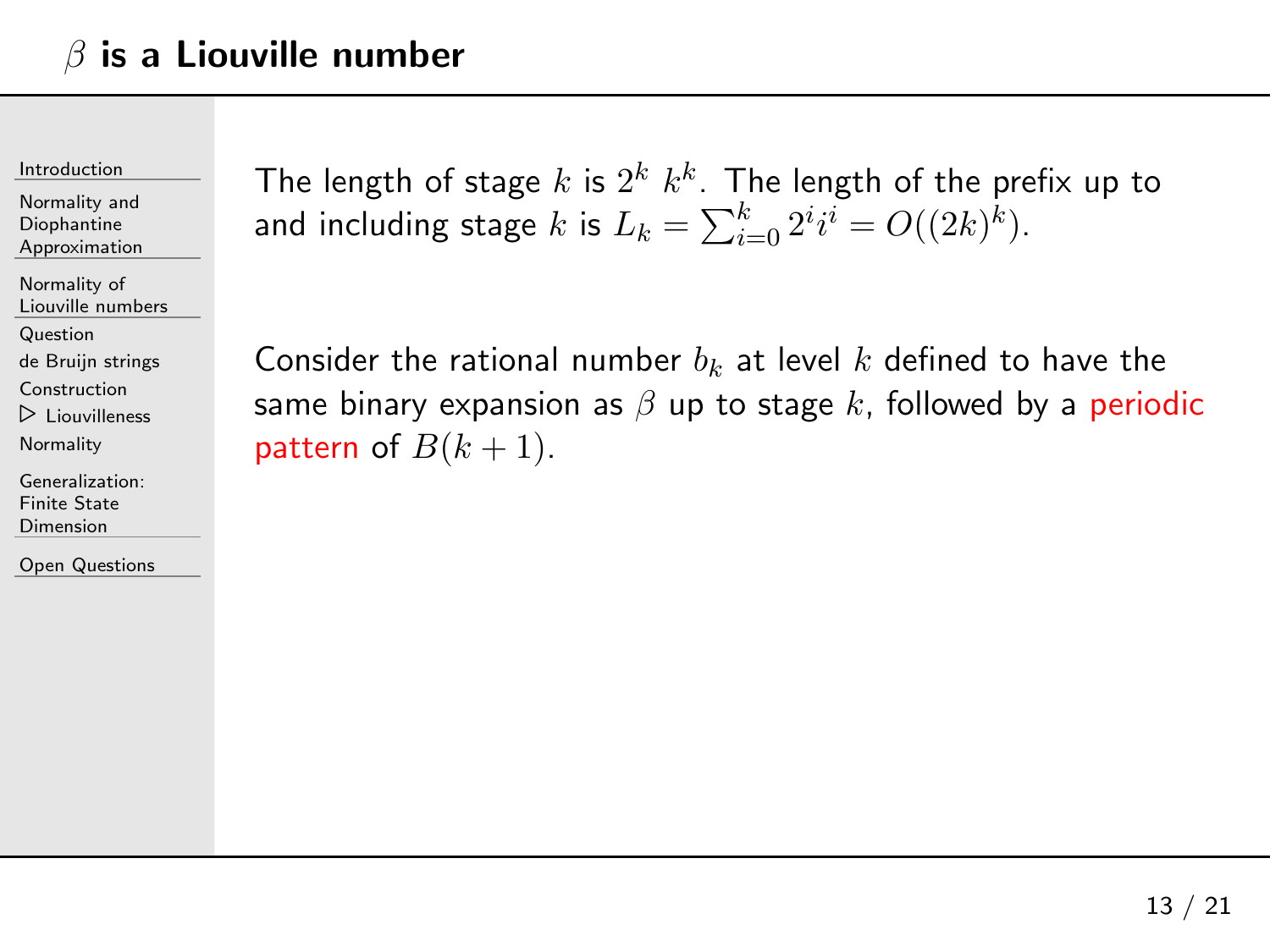[Introduction](#page-1-0)

Normality andDiophantine[Approximation](#page-23-0)

[Normality](#page-28-0) of Liouville numbers

[Question](#page-29-0)

de Bruijn [strings](#page-34-0)

[Construction](#page-41-0)

⊲ [Liouvilleness](#page-49-0)

[Normality](#page-55-0)

[Generalization:](#page-61-0)Finite State Dimension

Open [Questions](#page-73-0)

The length of stage  $k$  is  $2^k$   $k^k$  . The length of the prefix up to and including stage  $k$  is  $L_k = \sum_{i=0}^k 2^i i^i = O((2k)^k).$ 

Consider the rational number  $b_{k}$  at level  $k$  defined to have the same binary expansion as  $\beta$  up to stage  $k$ , followed by a periodic pattern of  $B(k+1)$ .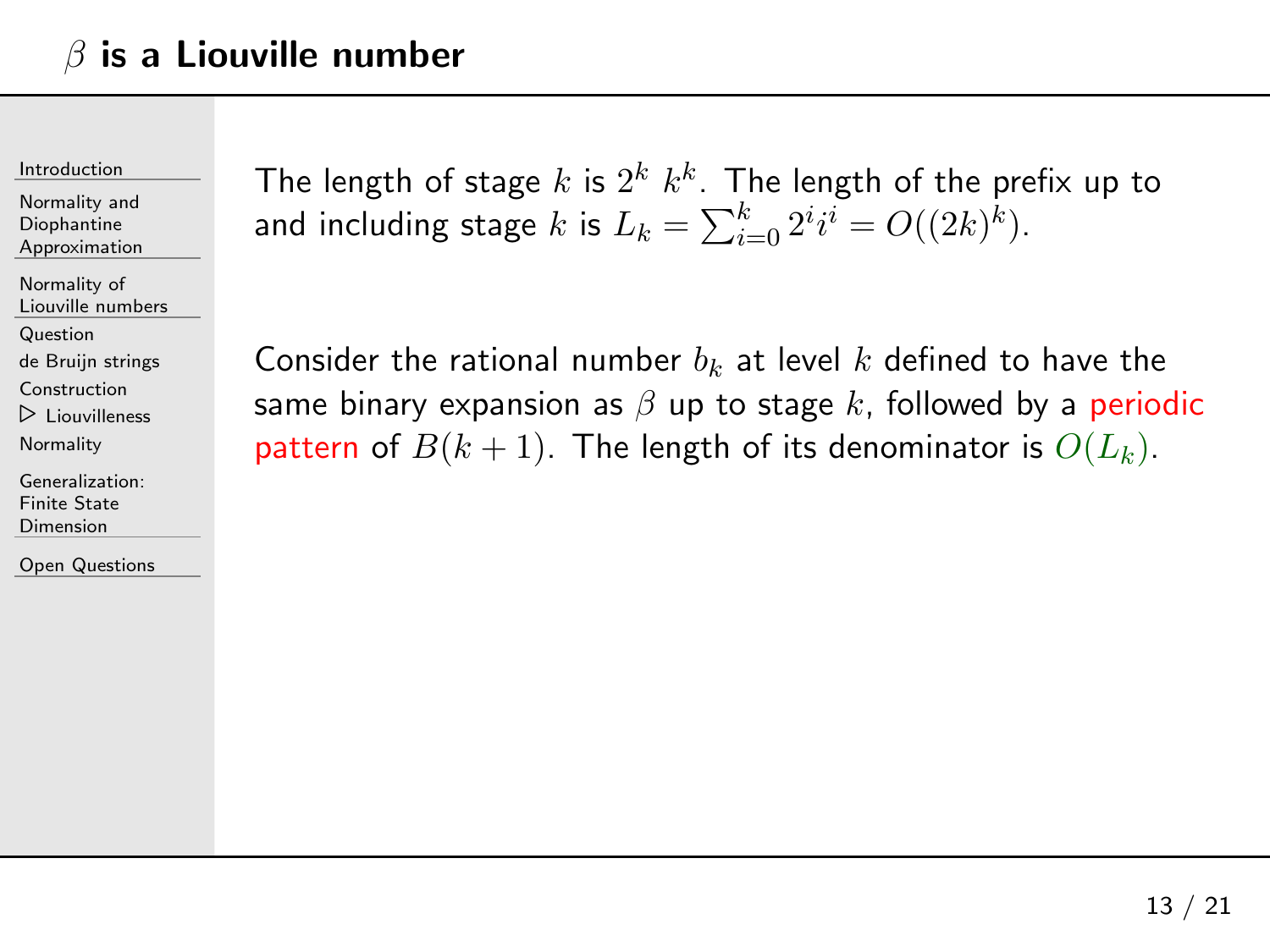[Introduction](#page-1-0)

Normality andDiophantine[Approximation](#page-23-0)

[Normality](#page-28-0) of Liouville numbers

[Question](#page-29-0)

de Bruijn [strings](#page-34-0)

[Construction](#page-41-0)

⊲ [Liouvilleness](#page-49-0)

**[Normality](#page-55-0)** 

[Generalization:](#page-61-0)Finite State Dimension

Open [Questions](#page-73-0)

The length of stage  $k$  is  $2^k$   $k^k$  . The length of the prefix up to and including stage  $k$  is  $L_k = \sum_{i=0}^k 2^i i^i = O((2k)^k).$ 

Consider the rational number  $b_{k}$  at level  $k$  defined to have the same binary expansion as  $\beta$  up to stage  $k$ , followed by a periodic pattern of  $B(k+1)$ . The length of its denominator is  $O(L_k).$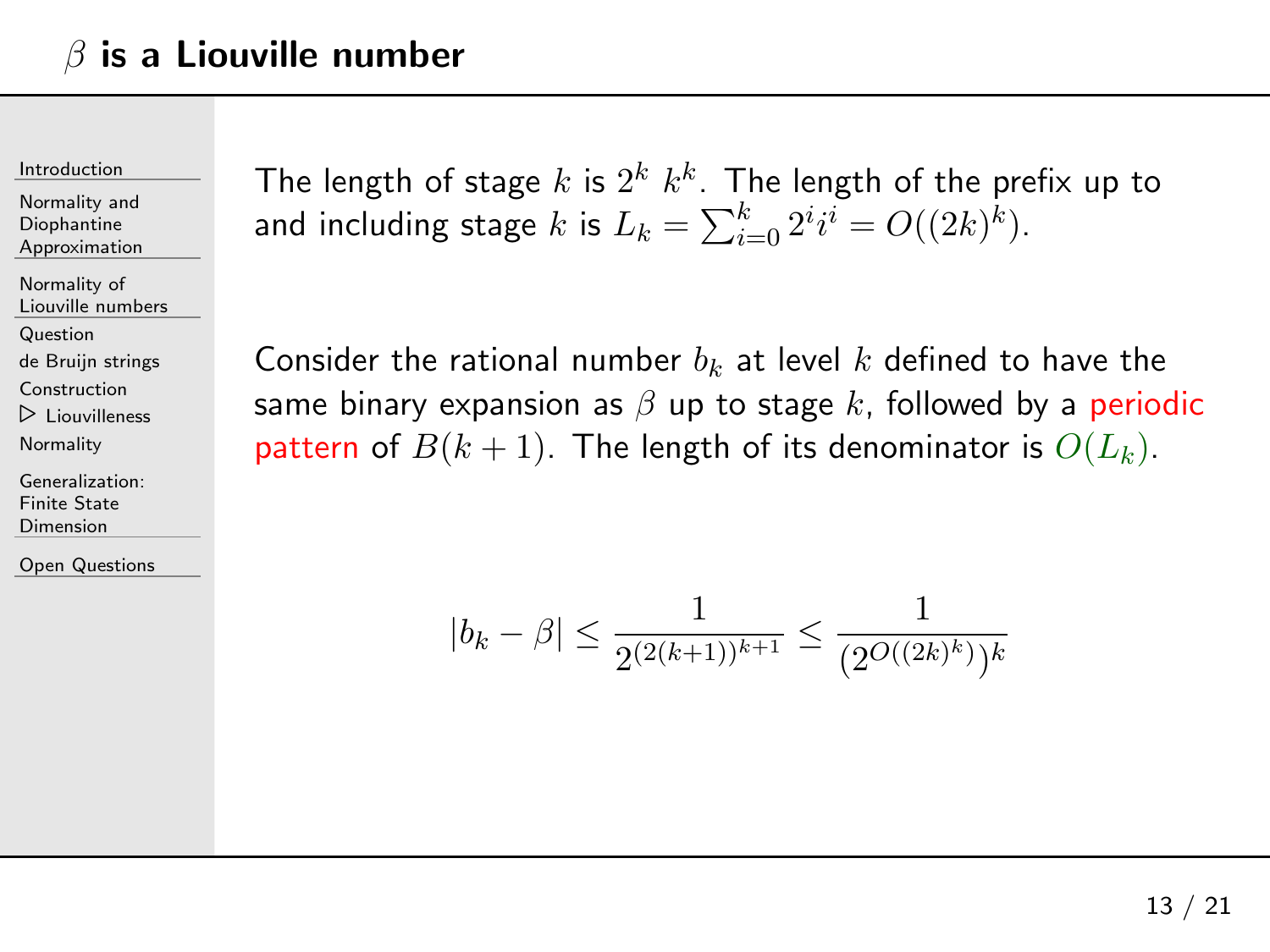[Introduction](#page-1-0)

Normality andDiophantine[Approximation](#page-23-0)

[Normality](#page-28-0) of Liouville numbers

[Question](#page-29-0)

de Bruijn [strings](#page-34-0)

[Construction](#page-41-0)

⊲ [Liouvilleness](#page-49-0)

**[Normality](#page-55-0)** 

[Generalization:](#page-61-0)Finite State Dimension

Open [Questions](#page-73-0)

The length of stage  $k$  is  $2^k$   $k^k$  . The length of the prefix up to and including stage  $k$  is  $L_k = \sum_{i=0}^k 2^i i^i = O((2k)^k).$ 

Consider the rational number  $b_{k}$  at level  $k$  defined to have the same binary expansion as  $\beta$  up to stage  $k$ , followed by a periodic pattern of  $B(k+1)$ . The length of its denominator is  $O(L_k).$ 

$$
|b_k - \beta| \le \frac{1}{2^{(2(k+1))^{k+1}}} \le \frac{1}{(2^{O((2k)^k)})^k}
$$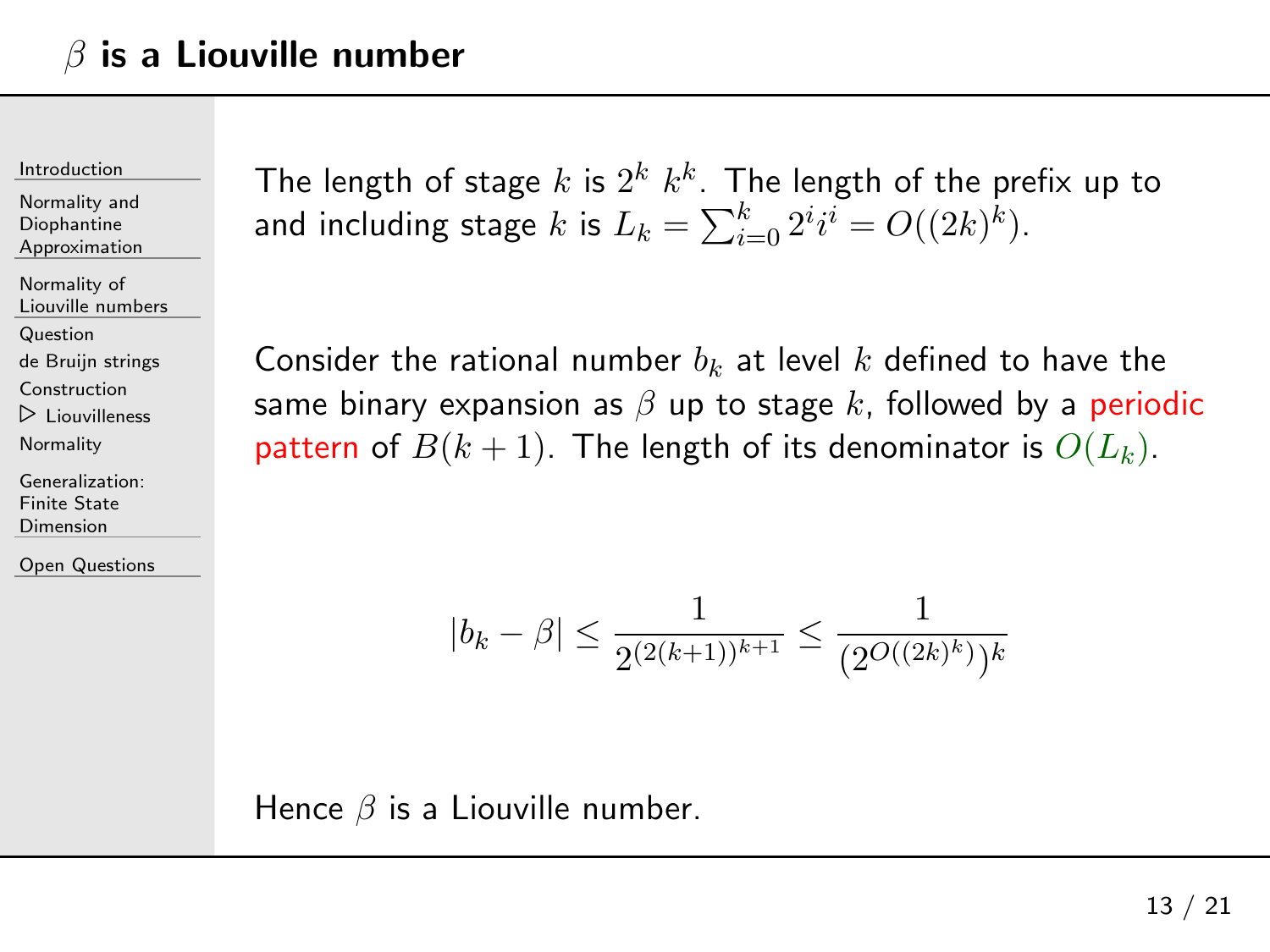[Introduction](#page-1-0)

Normality andDiophantine[Approximation](#page-23-0)

[Normality](#page-28-0) of Liouville numbers

[Question](#page-29-0)

de Bruijn [strings](#page-34-0)

[Construction](#page-41-0)

⊲ [Liouvilleness](#page-49-0)

**[Normality](#page-55-0)** 

[Generalization:](#page-61-0)Finite State Dimension

Open [Questions](#page-73-0)

The length of stage  $k$  is  $2^k$   $k^k$  . The length of the prefix up to and including stage  $k$  is  $L_k = \sum_{i=0}^k 2^i i^i = O((2k)^k).$ 

Consider the rational number  $b_{k}$  at level  $k$  defined to have the same binary expansion as  $\beta$  up to stage  $k$ , followed by a periodic pattern of  $B(k+1)$ . The length of its denominator is  $O(L_k).$ 

$$
|b_k - \beta| \le \frac{1}{2^{(2(k+1))^{k+1}}} \le \frac{1}{(2^{O((2k)^k)})^k}
$$

Hence  $\beta$  is a Liouville number.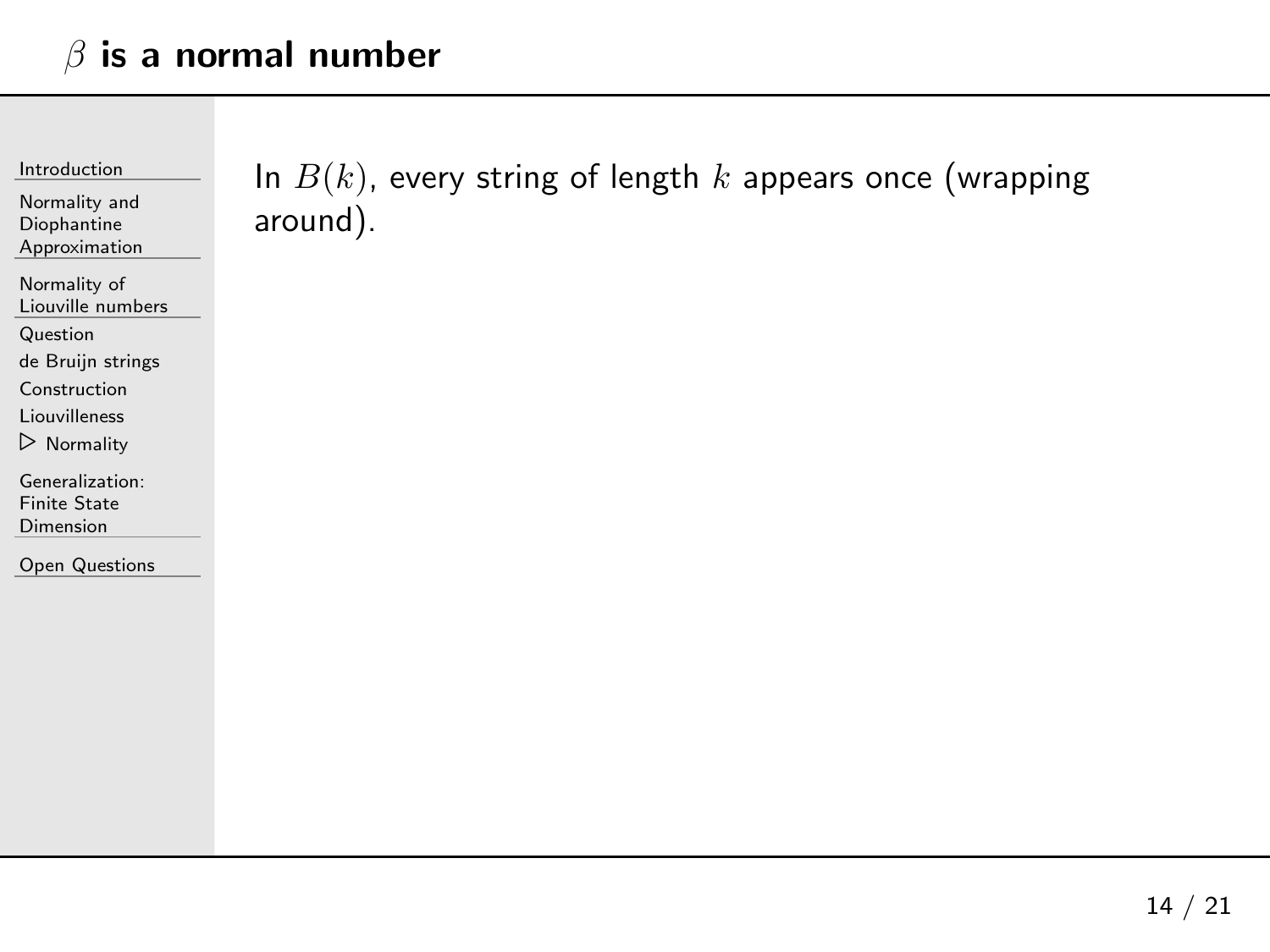<span id="page-55-0"></span>[Introduction](#page-1-0)

Normality andDiophantine[Approximation](#page-23-0)

[Normality](#page-28-0) of Liouville numbers

[Question](#page-29-0)

de Bruijn [strings](#page-34-0)

[Construction](#page-41-0)

[Liouvilleness](#page-49-0)

⊲ [Normality](#page-55-0)

[Generalization:](#page-61-0)Finite State Dimension

Open [Questions](#page-73-0)

In  $B(k)$ , every string of length  $k$  appears once (wrapping around).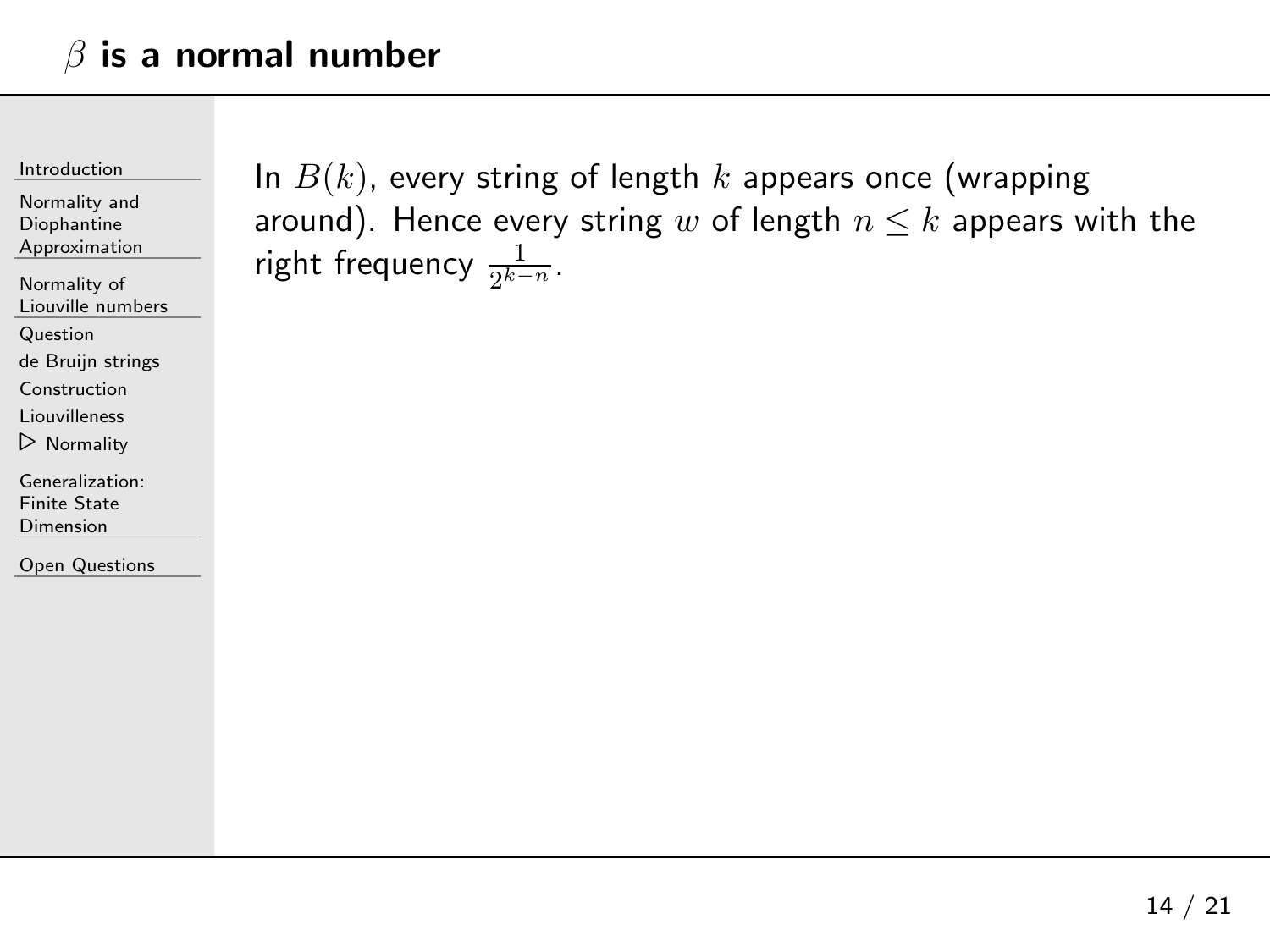[Introduction](#page-1-0)

Normality andDiophantine[Approximation](#page-23-0)

[Normality](#page-28-0) of Liouville numbers

[Question](#page-29-0)

de Bruijn [strings](#page-34-0)

[Construction](#page-41-0)

[Liouvilleness](#page-49-0)

⊲ [Normality](#page-55-0)

[Generalization:](#page-61-0)Finite State Dimension

Open [Questions](#page-73-0)

In  $B(k)$ , every string of length  $k$  appears once (wrapping around). Hence every string  $w$  of length  $n\leq k$  appears with the<br> right frequency  $\frac{1}{2^{k-n}}$ .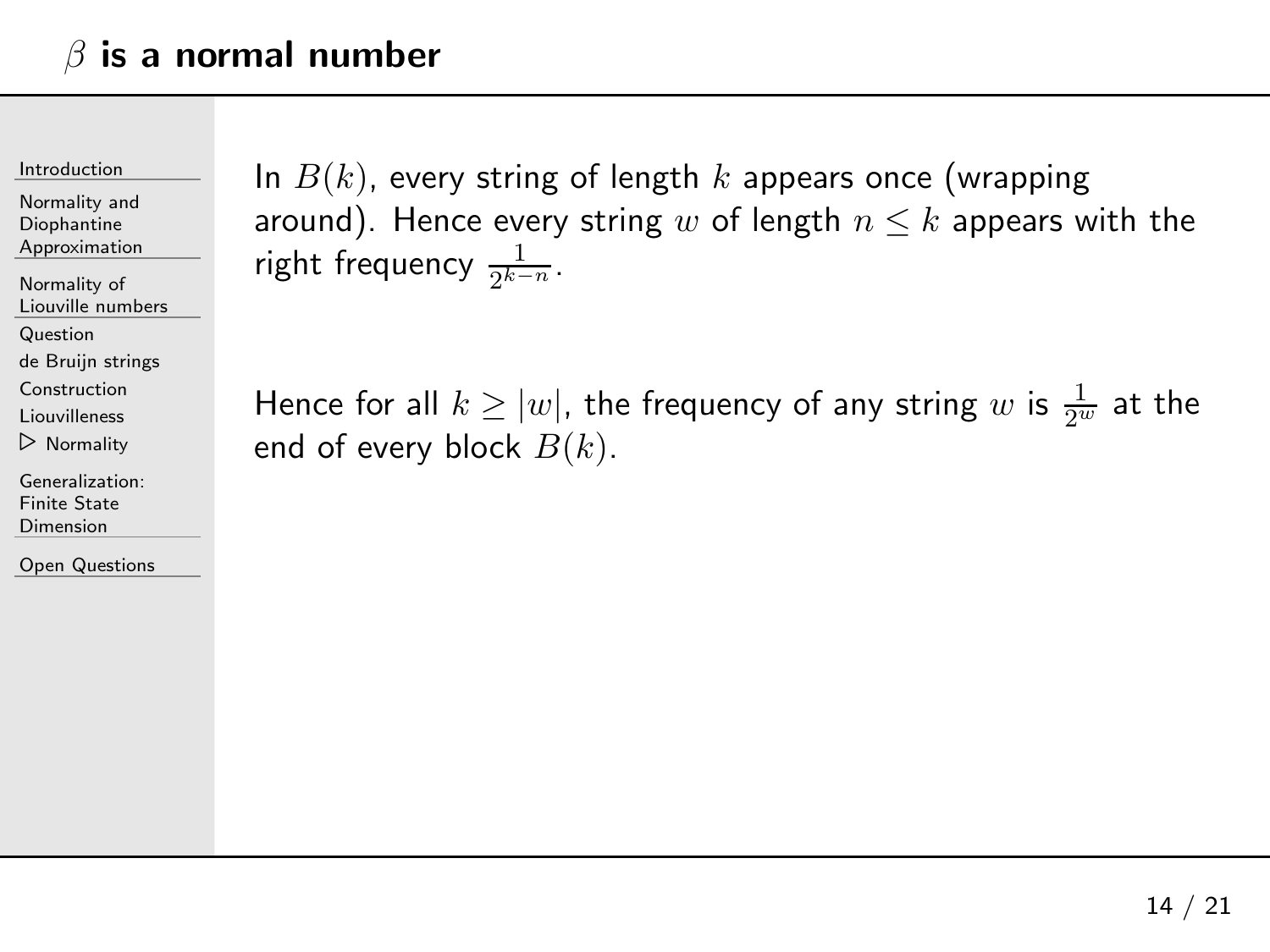[Introduction](#page-1-0)

Normality andDiophantine[Approximation](#page-23-0)

[Normality](#page-28-0) of Liouville numbers

[Question](#page-29-0)

de Bruijn [strings](#page-34-0)

[Construction](#page-41-0)

[Liouvilleness](#page-49-0)

⊲ [Normality](#page-55-0)

[Generalization:](#page-61-0)Finite State Dimension

Open [Questions](#page-73-0)

In  $B(k)$ , every string of length  $k$  appears once (wrapping around). Hence every string  $w$  of length  $n\leq k$  appears with the<br> right frequency  $\frac{1}{2^{k-n}}$ .

Hence for all  $k \geq |w|$ , the frequency of any string  $w$  is  $\frac{1}{2^w}$  at the end of every block  $B(k)$ .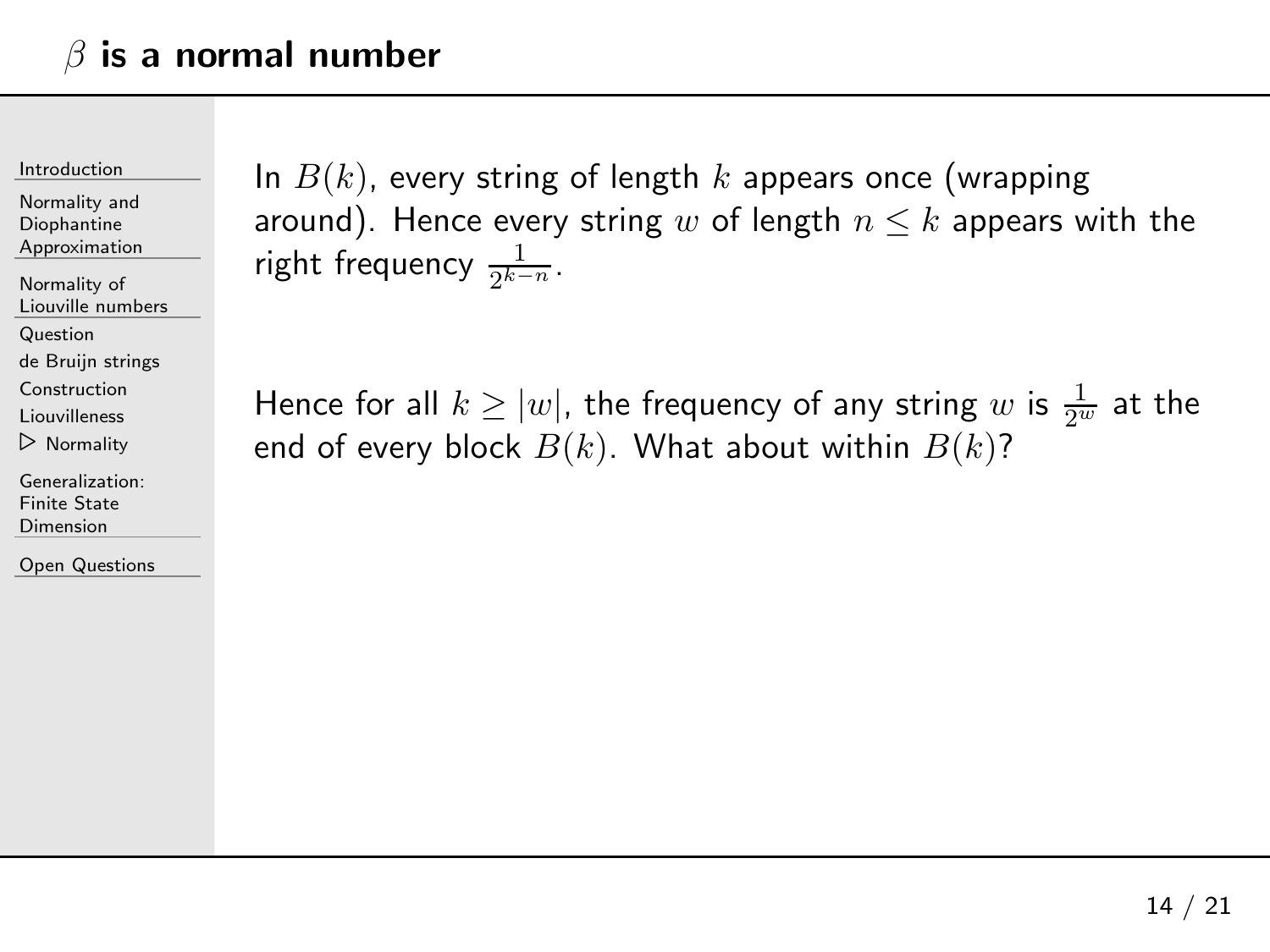[Introduction](#page-1-0)

Normality andDiophantine[Approximation](#page-23-0)

[Normality](#page-28-0) of Liouville numbers

[Question](#page-29-0)

de Bruijn [strings](#page-34-0)

[Construction](#page-41-0)

[Liouvilleness](#page-49-0)

⊲ [Normality](#page-55-0)

[Generalization:](#page-61-0)Finite State Dimension

Open [Questions](#page-73-0)

In  $B(k)$ , every string of length  $k$  appears once (wrapping around). Hence every string  $w$  of length  $n\leq k$  appears with the<br> right frequency  $\frac{1}{2^{k-n}}$ .

Hence for all  $k \geq |w|$ , the frequency of any string  $w$  is  $\frac{1}{2^w}$  at the end of every block  $B(k).$  What about within  $B(k)$ ?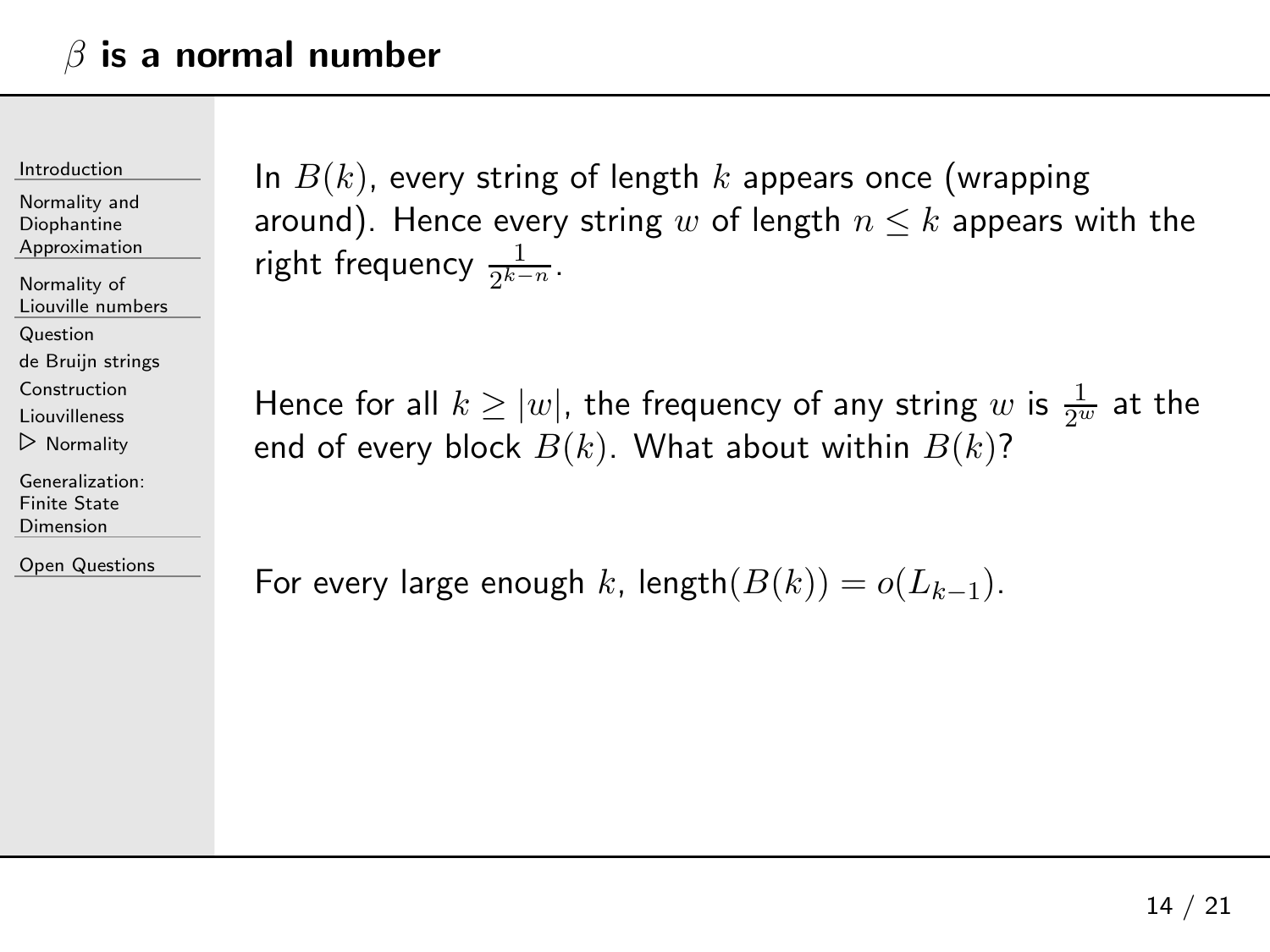[Introduction](#page-1-0)

Normality andDiophantine[Approximation](#page-23-0)

[Normality](#page-28-0) of Liouville numbers

[Question](#page-29-0)

de Bruijn [strings](#page-34-0)

[Construction](#page-41-0)

[Liouvilleness](#page-49-0)

⊲ [Normality](#page-55-0)

[Generalization:](#page-61-0)Finite State Dimension

Open [Questions](#page-73-0)

In  $B(k)$ , every string of length  $k$  appears once (wrapping around). Hence every string  $w$  of length  $n\leq k$  appears with the<br> right frequency  $\frac{1}{2^{k-n}}$ .

Hence for all  $k \geq |w|$ , the frequency of any string  $w$  is  $\frac{1}{2^w}$  at the end of every block  $B(k).$  What about within  $B(k)$ ?

For every large enough  $k$ , length $(B(k)) = o(L_{k-1})$ .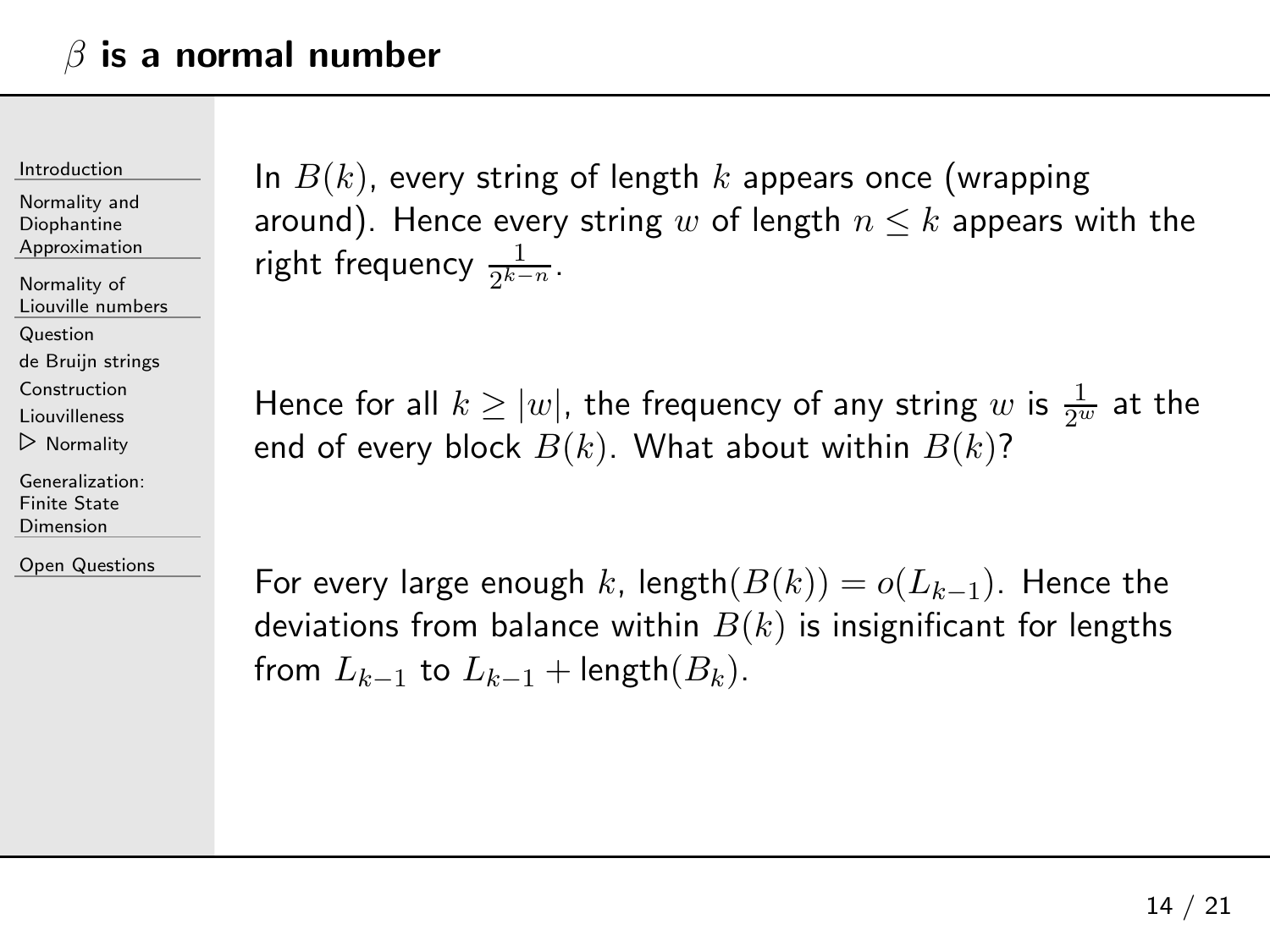[Introduction](#page-1-0)

Normality andDiophantine[Approximation](#page-23-0)

[Normality](#page-28-0) of Liouville numbers

[Question](#page-29-0)

de Bruijn [strings](#page-34-0)

[Construction](#page-41-0)

[Liouvilleness](#page-49-0)

⊲ [Normality](#page-55-0)

[Generalization:](#page-61-0)Finite State Dimension

Open [Questions](#page-73-0)

In  $B(k)$ , every string of length  $k$  appears once (wrapping around). Hence every string  $w$  of length  $n\leq k$  appears with the<br> right frequency  $\frac{1}{2^{k-n}}$ .

Hence for all  $k \geq |w|$ , the frequency of any string  $w$  is  $\frac{1}{2^w}$  at the end of every block  $B(k).$  What about within  $B(k)$ ?

For every large enough  $k$ , length $(B(k)) = o(L_{k-1})$ . Hence the deviations from balance within  $B(k)$  is insignificant for lengths from  $L_{k-1}$  to  $L_{k-1}$  + length $(B_k)$ .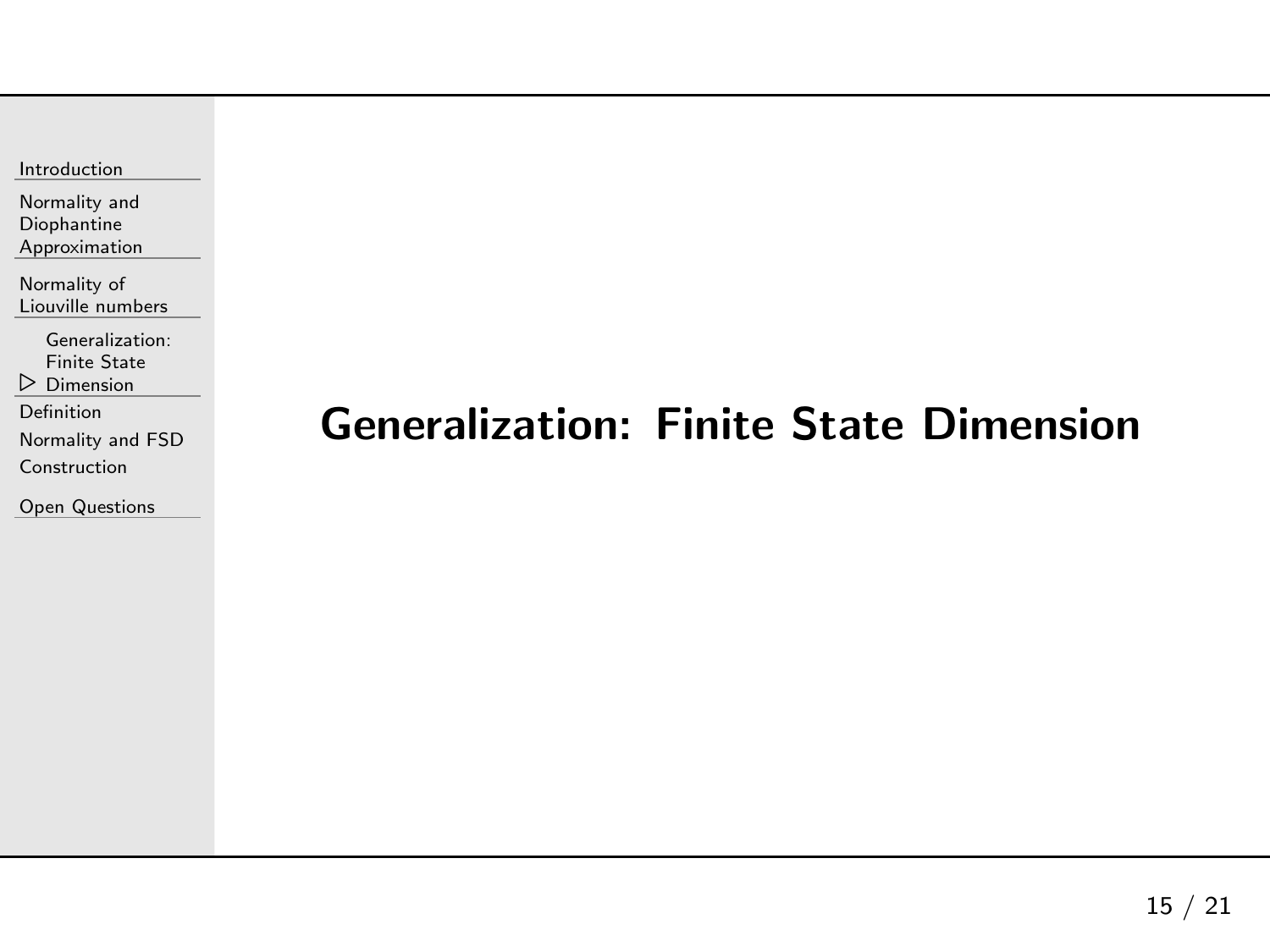<span id="page-61-0"></span>Normality andDiophantine[Approximation](#page-23-0)

[Normality](#page-28-0) of Liouville numbers

[Generalization:](#page-61-0)

 $\triangleright$  Dimension Finite State

[Definition](#page-62-0)

[Normality](#page-66-0) and FSD

[Construction](#page-71-0)

Open [Questions](#page-73-0)

## Generalization: Finite State Dimension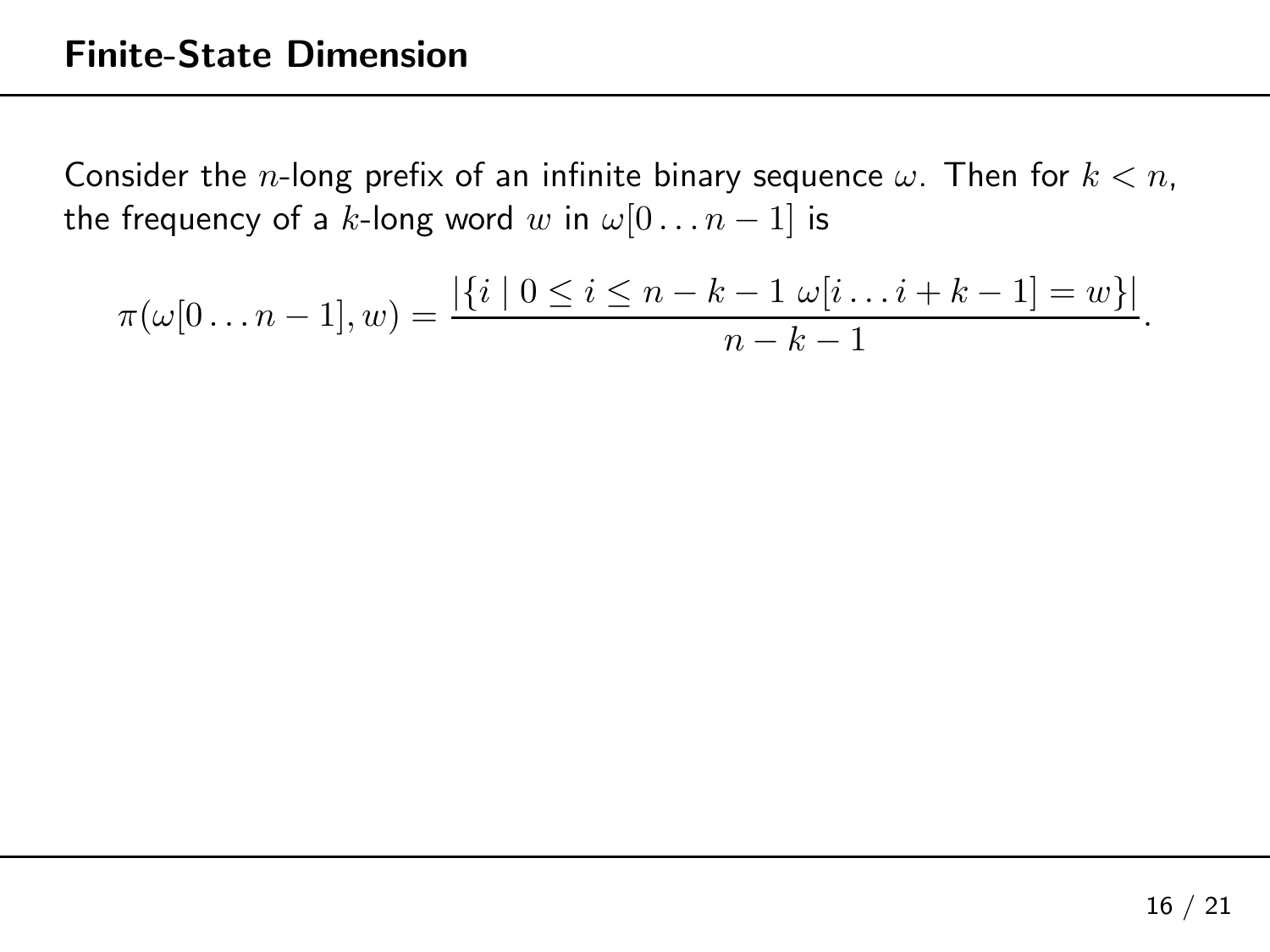<span id="page-62-0"></span>
$$
\pi(\omega[0 \dots n-1], w) = \frac{|\{i \mid 0 \le i \le n-k-1 \omega[i \dots i+k-1] = w\}|}{n-k-1}.
$$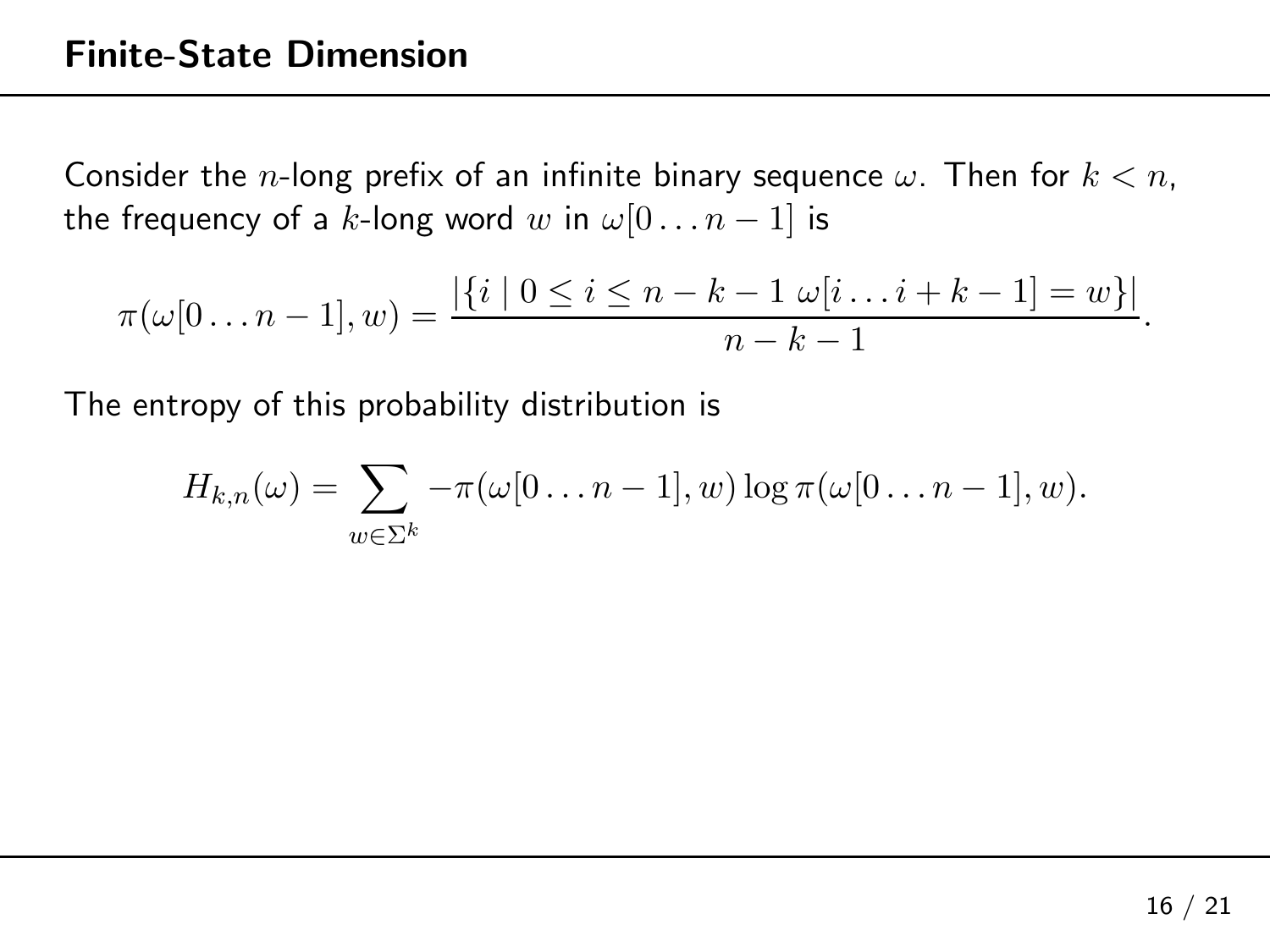$$
\pi(\omega[0 \dots n-1], w) = \frac{|\{i \mid 0 \le i \le n-k-1 \omega[i \dots i+k-1] = w\}|}{n-k-1}.
$$

The entropy of this probability distribution is

$$
H_{k,n}(\omega)=\sum_{w\in\Sigma^k}-\pi(\omega[0\ldots n-1],w)\log\pi(\omega[0\ldots n-1],w).
$$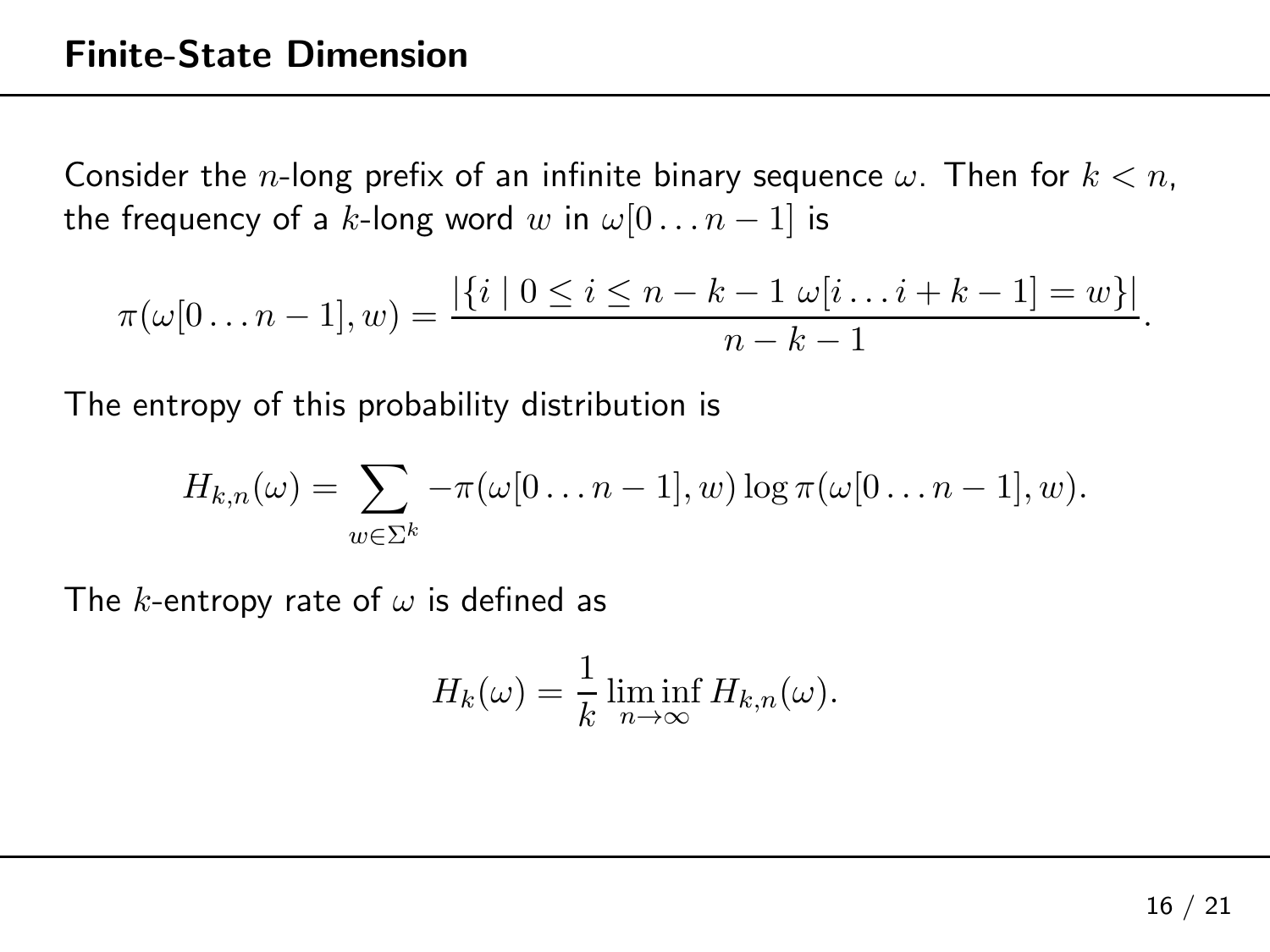$$
\pi(\omega[0 \dots n-1], w) = \frac{|\{i \mid 0 \le i \le n-k-1 \omega[i \dots i+k-1] = w\}|}{n-k-1}.
$$

The entropy of this probability distribution is

$$
H_{k,n}(\omega)=\sum_{w\in\Sigma^k}-\pi(\omega[0\ldots n-1],w)\log\pi(\omega[0\ldots n-1],w).
$$

The  $k$ -entropy rate of  $\omega$  is defined as

$$
H_k(\omega) = \frac{1}{k} \liminf_{n \to \infty} H_{k,n}(\omega).
$$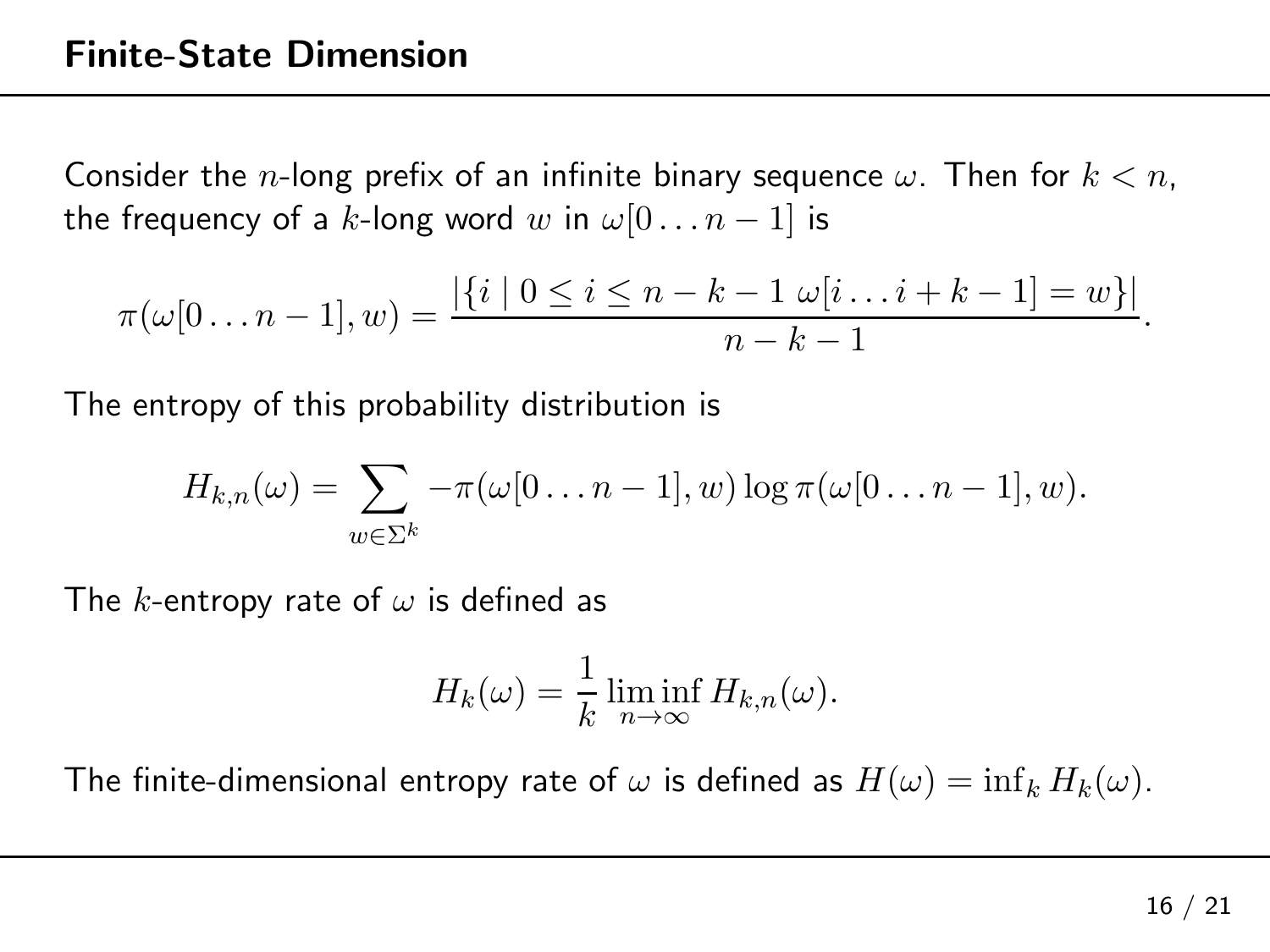$$
\pi(\omega[0 \dots n-1], w) = \frac{|\{i \mid 0 \le i \le n-k-1 \omega[i \dots i+k-1] = w\}|}{n-k-1}.
$$

The entropy of this probability distribution is

$$
H_{k,n}(\omega)=\sum_{w\in\Sigma^k}-\pi(\omega[0\ldots n-1],w)\log\pi(\omega[0\ldots n-1],w).
$$

The  $k$ -entropy rate of  $\omega$  is defined as

$$
H_k(\omega) = \frac{1}{k} \liminf_{n \to \infty} H_{k,n}(\omega).
$$

The finite-dimensional entropy rate of  $\omega$  is defined as  $H(\omega)=\inf_k H_k(\omega).$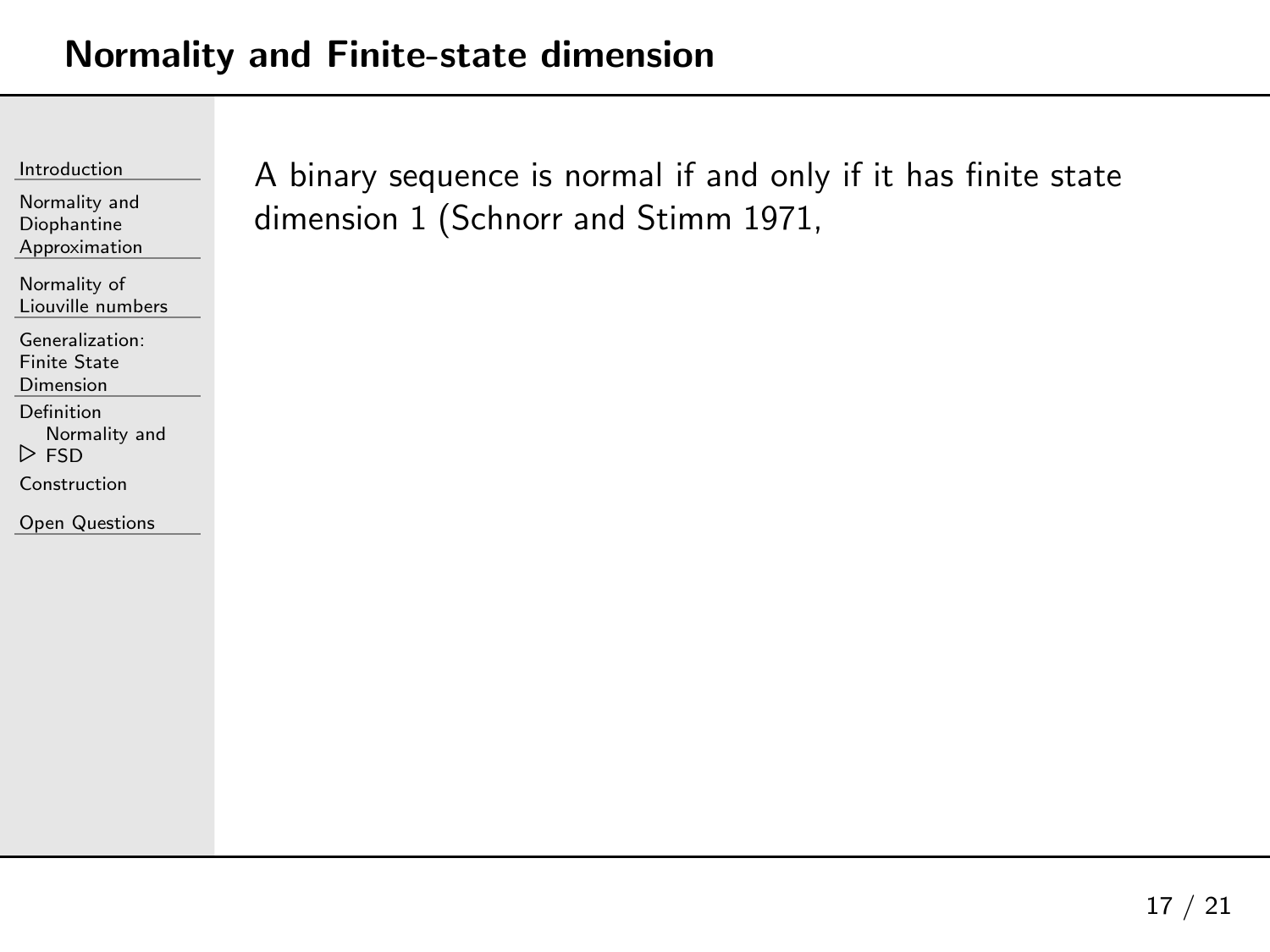## <span id="page-66-0"></span>Normality and Finite-state dimension

[Introduction](#page-1-0)

Normality andDiophantine[Approximation](#page-23-0)

[Normality](#page-28-0) of Liouville numbers

[Generalization:](#page-61-0)

Finite State Dimension

[Definition](#page-62-0)

[Normality](#page-66-0) and

⊲FSD

[Construction](#page-71-0)

Open [Questions](#page-73-0)

<sup>A</sup> binary sequence is normal if and only if it has finite state dimension <sup>1</sup> (Schnorr and Stimm 1971,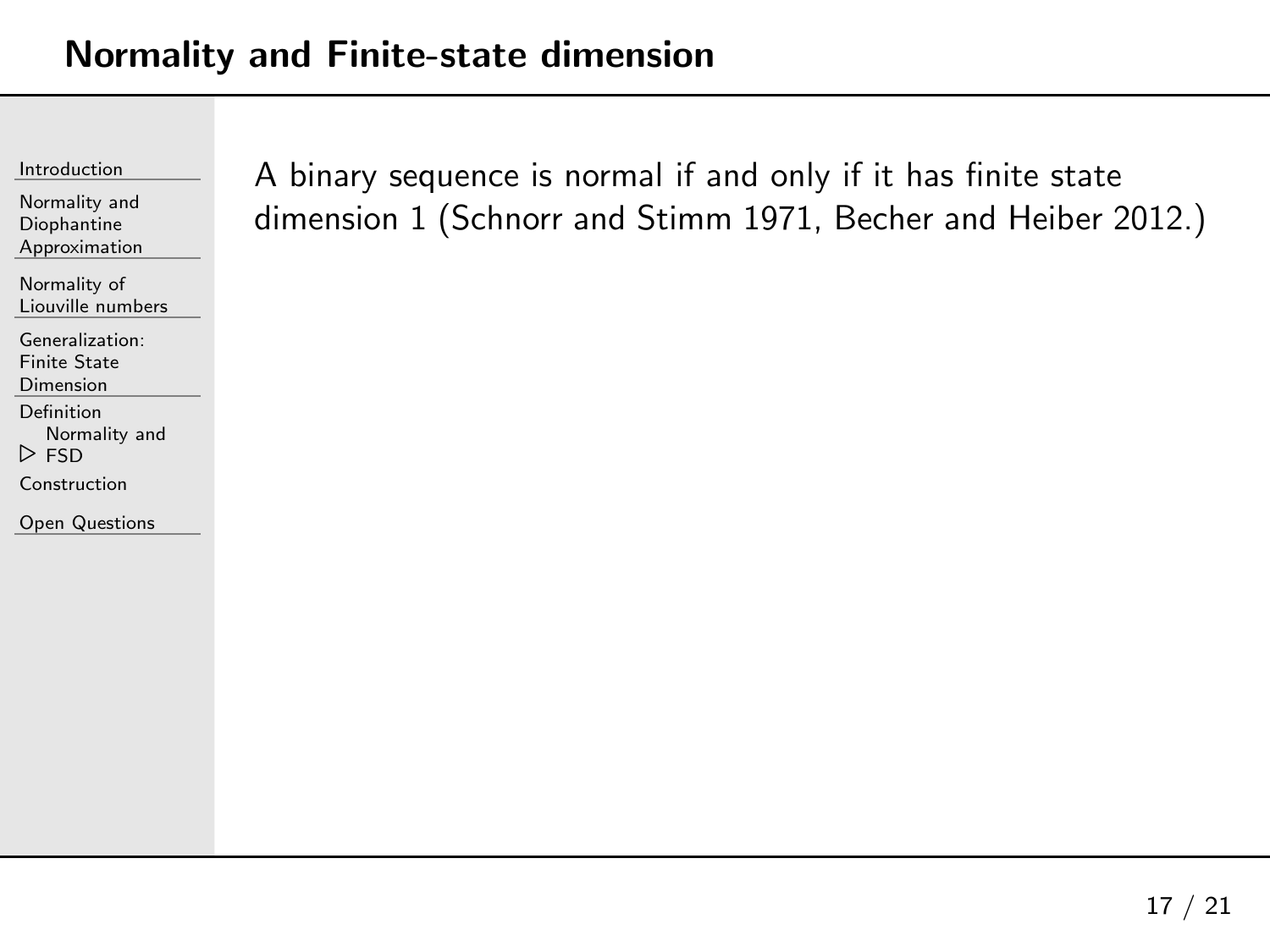Normality andDiophantine[Approximation](#page-23-0)

[Normality](#page-28-0) of Liouville numbers

[Generalization:](#page-61-0)

Finite State Dimension

[Definition](#page-62-0)

[Normality](#page-66-0) and

⊲FSD

[Construction](#page-71-0)

Open [Questions](#page-73-0)

<sup>A</sup> binary sequence is normal if and only if it has finite state dimension <sup>1</sup> (Schnorr and Stimm 1971, Becher and Heiber 2012.)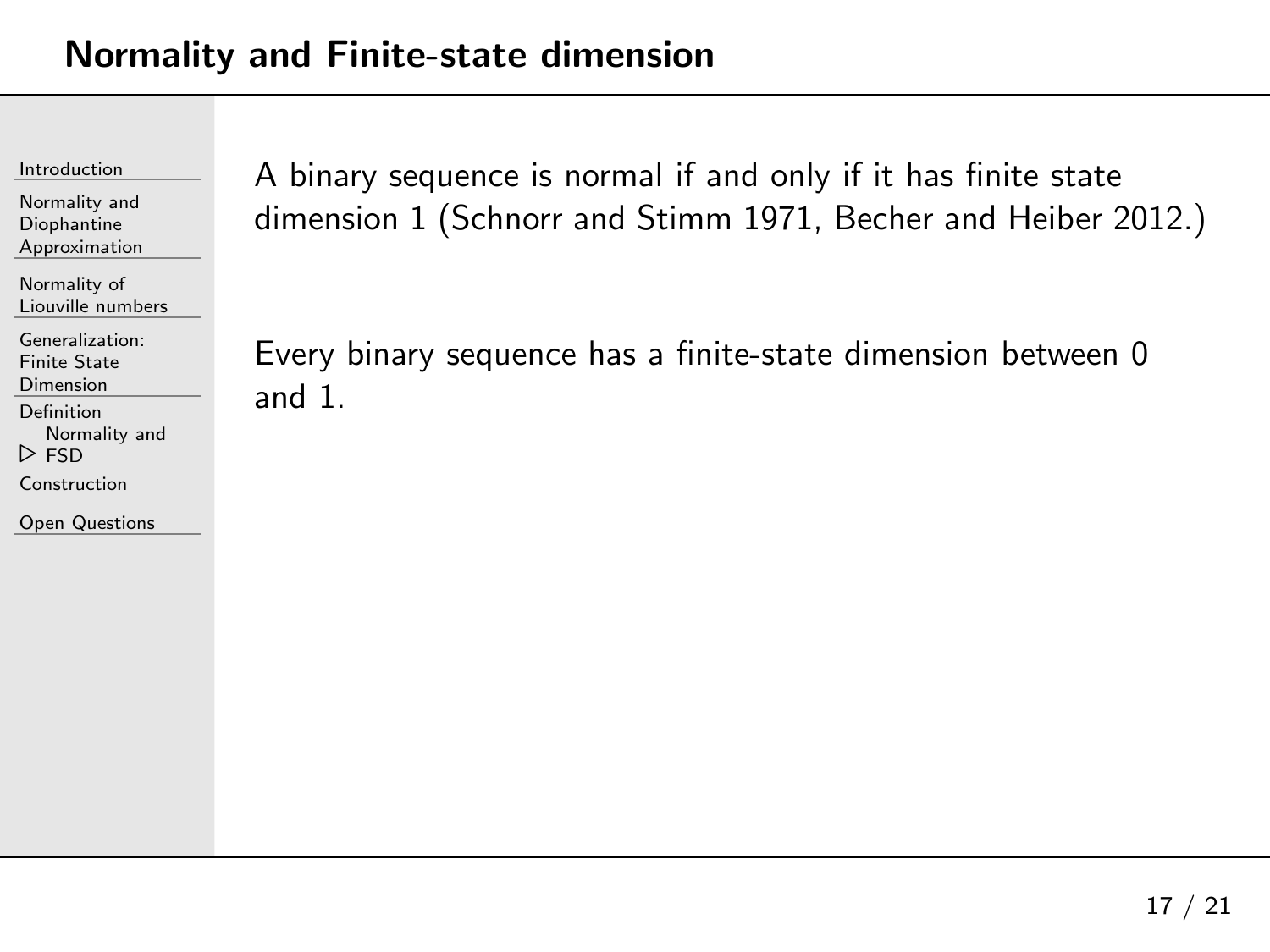Normality andDiophantine[Approximation](#page-23-0)

[Normality](#page-28-0) of Liouville numbers

[Generalization:](#page-61-0)

Finite State

Dimension

[Definition](#page-62-0)

[Normality](#page-66-0) and

⊲FSD

[Construction](#page-71-0)

Open [Questions](#page-73-0)

<sup>A</sup> binary sequence is normal if and only if it has finite state dimension <sup>1</sup> (Schnorr and Stimm 1971, Becher and Heiber 2012.)

Every binary sequence has <sup>a</sup> finite-state dimension between <sup>0</sup> and 1.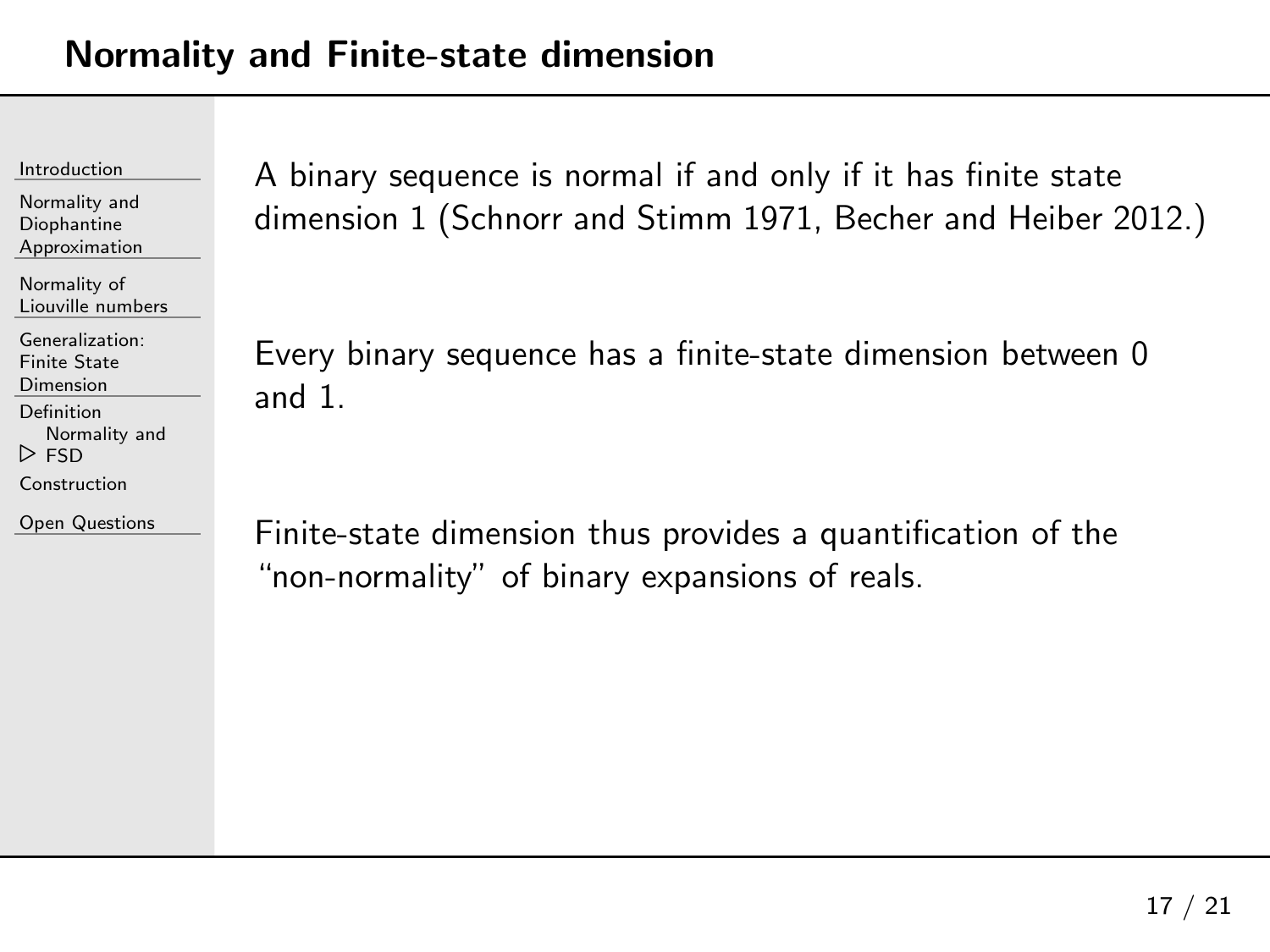Normality andDiophantine[Approximation](#page-23-0)

[Normality](#page-28-0) of Liouville numbers

[Generalization:](#page-61-0)

Finite State Dimension

[Definition](#page-62-0)

 [Normality](#page-66-0) and⊲FSD

[Construction](#page-71-0)

Open [Questions](#page-73-0)

<sup>A</sup> binary sequence is normal if and only if it has finite state dimension <sup>1</sup> (Schnorr and Stimm 1971, Becher and Heiber 2012.)

Every binary sequence has <sup>a</sup> finite-state dimension between <sup>0</sup> and 1.

Finite-state dimension thus provides <sup>a</sup> quantification of the "non-normality" of binary expansions of reals.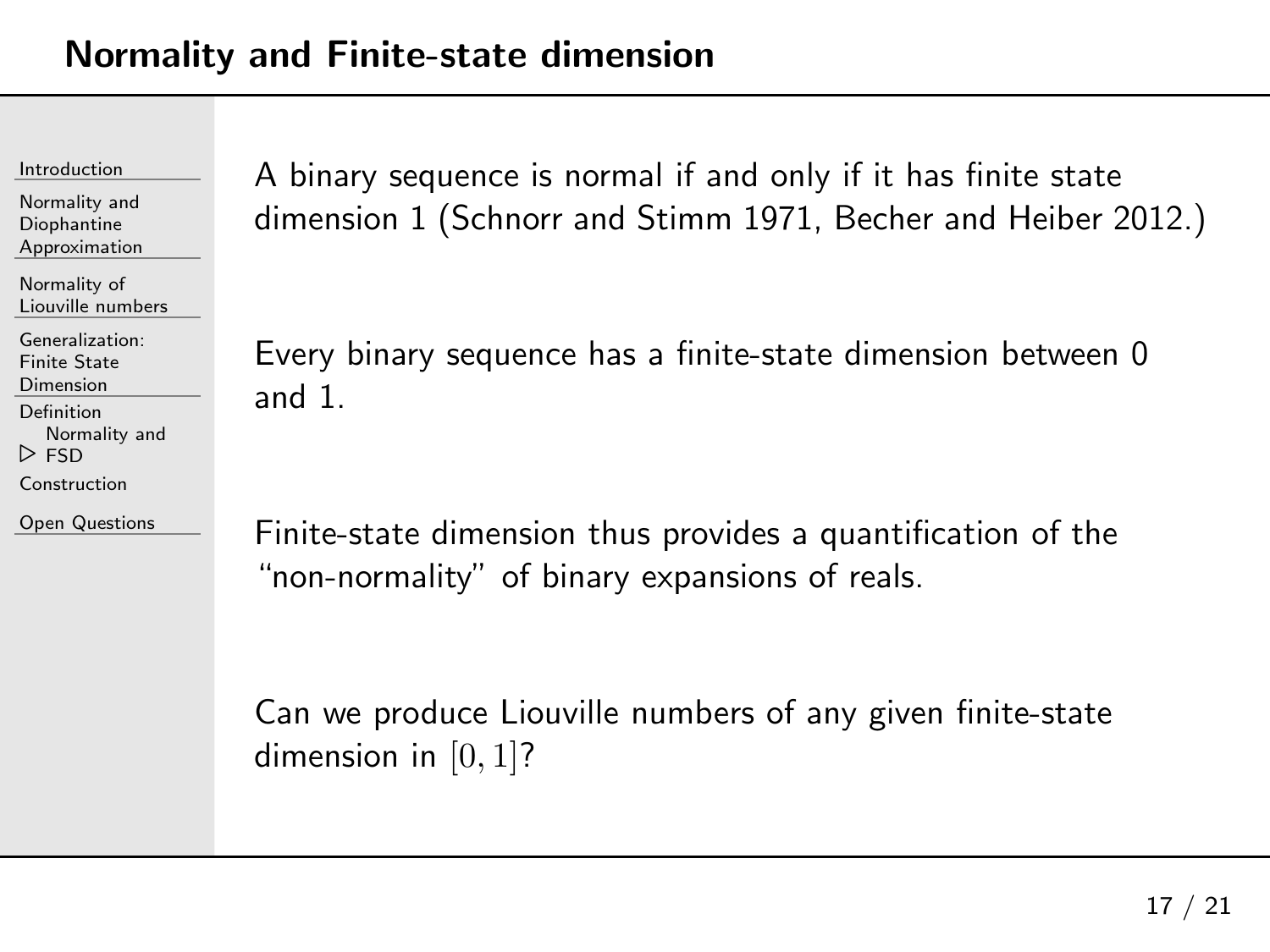Normality andDiophantine[Approximation](#page-23-0)

[Normality](#page-28-0) of Liouville numbers

[Generalization:](#page-61-0)Finite State

Dimension

[Definition](#page-62-0)

[Normality](#page-66-0) and

⊲FSD

[Construction](#page-71-0)

Open [Questions](#page-73-0)

<sup>A</sup> binary sequence is normal if and only if it has finite state dimension <sup>1</sup> (Schnorr and Stimm 1971, Becher and Heiber 2012.)

Every binary sequence has <sup>a</sup> finite-state dimension between <sup>0</sup> and 1.

Finite-state dimension thus provides <sup>a</sup> quantification of the "non-normality" of binary expansions of reals.

Can we produce Liouville numbers of any <sup>g</sup>iven finite-state dimension in  $[0,1]$ ?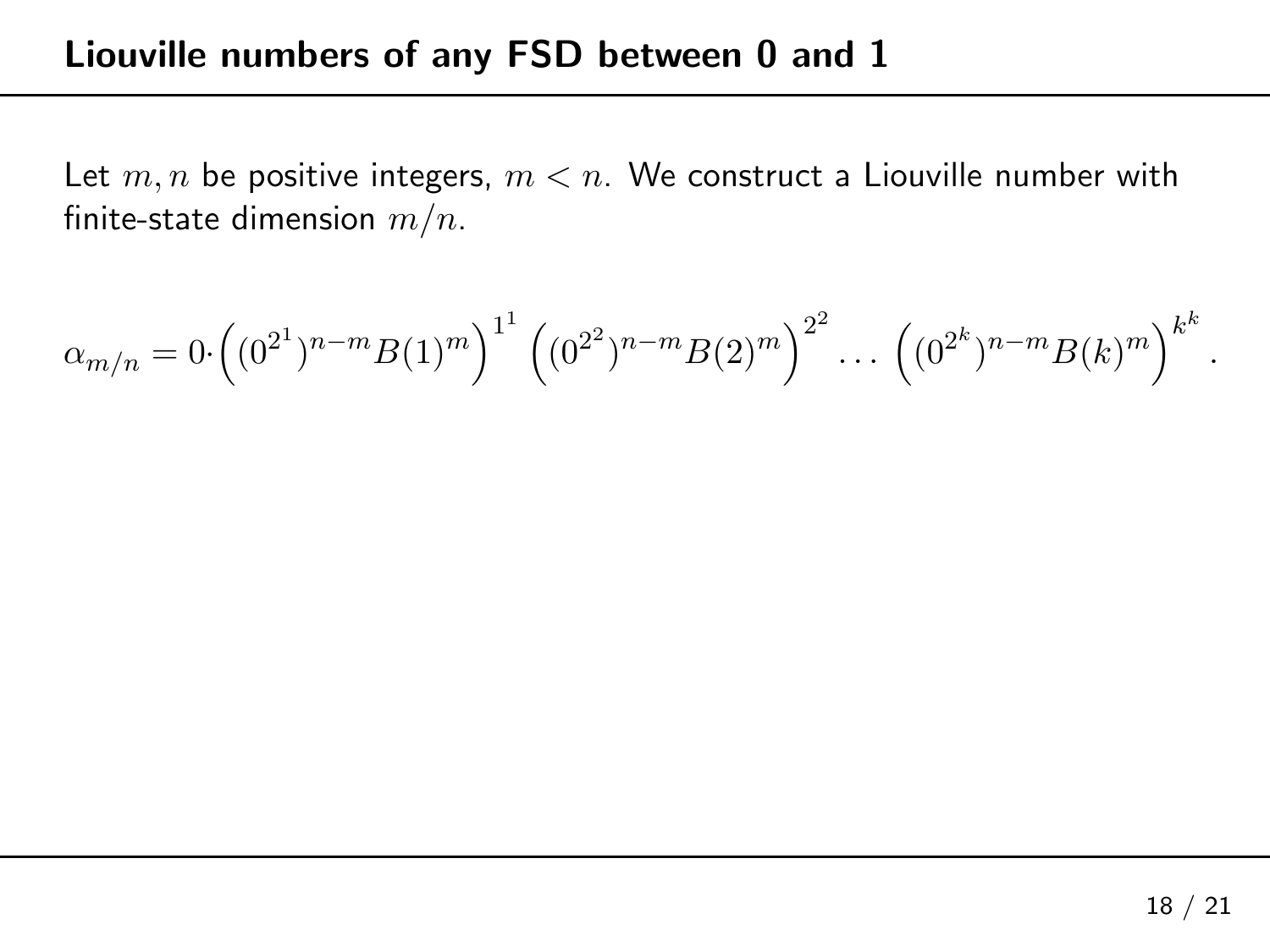<span id="page-71-0"></span>Let  $m,n$  be positive integers,  $m < n.$  We construct a Liouville number with finite-state dimension  $\displaystyle m/n.$ 

$$
\alpha_{m/n} = 0 \cdot \left( (0^{2^1})^{n-m} B(1)^m \right)^{1^1} \left( (0^{2^2})^{n-m} B(2)^m \right)^{2^2} \dots \left( (0^{2^k})^{n-m} B(k)^m \right)^{k^k}
$$

.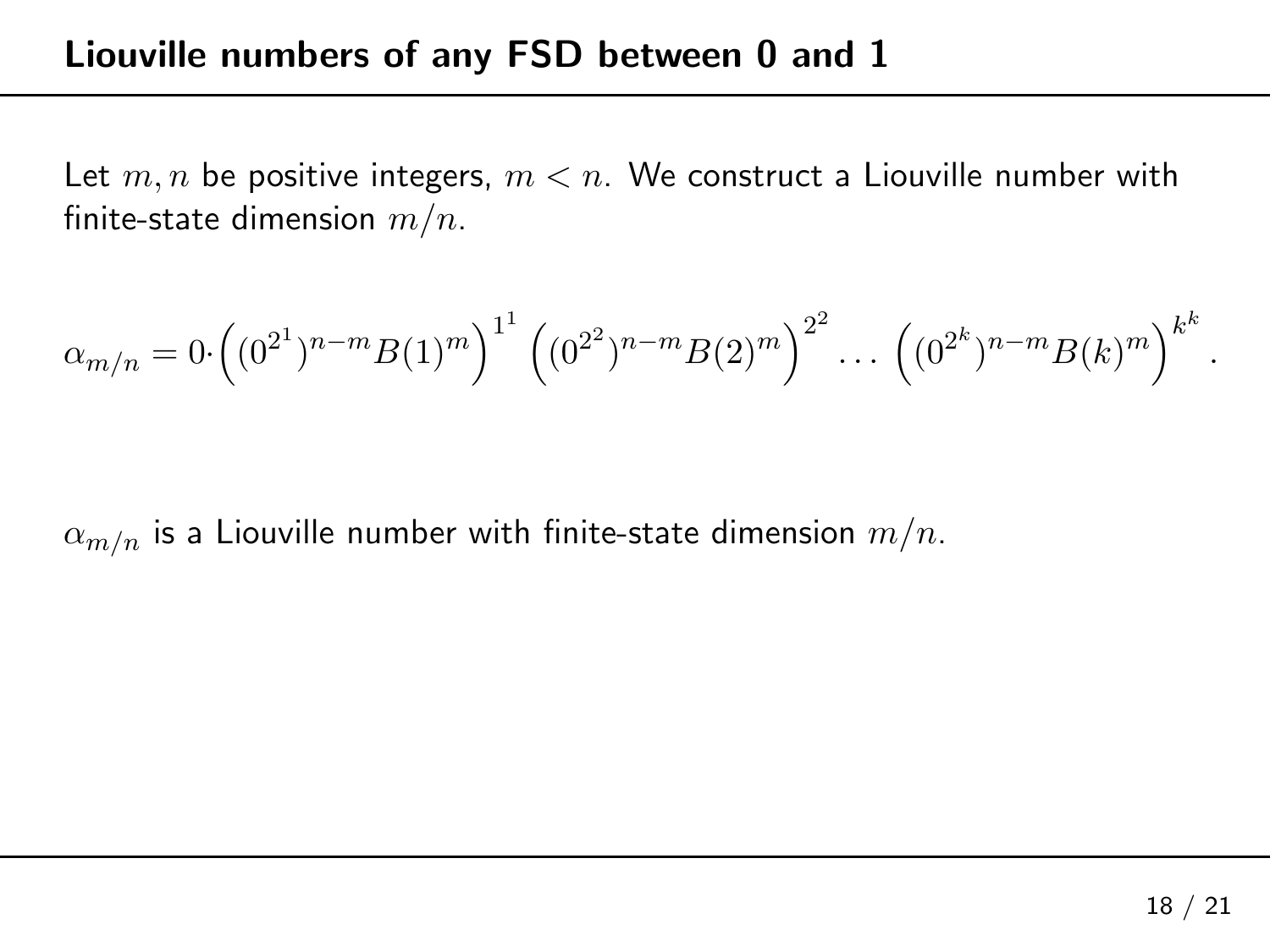Let  $m,n$  be positive integers,  $m < n.$  We construct a Liouville number with finite-state dimension  $\displaystyle m/n.$ 

$$
\alpha_{m/n} = 0 \cdot \left( (0^{2^1})^{n-m} B(1)^m \right)^{1^1} \left( (0^{2^2})^{n-m} B(2)^m \right)^{2^2} \dots \left( (0^{2^k})^{n-m} B(k)^m \right)^{k^k}
$$

 $\alpha_{m/n}$  is a Liouville number with finite-state dimension  $m/n$ .

.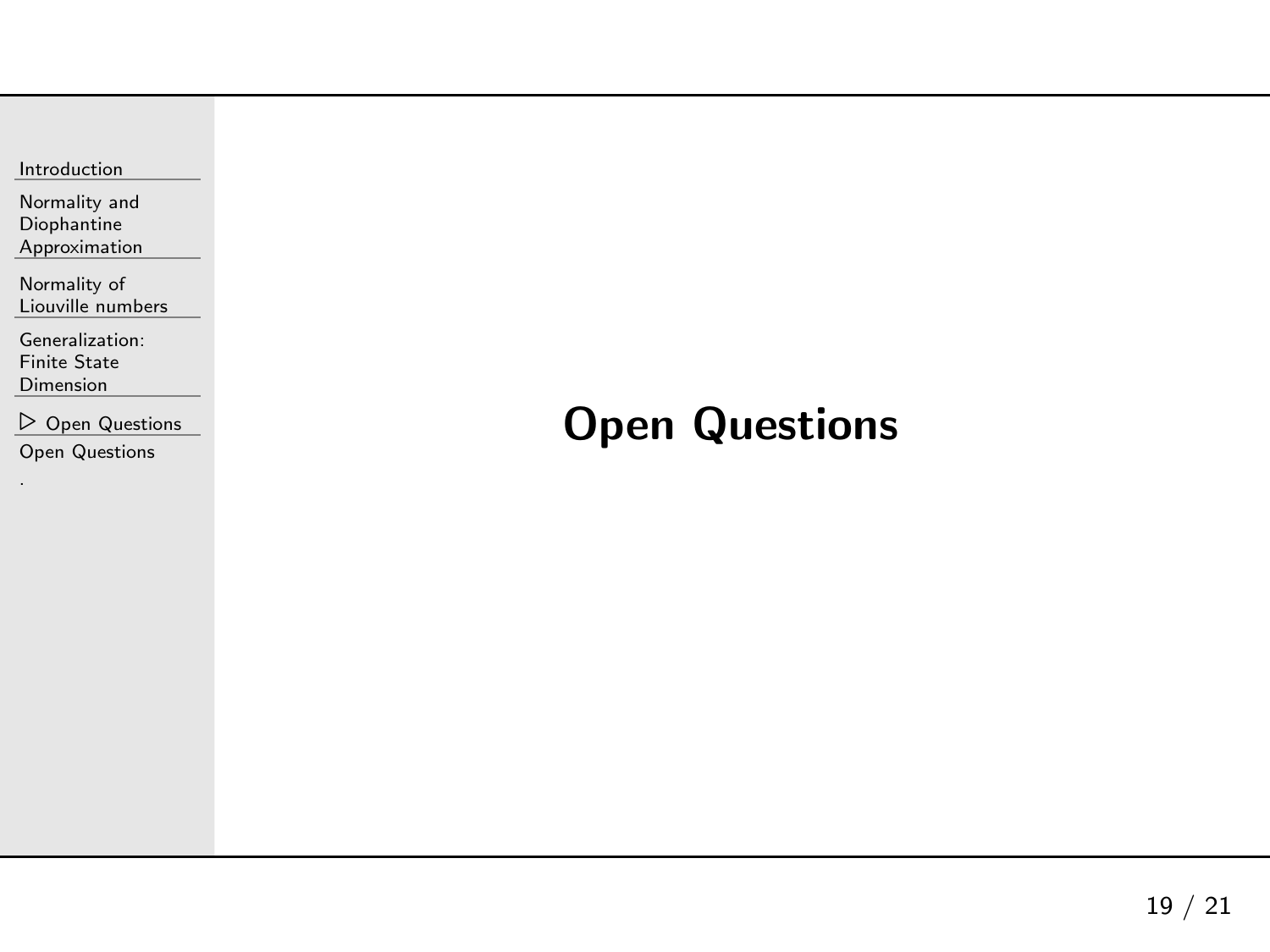<span id="page-73-0"></span>

| Introduction |
|--------------|
|--------------|

Normality andDiophantine[Approximation](#page-23-0)

[Normality](#page-28-0) of Liouville numbers

[Generalization:](#page-61-0)Finite State Dimension

⊲ Open [Questions](#page-73-0) Open [Questions](#page-74-0)

## Open Questions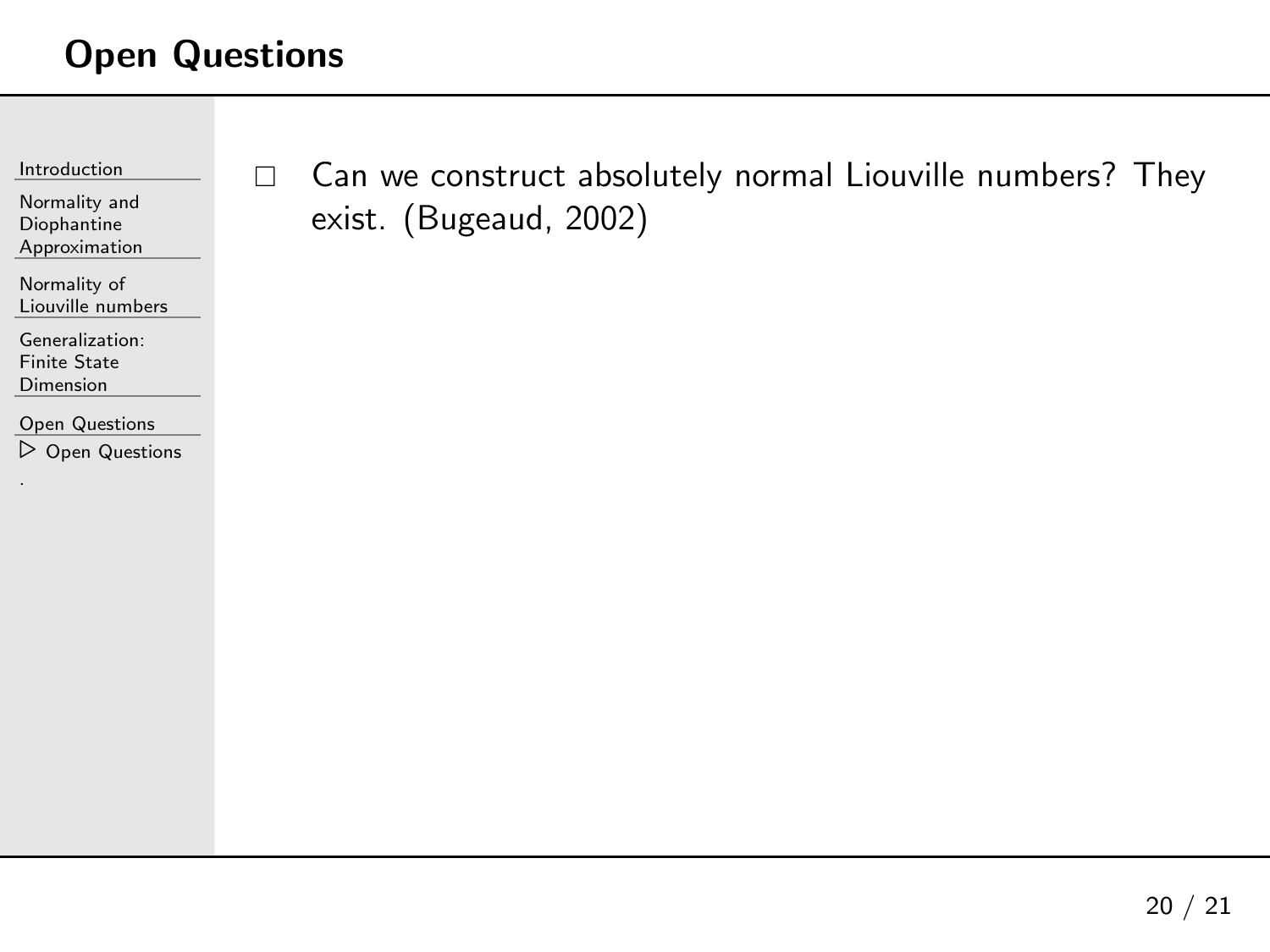## <span id="page-74-0"></span>Open Questions

[Introduction](#page-1-0)

Normality andDiophantine[Approximation](#page-23-0)

[Normality](#page-28-0) of Liouville numbers

[Generalization:](#page-61-0)Finite State Dimension

Open [Questions](#page-73-0) ⊲ Open [Questions](#page-74-0)  $\Box$  Can we construct absolutely normal Liouville numbers? They exist. (Bugeaud, 2002)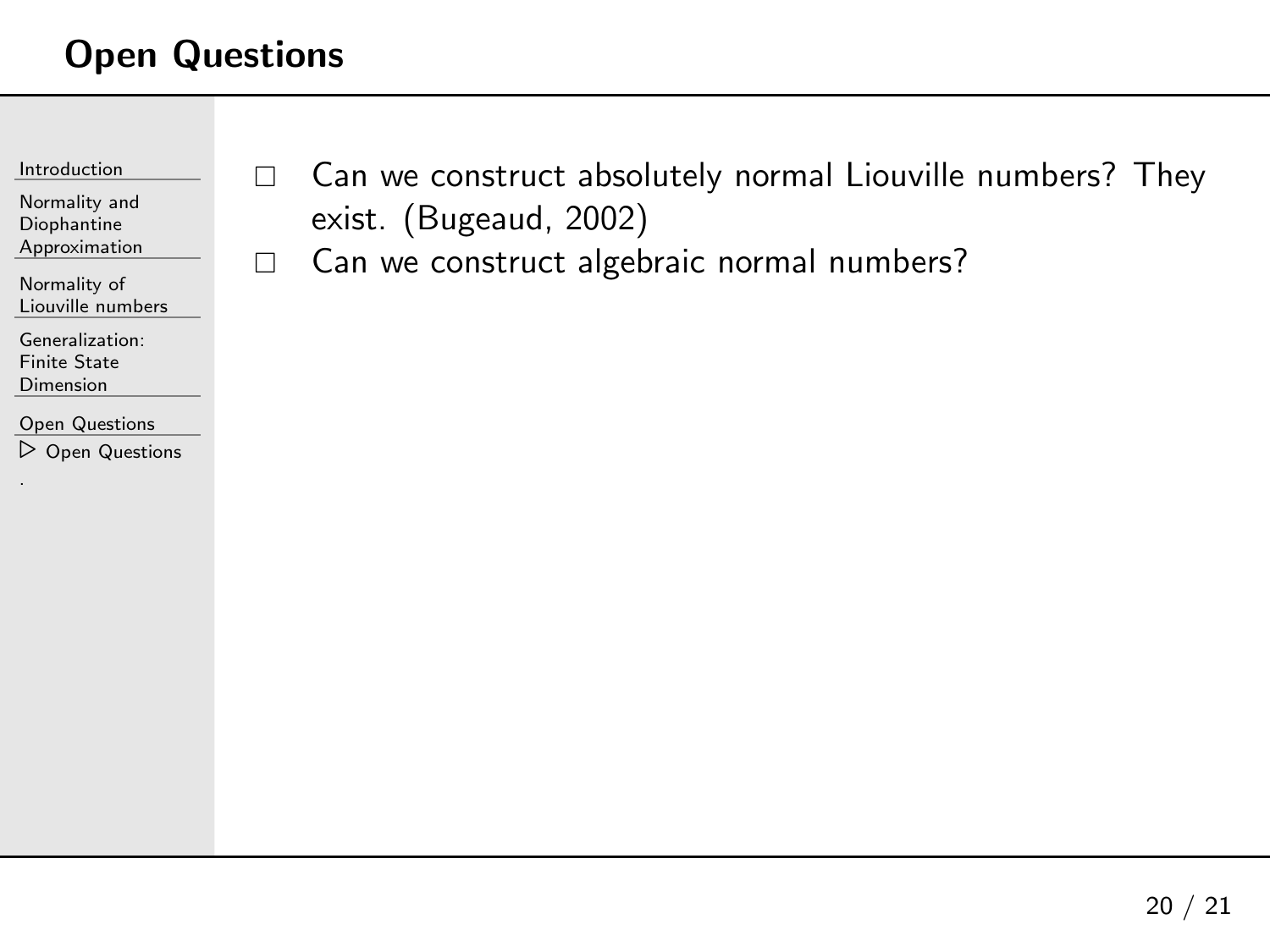## Open Questions

 $\Box$ 

| Introduction |
|--------------|
|              |

Normality andDiophantine[Approximation](#page-23-0)

[Normality](#page-28-0) of Liouville numbers

[Generalization:](#page-61-0)Finite State Dimension

Open [Questions](#page-73-0) ⊲ Open [Questions](#page-74-0)  $\Box$  Can we construct absolutely normal Liouville numbers? They exist. (Bugeaud, 2002)

Can we construct algebraic normal numbers?